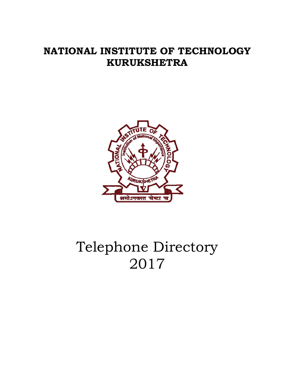## **NATIONAL INSTITUTE OF TECHNOLOGY KURUKSHETRA**



# Telephone Directory 2017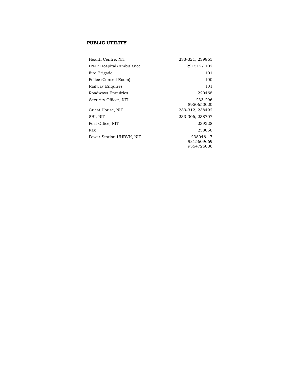#### **PUBLIC UTILITY**

| Health Centre, NIT       | 233-321, 239865                       |
|--------------------------|---------------------------------------|
| LNJP Hospital/Ambulance  | 291512/102                            |
| Fire Brigade             | 101                                   |
| Police (Control Room)    | 100                                   |
| Railway Enquires         | 131                                   |
| Roadways Enquiries       | 220468                                |
| Security Officer, NIT    | 233-296<br>8950650020                 |
| Guest House, NIT         | 233-312, 238492                       |
| SBI, NIT                 | 233-306, 238707                       |
| Post Office, NIT         | 239228                                |
| Fax                      | 238050                                |
| Power Station UHBVN, NIT | 238046-47<br>9315609669<br>9354726086 |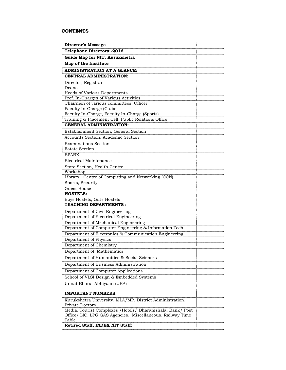#### **CONTENTS**

| <b>Telephone Directory -2016</b><br>Guide Map for NIT, Kurukshetra<br>Map of the Institute                              |
|-------------------------------------------------------------------------------------------------------------------------|
|                                                                                                                         |
|                                                                                                                         |
|                                                                                                                         |
| <b>ADMINISTRATION AT A GLANCE:</b>                                                                                      |
| <b>CENTRAL ADMINISTRATION:</b>                                                                                          |
| Director, Registrar                                                                                                     |
| Deans                                                                                                                   |
| Heads of Various Departments                                                                                            |
| Prof. In-Charges of Various Activities                                                                                  |
| Chairmen of various committees, Officer                                                                                 |
| Faculty In-Charge (Clubs)                                                                                               |
| Faculty In-Charge, Faculty In-Charge (Sports)                                                                           |
| Training & Placement Cell, Public Relations Office                                                                      |
| <b>GENERAL ADMINISTRATION:</b>                                                                                          |
| Establishment Section, General Section                                                                                  |
| Accounts Section, Academic Section                                                                                      |
| <b>Examinations Section</b>                                                                                             |
| <b>Estate Section</b>                                                                                                   |
| <b>EPABX</b>                                                                                                            |
| Electrical Maintenance                                                                                                  |
| Store Section, Health Centre                                                                                            |
| Workshop                                                                                                                |
| Library, Centre of Computing and Networking (CCN)                                                                       |
| Sports, Security                                                                                                        |
| <b>Guest House</b>                                                                                                      |
| <b>HOSTELS:</b><br>Boys Hostels, Girls Hostels                                                                          |
| <b>TEACHING DEPARTMENTS:</b>                                                                                            |
|                                                                                                                         |
| Department of Civil Engineering<br>Department of Electrical Engineering                                                 |
| Department of Mechanical Engineering                                                                                    |
| Department of Computer Engineering & Information Tech.                                                                  |
| Department of Electronics & Communication Engineering                                                                   |
| Department of Physics                                                                                                   |
| Department of Chemistry                                                                                                 |
| Department of Mathematics                                                                                               |
| Department of Humanities & Social Sciences                                                                              |
|                                                                                                                         |
| Department of Business Administration                                                                                   |
| Department of Computer Applications                                                                                     |
| School of VLSI Design & Embedded Systems                                                                                |
| Unnat Bharat Abhiyaan (UBA)                                                                                             |
| <b>IMPORTANT NUMBERS:</b>                                                                                               |
|                                                                                                                         |
| Kurukshetra University, MLA/MP, District Administration,<br><b>Private Doctors</b>                                      |
| Media, Tourist Complexes /Hotels/ Dharamshala, Bank/ Post<br>Office/ LIC, LPG GAS Agencies, Miscellaneous, Railway Time |
| Table                                                                                                                   |
| Retired Staff, INDEX NIT Staff:                                                                                         |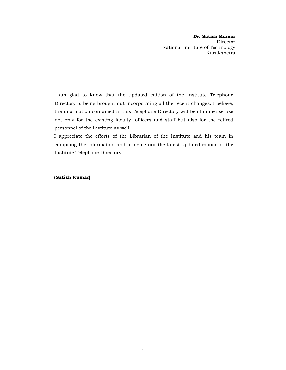**Dr. Satish Kumar**  Director National Institute of Technology Kurukshetra

I am glad to know that the updated edition of the Institute Telephone Directory is being brought out incorporating all the recent changes. I believe, the information contained in this Telephone Directory will be of immense use not only for the existing faculty, officers and staff but also for the retired personnel of the Institute as well.

I appreciate the efforts of the Librarian of the Institute and his team in compiling the information and bringing out the latest updated edition of the Institute Telephone Directory.

**(Satish Kumar)**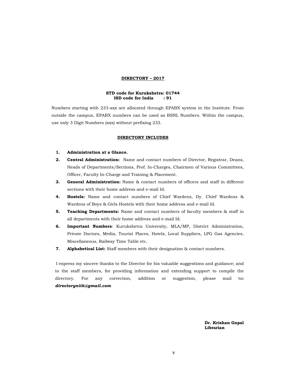#### **DIRECTORY – 2017**

#### **STD code for Kurukshetra: 01744 ISD code for India : 91**

Numbers starting with 233-xxx are allocated through EPABX system in the Institute. From outside the campus, EPABX numbers can be used as BSNL Numbers. Within the campus, use only 3 Digit Numbers (xxx) without prefixing 233.

#### **DIRECTORY INCLUDES**

- **1. Administration at a Glance.**
- **2. Central Administration:** Name and contact numbers of Director, Registrar, Deans, Heads of Departments/Sections, Prof. In-Charges, Chairmen of Various Committees, Officer, Faculty In-Charge and Training & Placement.
- **3. General Administration:** Name & contact numbers of officers and staff in different sections with their home address and e-mail Id.
- **4. Hostels:** Name and contact numbers of Chief Wardens, Dy. Chief Wardens & Wardens of Boys & Girls Hostels with their home address and e-mail Id.
- **5. Teaching Departments:** Name and contact numbers of faculty members & staff in all departments with their home address and e-mail Id.
- **6. Important Numbers**: Kurukshetra University, MLA/MP, District Administration, Private Doctors, Media, Tourist Places, Hotels, Local Suppliers, LPG Gas Agencies, Miscellaneous, Railway Time Table etc.
- **7. Alphabetical List:** Staff members with their designation & contact numbers.

I express my sincere thanks to the Director for his valuable suggestions and guidance; and to the staff members, for providing information and extending support to compile the directory. For any correction, addition or suggestion, please mail to**:**  *directorynitk@gmail.com* 

> **Dr. Krishan Gopal Librarian**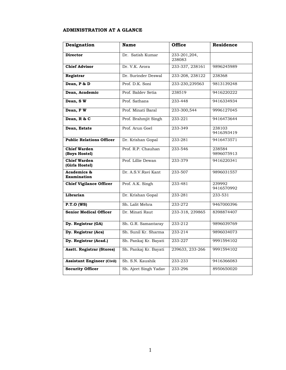#### **ADMINISTRATION AT A GLANCE**

| Designation                           | <b>Name</b>           | <b>Office</b>          | <b>Residence</b>     |
|---------------------------------------|-----------------------|------------------------|----------------------|
| <b>Director</b>                       | Dr. Satish Kumar      | 233-201,204,<br>238083 |                      |
| <b>Chief Advisor</b>                  | Dr. V.K. Arora        | 233-337, 238161        | 9896245989           |
| Registrar                             | Dr. Surinder Deswal   | 233-208, 238122        | 238368               |
| Dean, P & D                           | Prof. D.K. Soni       | 233-230,239563         | 9813139248           |
| Dean, Academic                        | Prof. Baldev Setia    | 238519                 | 9416220222           |
| Dean, SW                              | Prof. Sathans         | 233-448                | 9416334934           |
| Dean, FW                              | Prof. Minati Baral    | 233-300,544            | 9996127045           |
| Dean, R & C                           | Prof. Brahmjit Singh  | 233-221                | 9416473644           |
| Dean, Estate                          | Prof. Arun Goel       | 233-349                | 238103<br>9416393419 |
| <b>Public Relations Officer</b>       | Dr. Krishan Gopal     | 233-281                | 9416473571           |
| <b>Chief Warden</b><br>(Boys Hostel)  | Prof. R.P. Chauhan    | 233-546                | 238584<br>9896075913 |
| <b>Chief Warden</b><br>(Girls Hostel) | Prof. Lillie Dewan    | 233-379                | 9416220341           |
| Academics &<br><b>Examination</b>     | Dr. A.S.V.Ravi Kant   | 233-507                | 9896031557           |
| <b>Chief Vigilance Officer</b>        | Prof. A.K. Singh      | 233-481                | 239992<br>9416570992 |
| Librarian                             | Dr. Krishan Gopal     | 233-281                | 233-531              |
| $P.T.O$ (WS)                          | Sh. Lalit Mehra       | 233-272                | 9467000396           |
| <b>Senior Medical Officer</b>         | Dr. Minati Raut       | 233-318, 239865        | 8398874407           |
| Dy. Registrar (GA)                    | Sh. G.R. Samantaray   | 233-212                | 9896039769           |
| Dy. Registrar (Acs)                   | Sh. Sunil Kr. Sharma  | 233-214                | 9896034073           |
| Dy. Registrar (Acad.)                 | Sh. Pankaj Kr. Bayati | 233-227                | 9991594102           |
| <b>Asstt. Registrar (Stores)</b>      | Sh. Pankaj Kr. Bayati | 239633, 233-266        | 9991594102           |
| <b>Assistant Engineer (Civil)</b>     | Sh. S.N. Kaushik      | 233-233                | 9416366083           |
| <b>Security Officer</b>               | Sh. Ajeet Singh Yadav | 233-296                | 8950650020           |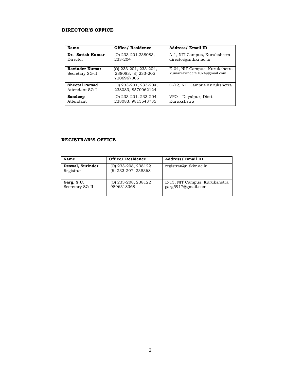#### **DIRECTOR'S OFFICE**

| <b>Name</b>                              | <b>Office/ Residence</b>                                     | <b>Address/Email ID</b>                                       |  |  |
|------------------------------------------|--------------------------------------------------------------|---------------------------------------------------------------|--|--|
| Dr. Satish Kumar<br>Director             | $(O)$ 233-201, 238083,<br>233-204                            | A-1, NIT Campus, Kurukshetra<br>director@nitkkr.ac.in         |  |  |
| <b>Ravinder Kumar</b><br>Secretary SG-II | $(O)$ 233-201, 233-204,<br>238083, (R) 233-205<br>7206967306 | E-04, NIT Campus, Kurukshetra<br>kumarravinder51074@gmail.com |  |  |
| <b>Sheetal Parsad</b><br>Attendant SG-I  | $(O)$ 233-201, 233-204,<br>238083, 8570062124                | G-72, NIT Campus Kurukshetra                                  |  |  |
| <b>Sandeep</b><br>Attendant              | (O) 233-201, 233-204,<br>238083, 9813548785                  | VPO – Dayalpur, Distt.-<br>Kurukshetra                        |  |  |

#### **REGISTRAR'S OFFICE**

| <b>Name</b>                   | <b>Office/ Residence</b>                     | <b>Address/ Email ID</b>                            |
|-------------------------------|----------------------------------------------|-----------------------------------------------------|
| Deswal, Surinder<br>Registrar | $(O)$ 233-208, 238122<br>(R) 233-207, 238368 | registrar@nitkkr.ac.in                              |
| Garg, S.C.<br>Secretary SG-II | (O) 233-208, 238122<br>9896318368            | E-13, NIT Campus, Kurukshetra<br>garg5917@gmail.com |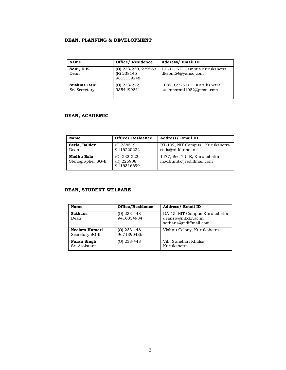#### **DEAN, PLANNING & DEVELOPMENT**

| Name                         | Office/Residence                                  | <b>Address/ Email ID</b>                                 |
|------------------------------|---------------------------------------------------|----------------------------------------------------------|
| Soni, D.K.<br>Dean           | $(O)$ 233-230, 239563<br>(R) 238145<br>9813139248 | BB-11, NIT Campus Kurukshetra<br>dksoni54@yahoo.com      |
| Sushma Rani<br>Sr. Secretary | $(O)$ 233-222<br>9354499811                       | 1082, Sec-5 U.E. Kurukshetra<br>sushmarani1082@gmail.com |

#### **DEAN, ACADEMIC**

| Name                             | <b>Office/ Residence</b>                  | <b>Address/Email ID</b>                                  |
|----------------------------------|-------------------------------------------|----------------------------------------------------------|
| Setia, Baldev<br>Dean            | (O)238519<br>9416220222                   | BT-102, NIT Campus, Kurukshetra<br>setia@nitkkr.ac.in    |
| Madhu Bala<br>Stenographer SG-II | $(O)$ 233-223<br>(R) 225938<br>9416316699 | 1477, Sec-7 U E, Kurukshetra<br>madhunitk@rediffmail.com |

#### **DEAN, STUDENT WELFARE**

| Name                                | Office/Residence          | <b>Address/ Email ID</b>                                                       |
|-------------------------------------|---------------------------|--------------------------------------------------------------------------------|
| <b>Sathans</b><br>Dean              | (O) 233-448<br>9416334934 | DA-15, NIT Campus Kurukshetra<br>deansw@nitkkr.ac.in<br>sathans@rediffmail.com |
| Neelam Kumari<br>Secretary SG-11    | (O) 233-448<br>9671390436 | Vishnu Colony, Kurukshetra                                                     |
| <b>Puran Singh</b><br>Sr. Assistant | (O) 233-448               | Vill. Sunehari Khalsa,<br>Kurukshetra                                          |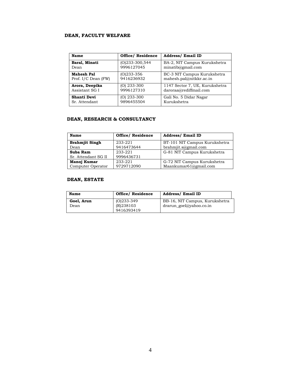#### **DEAN, FACULTY WELFARE**

| Name                | <b>Office/ Residence</b> | <b>Address/ Email ID</b>       |
|---------------------|--------------------------|--------------------------------|
| Baral, Minati       | $(O)233 - 300,544$       | BA-2, NIT Campus Kurukshetra   |
| Dean                | 9996127045               | minatib@gmail.com              |
| <b>Mahesh Pal</b>   | $(O)$ 233-356            | BC-3 NIT Campus Kurukshetra    |
| Prof. I/C Dean (FW) | 9416236932               | mahesh.pal@nitkkr.ac.in        |
| Arora, Deepika      | $(O)$ 233-300            | 1147 Sector 7, UE, Kurukshetra |
| Assistant SG I      | 9996127310               | daroraa@rediffmail.com         |
| Shanti Devi         | $(O)$ 233-300            | Gali No. 5 Didar Nagar         |
| Sr. Attendant       | 9896455504               | Kurukshetra                    |

#### **DEAN, RESEARCH & CONSULTANCY**

| Name                  | <b>Office/ Residence</b> | <b>Address/ Email ID</b>      |
|-----------------------|--------------------------|-------------------------------|
| <b>Brahmiit Singh</b> | 233-221                  | BT-101 NIT Campus Kurukshetra |
| Dean                  | 9416473644               | brahmjit.s@gmail.com          |
| Suba Ram              | 233-221                  | G-81 NIT Campus Kurukshetra   |
| Sr. Attendant SG II   | 9996436731               |                               |
| Manoj Kumar           | 233-221                  | G-72 NIT Campus Kurukshetra   |
| Computer Operator     | 9729712090               | Maankumar61@gmail.com         |

#### **DEAN, ESTATE**

| Name               | <b>Office/ Residence</b>                  | <b>Address/ Email ID</b>                                         |
|--------------------|-------------------------------------------|------------------------------------------------------------------|
| Goel, Arun<br>Dean | $(O)233 - 349$<br>(R)238103<br>9416393419 | BB-16, NIT Campus, Kurukshetra<br>$d$ rarun goel $@$ yahoo.co.in |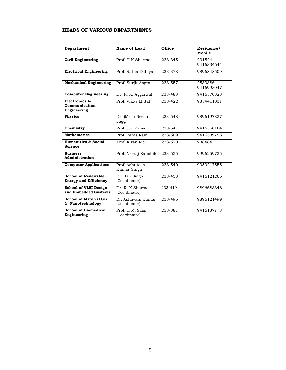#### **HEADS OF VARIOUS DEPARTMENTS**

| <b>Department</b>                                          | <b>Name of Head</b>                                     | <b>Office</b> | Residence/<br>Mobile  |
|------------------------------------------------------------|---------------------------------------------------------|---------------|-----------------------|
| <b>Civil Engineering</b>                                   | Prof. H K Sharma                                        | 233-345       | 231524<br>9416334644  |
| <b>Electrical Engineering</b>                              | Prof. Ratna Dahiya                                      | 233-378       | 9896848509            |
| <b>Mechanical Engineering</b>                              | Prof. Surjit Angra                                      | 233-557       | 2533886<br>9416993047 |
| <b>Computer Engineering</b>                                | Dr. R. K. Aggarwal                                      | 233-483       | 9416570828            |
| Electronics &<br>Communication<br>Engineering              | Prof, Vikas Mittal                                      | 233-422       | 9354411031            |
| <b>Physics</b>                                             | Dr. (Mrs.) Neena<br>Jaggi                               | 233-548       | 9896197827            |
| Chemistry                                                  | Prof. J.K Kapoor                                        | 233-541       | 9416550164            |
| <b>Mathematics</b>                                         | Prof. Paras Ram                                         | 233-509       | 9416539758            |
| <b>Humanities &amp; Social</b><br><b>Science</b>           | Prof. Kiran Mor                                         | 233-520       | 238484                |
| <b>Business</b><br>Administration                          | Prof. Neeraj Kaushik                                    | 233-525       | 9996259725            |
| <b>Computer Applications</b>                               | Prof. Ashutosh<br>Kumar Singh                           | 233-540       | 9050217555            |
| <b>School of Renewable</b><br><b>Energy and Efficiency</b> | Dr. Hari Singh<br>(Coordinator)                         | 233-458       | 9416121266            |
| <b>School of VLSI Design</b><br>and Embedded Systems       | $\overline{\mathrm{Dr}}$ . R. K Sharma<br>(Coordinator) | 233-419       | 9896688346            |
| School of Material Sci.<br>& Nanotechnology                | Dr. Ashavani Kumar<br>(Coordinator)                     | 233-495       | 9896121499            |
| <b>School of Biomedical</b><br>Engineering                 | Prof. L. M. Saini<br>(Coordinator)                      | 233-381       | 9416137773            |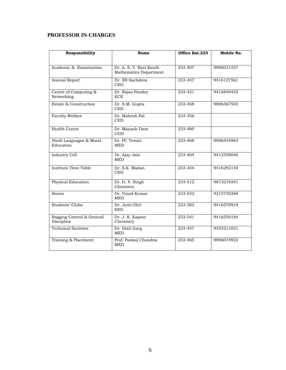## **PROFESSOR IN-CHARGES**

| <b>Responsibility</b>                   | Name                                              | Office Ext.233 | Mobile No. |
|-----------------------------------------|---------------------------------------------------|----------------|------------|
|                                         |                                                   |                |            |
| Academic & Examination                  | Dr. A. S. V. Ravi Kanth<br>Mathematics Department | 233-507        | 9896031557 |
| Annual Report                           | Dr. SN Sachdeva<br><b>CED</b>                     | 233-347        | 9416127561 |
| Centre of Computing &<br>Networking     | Dr. Rajoo Pandey<br><b>ECE</b>                    | 233-421        | 9416840435 |
| Estate & Construction                   | Dr. S.M. Gupta<br><b>CED</b>                      | 233-348        | 9896367503 |
| <b>Faculty Welfare</b>                  | Dr. Mahesh Pal<br><b>CED</b>                      | 233-356        |            |
| Health Centre                           | Dr. Mayank Dave<br><b>COD</b>                     | 233-480        |            |
| Hindi Languages & Moral<br>Education    | Dr. PC Tewari<br><b>MED</b>                       | 233-468        | 9896434963 |
| <b>Industry Cell</b>                    | Dr. Ajay Jain<br><b>MED</b>                       | 233-464        | 9412558040 |
| Institute Time-Table                    | Dr. S.K. Madan<br><b>CED</b>                      | 233-344        | 9416292144 |
| Physical Education                      | Dr. D. P. Singh<br>Chemistry                      | $233 - 512$    | 9813219241 |
| <b>Stores</b>                           | Dr. Vinod Kumar<br><b>MED</b>                     | 233-542        | 9215750269 |
| Students' Clubs                         | Dr. Jyoti Ohri<br><b>EED</b>                      | 233-382        | 9416570919 |
| Ragging Control & General<br>Discipline | Dr. J. K. Kapoor<br>Chemistry                     | 233-541        | 9416550164 |
| <b>Technical Societies</b>              | Dr. Dixit Garg<br><b>MED</b>                      | 233-457        | 9355211021 |
| Training & Placement                    | Prof. Pankaj Chandna<br><b>MED</b>                | 233-465        | 9896074922 |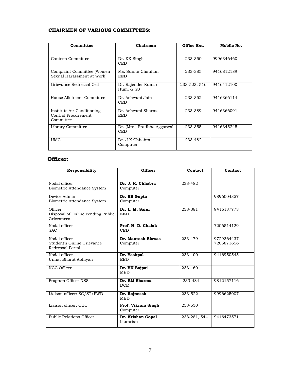#### **CHAIRMEN OF VARIOUS COMMITTEES:**

| Committee                                                      | Chairman                                   | Office Ext.  | Mobile No. |
|----------------------------------------------------------------|--------------------------------------------|--------------|------------|
| Canteen Committee                                              | Dr. KK Singh<br><b>CED</b>                 | 233-350      | 9996346460 |
| Complaint Committee (Women)<br>Sexual Harassment at Work)      | Ms. Sunita Chauhan<br><b>EED</b>           | 233-385      | 9416812189 |
| Grievance Redressal Cell                                       | Dr. Rajender Kumar<br>$Hum.$ $&$ SS        | 233-523, 516 | 9416412100 |
| House Allotment Committee                                      | Dr. Ashwani Jain<br><b>CED</b>             | 233-352      | 9416366114 |
| Institute Air Conditioning<br>Control Procurement<br>Committee | Dr. Ashwani Sharma<br><b>EED</b>           | 233-389      | 9416366091 |
| Library Committee                                              | Dr. (Mrs.) Pratibha Aggarwal<br><b>CED</b> | 233-355      | 9416345245 |
| <b>UMC</b>                                                     | Dr. J K Chhabra<br>Computer                | 233-482      |            |

#### **Officer:**

| Responsibility                                                  | <b>Officer</b>                   | Contact      | Contact                  |
|-----------------------------------------------------------------|----------------------------------|--------------|--------------------------|
| Nodal officer<br>Biometric Attendance System                    | Dr. J. K. Chhabra<br>Computer    | 233-482      |                          |
| Device Admin<br>Biometric Attendance System                     | Dr. BB Gupta<br>Computer         |              | 9896004357               |
| Officer<br>Disposal of Online Pending Public<br>Grievances      | Dr. L. M. Saini<br>EED.          | 233-381      | 9416137773               |
| Nodal officer<br><b>SAC</b>                                     | Prof. H. D. Chalak<br><b>CED</b> |              | 7206514129               |
| Nodal officer<br>Student's Online Grievance<br>Redressal Portal | Dr. Mantosh Biswas<br>Computer   | 233-479      | 9729364437<br>7206871656 |
| Nodal officer<br>Unnat Bharat Abhiyan                           | Dr. Yashpal<br><b>EED</b>        | 233-400      | 9416950545               |
| NCC Officer                                                     | Dr. VK Bajpai<br><b>MED</b>      | 233-460      |                          |
| Program Officer NSS                                             | Dr. RM Sharma<br><b>DCE</b>      | 233-484      | 9812157116               |
| Liaison officer: SC/ST/PWD                                      | Dr. Rajneesh<br><b>MED</b>       | 233-522      | 9996625007               |
| Liaison officer: OBC                                            | Prof. Vikram Singh<br>Computer   | 233-530      |                          |
| Public Relations Officer                                        | Dr. Krishan Gopal<br>Librarian   | 233-281, 544 | 9416473571               |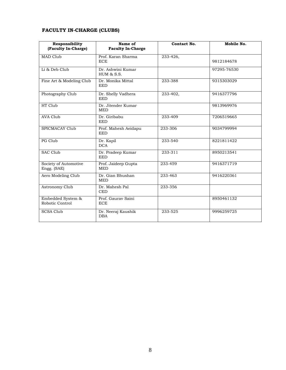#### **FACULTY IN-CHARGE (CLUBS)**

| Responsibility<br>(Faculty In-Charge) | Name of<br><b>Faculty In-Charge</b> | Contact No. | Mobile No.  |
|---------------------------------------|-------------------------------------|-------------|-------------|
| MAD Club                              | Prof. Karan Sharma<br><b>ECE</b>    | 233-426,    | 9812184678  |
| Li & Deb Club                         | Dr. Ashwini Kumar<br>$HUM \& S.S.$  |             | 97295-76530 |
| Fine Art & Modeling Club              | Dr. Monika Mittal<br><b>EED</b>     | 233-388     | 9315303029  |
| Photography Club                      | Dr. Shelly Vadhera<br><b>EED</b>    | 233-402,    | 9416377796  |
| HT Club                               | Dr. Jitender Kumar<br><b>MED</b>    |             | 9813969976  |
| <b>AVA Club</b>                       | Dr. Giribabu<br><b>EED</b>          | 233-409     | 7206519665  |
| SPICMACAY Club                        | Prof. Mahesh Aeidapu<br><b>EED</b>  | 233-306     | 9034799994  |
| PG Club                               | Dr. Kapil<br><b>DCA</b>             | 233-540     | 8221811422  |
| <b>SAC Club</b>                       | Dr. Pradeep Kumar<br><b>EED</b>     | 233-311     | 8950213541  |
| Society of Automotive<br>Engg. (SAE)  | Prof. Jaideep Gupta<br><b>MED</b>   | 233-459     | 9416371719  |
| Aero Modeling Club                    | Dr. Gian Bhushan<br><b>MED</b>      | 233-463     | 9416220361  |
| Astronomy Club                        | Dr. Mahesh Pal<br><b>CED</b>        | 233-356     |             |
| Embedded System &<br>Robotic Control  | Prof. Gauray Saini<br><b>ECE</b>    |             | 8950461132  |
| <b>SCSA Club</b>                      | Dr. Neeraj Kaushik<br><b>DBA</b>    | 233-525     | 9996259725  |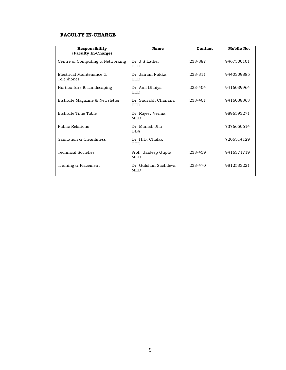#### **FACULTY IN-CHARGE**

| Responsibility<br>(Faculty In-Charge)  | Name                               | Contact | Mobile No. |
|----------------------------------------|------------------------------------|---------|------------|
| Centre of Computing & Networking       | Dr. J S Lather<br><b>EED</b>       | 233-387 | 9467500101 |
| Electrical Maintenance &<br>Telephones | Dr. Jairam Nakka<br><b>EED</b>     | 233-311 | 9440309885 |
| Horticulture & Landscaping             | Dr. Anil Dhaiya<br><b>EED</b>      | 233-404 | 9416039964 |
| Institute Magazine & Newsletter        | Dr. Saurabh Chanana<br><b>EED</b>  | 233-401 | 9416038363 |
| Institute Time Table                   | Dr. Rajeev Verma<br><b>MED</b>     |         | 9896593271 |
| <b>Public Relations</b>                | Dr. Manish Jha<br><b>DBA</b>       |         | 7376650614 |
| Sanitation & Cleanliness               | Dr. H.D. Chalak<br><b>CED</b>      |         | 7206514129 |
| <b>Technical Societies</b>             | Prof. Jaideep Gupta<br><b>MED</b>  | 233-459 | 9416371719 |
| Training & Placement                   | Dr. Gulshan Sachdeva<br><b>MED</b> | 233-470 | 9812533221 |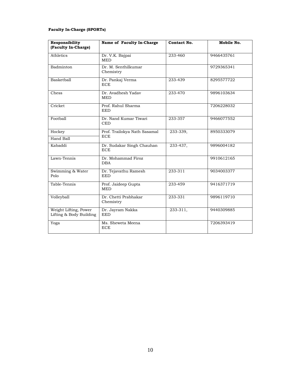#### **Faculty In-Charge (SPORTs)**

| Responsibility<br>(Faculty In-Charge)            | Name of Faculty In-Charge                  | Contact No. | Mobile No. |
|--------------------------------------------------|--------------------------------------------|-------------|------------|
| Athletics                                        | Dr. V.K. Bajpai<br><b>MED</b>              | 233-460     | 9466435761 |
| Badminton                                        | Dr. M. Senthilkumar<br>Chemistry           |             | 9729365341 |
| <b>Basketball</b>                                | Dr. Pankaj Verma<br><b>ECE</b>             | 233-439     | 8295577722 |
| Chess                                            | Dr. Avadhesh Yadav<br><b>MED</b>           | 233-470     | 9896103634 |
| Cricket                                          | Prof. Rahul Sharma<br><b>EED</b>           |             | 7206228032 |
| Football                                         | Dr. Nand Kumar Tiwari<br><b>CED</b>        | 233-357     | 9466077552 |
| Hockey<br>Hand Ball                              | Prof. Trailokya Nath Sasamal<br><b>ECE</b> | 233-339,    | 8950333079 |
| Kabaddi                                          | Dr. Sudakar Singh Chauhan<br><b>ECE</b>    | 233-437,    | 9896004182 |
| Lawn-Tennis                                      | Dr. Mohammad Firoz<br><b>DBA</b>           |             | 9910612165 |
| Swimming & Water<br>Polo                         | Dr. Tejavathu Ramesh<br><b>EED</b>         | 233-311     | 9034003377 |
| Table-Tennis                                     | Prof. Jaideep Gupta<br><b>MED</b>          | 233-459     | 9416371719 |
| Volleyball                                       | Dr. Chetti Prabhakar<br>Chemistry          | 233-331     | 9896119710 |
| Weight Lifting, Power<br>Lifting & Body Building | Dr. Jayram Nakka<br><b>EED</b>             | 233-311,    | 9440309885 |
| Yoga                                             | Ms. Sheweta Meena<br><b>ECE</b>            |             | 7206393419 |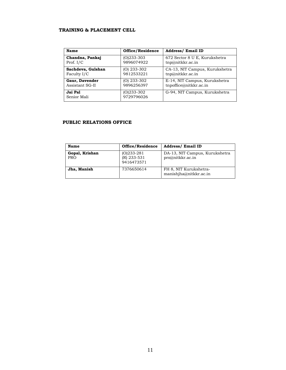#### **TRAINING & PLACEMENT CELL**

| Name                   | Office/Residence           | <b>Address/ Email ID</b>       |
|------------------------|----------------------------|--------------------------------|
| Chandna, Pankaj        | $(O)$ 233-303              | 672 Sector 8 U E, Kurukshetra  |
| Prof. $I/C$            | 9896074922                 | tmp@nikkr.ac.in                |
| Sachdeva, Gulshan      | $(O)$ 233-302              | CA-13, NIT Campus, Kurukshetra |
| Faculty I/C            | 9812533221                 | tmp@nikkr.ac.in                |
| Gaur, Davender         | $(O)$ 233-302              | E-14, NIT Campus, Kurukshetra  |
| Assistant SG-II        | 9896256397                 | tnpoffice@nitkkr.ac.in         |
| Jai Pal<br>Senior Mali | $(O)233-302$<br>9729796026 | G-94, NIT Campus, Kurukshetra  |

#### **PUBLIC RELATIONS OFFICE**

| Name                         | Office/Residence                           | <b>Address/ Email ID</b>                           |
|------------------------------|--------------------------------------------|----------------------------------------------------|
| Gopal, Krishan<br><b>PRO</b> | $(0)$ 233-281<br>(R) 233-531<br>9416473571 | DA-13, NIT Campus, Kurukshetra<br>pro@nitkkr.ac.in |
| Jha, Manish                  | 7376650614                                 | FH 8, NIT Kurukshetra-<br>manishjha@nitkkr.ac.in   |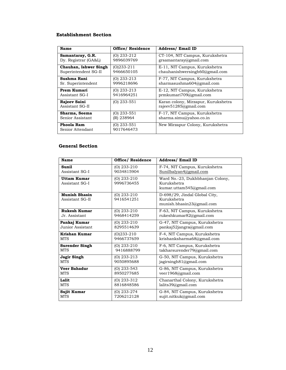#### **Establishment Section**

| Name                            | Office/ Residence         | <b>Address/ Email ID</b>                                     |
|---------------------------------|---------------------------|--------------------------------------------------------------|
| Samantaray, G.R.                | (O) 233-212               | CT-104, NIT Campus, Kurukshetra                              |
| Dy. Registrar (GA&L)            | 9896039769                | grsamantaray@gmail.com                                       |
| Chauhan, Ishwer Singh           | $(0)$ 233-211             | E-11, NIT Campus, Kurukshetra                                |
| Superintendent SG-II            | 9466650105                | chauhanishwersingh $60$ @gmail.com                           |
| Sushma Rani                     | (O) 233-213               | F-77, NIT Campus, Kurukshetra                                |
| Sr. Superintendent              | 9996218696                | sharmasushma604@gmail.com                                    |
| Prem Kumari                     | (O) 233-213               | E-12, NIT Campus, Kurukshetra                                |
| Assistant SG-I                  | 9416964251                | prmkumari709@gmail.com                                       |
| Rajeev Saini<br>Assistant SG-II | $(O)$ 233-551             | Karan colony, Mirzapur, Kurukshetra<br>rajeev51285@gmail.com |
| Sharma, Seema                   | (O) 233-551               | F-17, NIT Campus, Kurukshetra                                |
| Senior Assistant                | (R) 238964                | sharma.simu@yahoo.co.in                                      |
| Phoola Ram<br>Senior Attendant  | (O) 233-551<br>9017646473 | New Mirzapur Colony, Kurukshetra                             |

#### **General Section**

| Name                                    | <b>Office/ Residence</b>    | <b>Address/ Email ID</b>                                                    |
|-----------------------------------------|-----------------------------|-----------------------------------------------------------------------------|
| Sunil                                   | $(O)$ 233-210               | F-74, NIT Campus, Kurukshetra                                               |
| Assistant SG-I                          | 9034815904                  | Sunilbalyan4@gmail.com                                                      |
| <b>Uttam Kumar</b><br>Assistant SG-I    | $(O)$ 233-210<br>9996736455 | Ward No.-23, Dukhbhanjan Colony,<br>Kurukshetra<br>kumar.uttam545@gmail.com |
| <b>Munish Bhasin</b><br>Assistant SG-II | $(O)$ 233-210<br>9416541251 | D-698/29, Jindal Global City,<br>Kurukshetra<br>munish.bhasin23@gmail.com   |
| <b>Rukesh Kumar</b>                     | $(O)$ 233-210               | F-63, NIT Campus, Kurukshetra                                               |
| Jr. Assistant                           | 9468414259                  | rukeshkumar82@gmail.com                                                     |
| Pankaj Kumar                            | $(O)$ 233-210               | G-47, NIT Campus, Kurukshetra                                               |
| Junior Assistant                        | 8295514639                  | pankaj52jangra@gmail.com                                                    |
| Krishan Kumar                           | $(O)$ 233-210               | F-4, NIT Campus, Kurukshetra                                                |
| <b>MTS</b>                              | 9466737659                  | krishanksharma68@gmail.com                                                  |
| <b>Surender Singh</b>                   | $(O)$ 233-210               | F-6, NIT Campus, Kurukshetra                                                |
| <b>MTS</b>                              | 9416888799                  | takharsurender79@gmail.com                                                  |
| Jagir Singh                             | $(O)$ 233-213               | G-50, NIT Campus, Kurukshetra                                               |
| <b>MTS</b>                              | 9050895688                  | jagirsingh81@gmail.com                                                      |
| Veer Bahadur                            | $(O)$ 233-543               | G-86, NIT Campus, Kurukshetra                                               |
| <b>MTS</b>                              | 8950277685                  | veer1968@gmail.com                                                          |
| Lalit                                   | $(O)$ 233-312               | Chanarthal Colony, Kurukshetra                                              |
| <b>MTS</b>                              | 8816848586                  | lalits39@gmail.com                                                          |
| Sujit Kumar                             | $(O)$ 233-274               | G-84, NIT Campus, Kurukshetra                                               |
| <b>MTS</b>                              | 7206212128                  | sujit.nitkuk@gmail.com                                                      |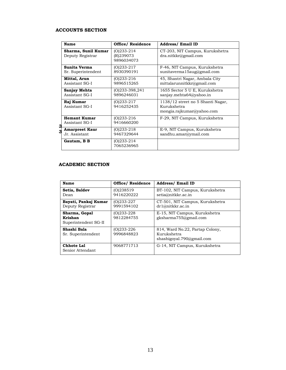#### **ACCOUNTS SECTION**

| Name                                        | <b>Office/ Residence</b>                 | <b>Address/ Email ID</b>                                                      |
|---------------------------------------------|------------------------------------------|-------------------------------------------------------------------------------|
| Sharma, Sunil Kumar<br>Deputy Registrar     | $(0)$ 233-214<br>(R)239073<br>9896034073 | CT-203, NIT Campus, Kurukshetra<br>dra.nitkkr@gmail.com                       |
| Sunita Verma<br>Sr. Superintendent          | $(0)$ 233-217<br>8930390191              | F-46, NIT Campus, Kurukshetra<br>sunitaverma15aug@gmail.com                   |
| Mittal, Arun<br>Assistant SG-I              | $(0)$ 233-216<br>9896515265              | 45, Shastri Nagar, Ambala City<br>mittalarunnitkkr@gmail.com                  |
| Sanjay Mehta<br>Assistant SG-I              | $(O)$ 233-398,241<br>9896246031          | 1655 Sector 5 U E, Kurukshetra<br>sanjay.mehta64@yahoo.in                     |
| Raj Kumar<br>Assistant SG-I                 | $(0)$ 233-217<br>9416252435              | 1138/12 street no 5 Shanti Nagar,<br>Kurukshetra<br>mongia.rajkumar@yahoo.com |
| <b>Hemant Kumar</b><br>Assistant SG-I<br>3  | $(0)$ 233-216<br>9416660200              | F-29, NIT Campus, Kurukshetra                                                 |
| <b>Amarpreet Kaur</b><br>3<br>Jr. Assistant | $(0)$ 233-218<br>9467329644              | E-9, NIT Campus, Kurukshetra<br>sandhu.amar@ymail.com                         |
| Gautam, B B                                 | $(0)$ 233-214<br>7065236965              |                                                                               |

#### **ACADEMIC SECTION**

| Name                                             | <b>Office/ Residence</b>     | <b>Address/Email ID</b>                                                     |
|--------------------------------------------------|------------------------------|-----------------------------------------------------------------------------|
| Setia, Baldev<br>Dean                            | (O)238519<br>9416220222      | BT-102, NIT Campus, Kurukshetra<br>setia@nitkkr.ac.in                       |
| Bayati, Pankaj Kumar<br>Deputy Registrar         | $(0)$ 233-227<br>9991594102  | CT-501, NIT Campus, Kurukshetra<br>dr1@nitkkr.ac.in                         |
| Sharma, Gopal<br>Krishan<br>Superintendent SG-II | $(0)233 - 228$<br>9812284755 | E-15, NIT Campus, Kurukshetra<br>gksharma755@gmail.com                      |
| Shashi Bala<br>Sr. Superintendent                | $(0)$ 233-226<br>9996848823  | 814, Ward No.22, Partap Colony,<br>Kurukshetra<br>shashigoyal.790@gmail.com |
| <b>Chhote Lal</b><br>Senior Attendant            | 9068771713                   | G-14, NIT Campus, Kurukshetra                                               |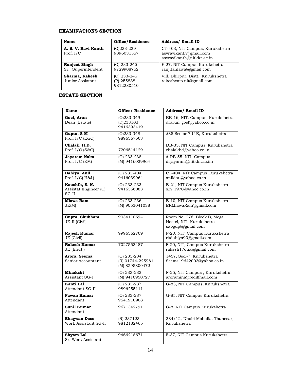#### **EXAMINATIONS SECTION**

| Name                                       | Office/Residence                        | <b>Address/ Email ID</b>                                                               |
|--------------------------------------------|-----------------------------------------|----------------------------------------------------------------------------------------|
| A. S. V. Ravi Kanth<br>Prof. $I/C$         | $(0)$ 233-239<br>9896031557             | CT-403, NIT Campus, Kurukshetra<br>asvravikanth@gmail.com<br>asvravikanth@nitkkr.ac.in |
| <b>Ranjeet Singh</b><br>Sr. Superintendent | (O) 233-245<br>9729908752               | F-27, NIT Campus Kurukshetra<br>ranjitahlawat@gmail.com                                |
| Sharma, Rakesh<br>Junior Assistant         | (O) 233-245<br>(R) 255838<br>9812280510 | Vill. Dhirpur, Distt. Kurukshetra<br>rakeshvats.nit@gmail.com                          |

#### **ESTATE SECTION**

| <b>Name</b>                                        | <b>Office/ Residence</b>                            | Address/ Email ID                                                            |
|----------------------------------------------------|-----------------------------------------------------|------------------------------------------------------------------------------|
| Goel, Arun<br>Dean (Estate)                        | $(O)$ 233-349<br>(R)238103<br>9416393419            | BB-16, NIT, Campus, Kurukshetra<br>drarun_goel@yahoo.co.in                   |
| Gupta, SM<br>Prof. $I/C$ (E&C)                     | $(0)$ 233-348<br>9896367503                         | #85 Sector 7 U E, Kurukshetra                                                |
| Chalak, H.D.<br>Prof. $I/C$ (S&C)                  | 7206514129                                          | DB-35, NIT Campus, Kurukshetra<br>chalakhd@yahoo.co.in                       |
| Jayaram Naka<br>Prof. $I/C$ (EM)                   | $(O)$ 233-238<br>(M) 9416039964                     | # DB-55, NIT, Campus<br>drjayaram@nitkkr.ac.iin                              |
| Dahiya, Anil<br>Prof. I/C(H&L)                     | $(O)$ 233-404<br>9416039964                         | CT-404, NIT Campus Kurukshetra<br>anildau@yahoo.co.in                        |
| Kaushik, S. N.<br>Assistat Engineer (C)<br>$SG-II$ | $(O)$ 233-233<br>9416366083                         | E-21, NIT Campus Kurukshetra<br>s.n_1970@yahoo.co.in                         |
| <b>Mlawa Ram</b><br>JE(M)                          | $(0)$ 233-236<br>(M) 9053041038                     | E-10, NIT Campus Kurukshetra<br>ERMlawaRam@gmail.com                         |
| Gupta, Shubham<br>JE-II (Civil)                    | 9034110694                                          | Room No. 276, Block B, Mega<br>Hostel, NIT, Kurukshetra<br>sabgupt@gmail.com |
| Rajesh Kumar<br>JE (Civil)                         | 9996362709                                          | F-20, NIT, Campus Kurukshetra<br>rkdahiya90@gmail.com                        |
| <b>Rakesh Kumar</b><br>JE (Elect.)                 | 7027553487                                          | F-20, NIT, Campus Kurukshetra<br>rakesh17oual@gmail.com                      |
| Arora, Seema<br>Senior Accountant                  | $(O)$ 233-234<br>(R) 01744-225981<br>(M) 8295800472 | 1457, Sec.-7, Kurukshetra<br>Seema19642003@yahoo.co.in                       |
| Minakshi<br>Assistant SG-I                         | $(0)$ 233-233<br>(M) 9416950727                     | F-25, NIT Campus, Kurukshetra<br>aroramina@rediffmail.com                    |
| Kanti Lal<br>Attendant SG-II                       | $(O)$ 233-237<br>9896255111                         | G-83, NIT Campus, Kurukshetra                                                |
| Pawan Kumar<br>Attendant                           | $(O)$ 233-237<br>9541910908                         | G-85, NIT Campus Kurukshetra                                                 |
| Sunil Kumar<br>Attendant                           | 9671342791                                          | G-8, NIT Campus Kurukshetra                                                  |
| <b>Bhagwan Dass</b><br>Work Assistant SG-II        | (R) 237123<br>9812182465                            | 384/12, Dhobi Mohalla, Thanesar,<br>Kurukshetra                              |
| Shyam Lal<br>Sr. Work Assistant                    | 9466218671                                          | F-37, NIT Campus Kurukshetra                                                 |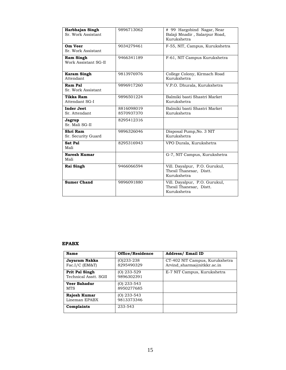| Harbhajan Singh<br>Sr. Work Assistant | 9896713062               | # 99 Hargobind Nagar, Near<br>Balaji Mnadir, Salarpur Road,<br>Kurukshetra |
|---------------------------------------|--------------------------|----------------------------------------------------------------------------|
| Om Veer<br>Sr. Work Assistant         | 9034279461               | F-55, NIT, Campus, Kurukshetra                                             |
| Ram Singh<br>Work Assistant SG-II     | 9466341189               | F-61, NIT Campus Kurukshetra                                               |
| <b>Karam Singh</b><br>Attendant       | 9813976976               | College Colony, Kirmach Road<br>Kurukshetra                                |
| Ram Pal<br>Sr. Work Assistant         | 9896917260               | V.P.O. Dhurala, Kurukshetra                                                |
| <b>Tikka Ram</b><br>Attendant SG-I    | 9896501224               | Balmiki basti Shastri Market<br>Kurukshetra                                |
| <b>Inder Jeet</b><br>Sr. Attendant    | 8816098019<br>8570937370 | Balmiki basti Shastri Market<br>Kurukshetra                                |
| Jagrup<br>Sr. Mali SG-II              | 8295412316               |                                                                            |
| Shri Ram<br>Sr. Security Guard        | 9896326046               | Disposal Pump, No. 3 NIT<br>Kurukshetra                                    |
| Sat Pal<br>Mali                       | 8295316943               | VPO Durala, Kurukshetra                                                    |
| <b>Naresh Kumar</b><br>Mali           |                          | G-7, NIT Campus, Kurukshetra                                               |
| Rai Singh                             | 9466066594               | Vill. Dayalpur, P.O. Gurukul,<br>Thesil Thanesar, Distt.<br>Kurukshetra    |
| <b>Sumer Chand</b>                    | 9896091880               | Vill. Dayalpur, P.O. Gurukul,<br>Thesil Thanesar, Distt.<br>Kurukshetra    |

#### **EPABX**

| Name                                    | Office/Residence             | <b>Address/ Email ID</b>                                     |
|-----------------------------------------|------------------------------|--------------------------------------------------------------|
| Jayaram Nakka<br>$Fac.I/C$ ( $EM&T$ )   | $(O)233 - 238$<br>8295490329 | CT-402 NIT Campus, Kurukshetra<br>Arvind sharma@nitkkr.ac.in |
| Prit Pal Singh<br>Technical Asstt. SGII | (O) 233-529<br>9896302391    | E-7 NIT Campus, Kurukshetra                                  |
| <b>Veer Bahadur</b><br><b>MTS</b>       | (O) 233-543<br>8950277685    |                                                              |
| Rajesh Kumar<br>Lineman EPABX           | (O) 233-543<br>9813373346    |                                                              |
| Complaints                              | 233-543                      |                                                              |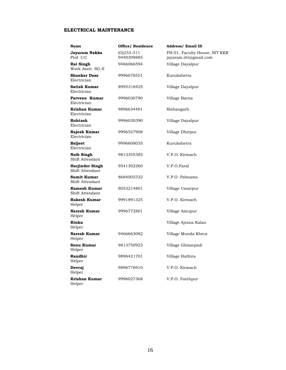#### **ELECTRICAL MAINTENANCE**

| Name                                      | <b>Office/ Residence</b>    | <b>Address/ Email ID</b>                                |
|-------------------------------------------|-----------------------------|---------------------------------------------------------|
| Jayaram Nakka<br>Prof. $I/C$              | $(O)$ 233-311<br>9440309885 | FH-01, Faculty House, NIT KKR<br>jayaram.iitr@gmail.com |
| Rai Singh<br>Work Asstt, SG-II            | 9466066594                  | Village Dayalpur                                        |
| <b>Shankar Dass</b><br>Electrician        | 9996078551                  | Kurukshetra                                             |
| <b>Satish Kumar</b><br>Electrician        | 8995318425                  | Village Dayalpur                                        |
| Parveen Kumar<br>Electrician              | 9996030790                  | Village Barna                                           |
| Krishan Kumar<br>Electrician              | 9896634481                  | Bishangarh                                              |
| Rohtash<br>Electrician                    | 9996030390                  | Village Dayalpur                                        |
| Rajesh Kumar<br>Electrician               | 9996547908                  | Village Dhirpur                                         |
| <b>Baljeet</b><br>Electrician             | 9996608035                  | Kurukshetra                                             |
| <b>Naib Singh</b><br>Shift Attendant      | 9813355385                  | V.P.O. Kirmach                                          |
| <b>Harjinder Singh</b><br>Shift Attendant | 9541302260                  | V.P.O.Faral                                             |
| <b>Sumit Kumar</b><br>Shift Attendant     | 8684005332                  | V.P.O. Pabnawa                                          |
| <b>Ramesh Kumar</b><br>Shift Attendant    | 8053214801                  | Village Umarpur                                         |
| <b>Rakesh Kumar</b><br>Helper             | 9991891325                  | V.P.O. Kirmach                                          |
| Naresh Kumar<br>Helper                    | 9996772801                  | Village Amupur                                          |
| Rinku<br>Helper                           |                             | Village Ajrana Kalan                                    |
| <b>Naresh Kumar</b><br>Helper             | 9466663082                  | Village Munda Khera                                     |
| Sonu Kumar<br>Helper                      | 9813750923                  | Village Ghisarpadi                                      |
| Randhir<br>Helper                         | 9896421701                  | Village Hathira                                         |
| Devraj<br>Helper                          | 9896776910                  | V.P.O. Kirmach                                          |
| Krishan Kumar<br>Helper                   | 9996027368                  | V.P.O. Fatehpur                                         |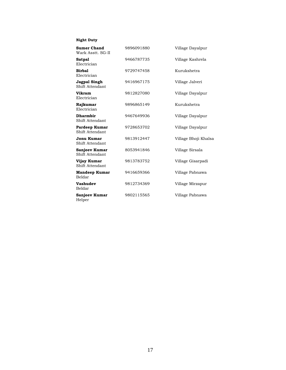#### **Night Duty**

| <b>Sumer Chand</b><br>Wark Asstt, SG-II | 9896091880 | Village Dayalpur     |
|-----------------------------------------|------------|----------------------|
| <b>Satpal</b><br>Electrician            | 9466787735 | Village Kashrela     |
| <b>Birbal</b><br>Electrician            | 9729747458 | Kurukshetra          |
| Jagpal Singh<br>Shift Attendant         | 9416967175 | Village Jalveri      |
| <b>Vikram</b><br>Electrician            | 9812827080 | Village Dayalpur     |
| Rajkumar<br>Electrician                 | 9896865149 | Kurukshetra          |
| <b>Dharmbir</b><br>Shift Attendant      | 9467649936 | Village Dayalpur     |
| Pardeep Kumar<br>Shift Attendant        | 9728653702 | Village Dayalpur     |
| Jonu Kumar<br>Shift Attendant           | 9813912447 | Village Bhoji Khalsa |
| Sanjeev Kumar<br>Shift Attendant        | 8053941846 | Village Sirsala      |
| Vijay Kumar<br>Shift Attendant          | 9813783752 | Village Gisarpadi    |
| <b>Mandeep Kumar</b><br>Beldar          | 9416659366 | Village Pabnawa      |
| Vashudev<br>Beldar                      | 9812734369 | Village Mirzapur     |
| <b>Sanjeev Kumar</b><br>Helper          | 9802115565 | Village Pabnawa      |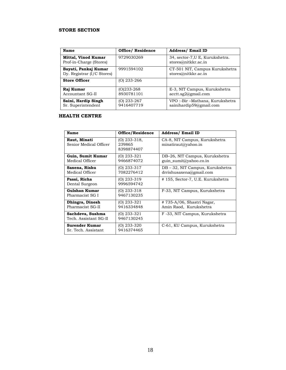#### **STORE SECTION**

| Name                                                  | <b>Office/ Residence</b>    | <b>Address/ Email ID</b>                                         |
|-------------------------------------------------------|-----------------------------|------------------------------------------------------------------|
| <b>Mittal, Vinod Kumar</b><br>Prof-in-Charge (Stores) | 9729030269                  | 34, sector-7, UE, Kurukshetra.<br>stores@nitkkr.ac.in            |
| Bayati, Pankaj Kumar<br>Dy. Registrar (I/C Stores)    | 9991594102                  | CT-501 NIT, Campus Kurukshetra<br>stores@nitkkr.ac.in            |
| <b>Store Officer</b>                                  | $(O)$ 233-266               |                                                                  |
| Raj Kumar<br>Accountant SG-II                         | $(O)233-268$<br>8930781101  | E-3, NIT Campus, Kurukshetra<br>$\arctt.\text{sg2}(a)$ gmail.com |
| Saini, Hardip Singh<br>Sr. Superintendent             | $(O)$ 233-267<br>9416407719 | VPO:-Bir-Mathana, Kurukshetra<br>sainihardip59@gmail.com         |

#### **HEALTH CENTRE**

| <b>Name</b>                               | Office/Residence                     | <b>Address/ Email ID</b>                                    |
|-------------------------------------------|--------------------------------------|-------------------------------------------------------------|
| Raut, Minati<br>Senior Medical Officer    | (O) 233-318.<br>239865<br>8398874407 | CA-8, NIT Campus, Kurukshetra<br>minatiraut@yahoo.in        |
| Guin, Sumit Kumar<br>Medical Officer      | (O) 233-321<br>9466874072            | DB-26, NIT Campus, Kurukshetra<br>guin_sumit@yahoo.co.in    |
| Saxena, Rishu<br>Medical Officer          | (O) 233-317<br>7082276412            | DB – 32, NIT Campus, Kurukshetra<br>drrishusaxena@gmail.com |
| Passi, Richa<br>Dental Surgeon            | (O) 233-319<br>9996594742            | # 155, Sector-7, U.E. Kurukshetra                           |
| <b>Gulshan Kumar</b><br>Pharmacist SG I   | (O) 233-318<br>9467130235            | F-33, NIT Campus, Kurukshetra                               |
| Dhingra, Dinesh<br>Pharmacist SG-II       | (O) 233-321<br>9416334848            | #735-A/06, Shastri Nagar,<br>Amin Raod, Kurukshetra         |
| Sachdeva, Sushma<br>Tech. Assistant SG-II | (O) 233-321<br>9467130245            | F-33, NIT Campus, Kurukshetra                               |
| Surender Kumar<br>Sr. Tech. Assistant     | (O) 233-320<br>9416374465            | C-61, KU Campus, Kurukshetra                                |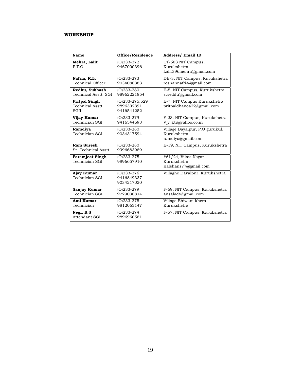#### **WORKSHOP**

| Name                                             | <b>Office/Residence</b>                    | <b>Address/ Email ID</b>                                           |
|--------------------------------------------------|--------------------------------------------|--------------------------------------------------------------------|
| Mehra, Lalit<br>P.T.O.                           | $(O)$ 233-272<br>9467000396                | CT-503 NIT Campus,<br>Kurukshetra<br>Lalit396mehra@gmail.com       |
| Nafria, R.L.<br><b>Technical Officer</b>         | $(O)233-273$<br>9034088383                 | DB-3, NIT Campus, Kurukshetra<br>roshannafria@gmail.com            |
| Redhu, Subhash<br>Technical Asstt. SGI           | $(O)233-280$<br>98962221854                | E-5, NIT Campus, Kurukshetra<br>screddu@gmail.com                  |
| <b>Pritpal Singh</b><br>Technical Asstt.<br>SGII | (O)233-275,529<br>9896302391<br>9416541252 | E-7, NIT Campus Kurukshetra<br>pritpaldhanoa22@gmail.com           |
| Vijay Kumar<br>Technician SGI                    | $(O)$ 233-279<br>9416544693                | F-23, NIT Campus, Kurukshetra<br>Viy_ktr@yahoo.co.in               |
| Ramdiya<br>Technician SGI                        | $(O)$ 233-280<br>9034317594                | Village Dayalpur, P.O gurukul,<br>Kurukshetra<br>ramdiya@gmail.com |
| <b>Ram Suresh</b><br>Sr. Technical Asstt.        | $(O)233-280$<br>9996683989                 | E-19, NIT Campus, Kurukshetra                                      |
| <b>Paramjeet Singh</b><br>Technician SGI         | $(O)$ 233-275<br>9896657910                | #61/24, Vikas Nagar<br>Kurukshetra<br>Kalshans77@gmail.com         |
| Ajay Kumar<br>Technician SGI                     | $(0)233-276$<br>9416849337<br>9034217020   | Villaghe Dayalpur, Kurukshetra                                     |
| Sanjay Kumar<br>Technician SGI                   | $(O)233-279$<br>9729038814                 | F-69, NIT Campus, Kurukshetra<br>ansalads@gmail.com                |
| Anil Kumar<br>Technician                         | $(O)233-275$<br>9812063147                 | Village Bhiwani khera<br>Kurukshetra                               |
| Negi, B.S.<br>Attendant SGI                      | $(O)233-274$<br>9896960581                 | F-57, NIT Campus, Kurukshetra                                      |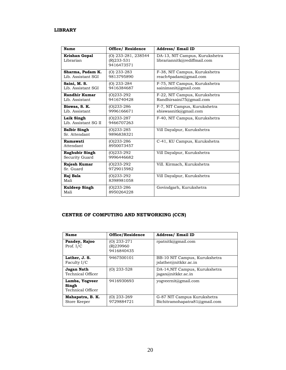#### **LIBRARY**

| <b>Name</b>                             | <b>Office/ Residence</b>                        | <b>Address/ Email ID</b>                                       |
|-----------------------------------------|-------------------------------------------------|----------------------------------------------------------------|
| Krishan Gopal<br>Librarian              | (O) 233-281, 238544<br>(R)233-531<br>9416473571 | DA-13, NIT Campus, Kurukshetra<br>librariannitk@rediffmail.com |
| Sharma, Padam K.<br>Lib. Assistant SGI  | $(O)$ 233-283<br>9813795890                     | F-38, NIT Campus, Kurukshetra<br>reach4padam@gmail.com         |
| Saini, M. S.<br>Lib. Assistant SGI      | $(O)$ 233-284<br>9416384687                     | F-75, NIT Campus, Kurukshetra<br>sainimsnit@gmail.com          |
| <b>Randhir Kumar</b><br>Lib. Assistant  | (0)233-292<br>9416740428                        | F-22, NIT Campus, Kurukshetra<br>Randhirsaini75@gmail.com      |
| Biswas, S. K.<br>Lib. Assistant         | $(0)233 - 286$<br>9996166671                    | F-7, NIT Campus, Kurukshetra<br>sbiswasnitk@gmail.com          |
| Laik Singh<br>Lib. Assistant SG II      | $(O)$ 233-287<br>9466707263                     | F-40, NIT Campus, Kurukshetra                                  |
| <b>Balbir Singh</b><br>Sr. Attendant    | $(0)233 - 285$<br>9896838321                    | Vill Dayalpur, Kurukshetra                                     |
| Ramawati<br>Attendant                   | $(0)233 - 286$<br>8950073457                    | C-41, KU Campus, Kurukshetra                                   |
| <b>Raghubir Singh</b><br>Security Guard | $(0)233-292$<br>9996446682                      | Vill Dayalpur, Kurukshetra                                     |
| Rajesh Kumar<br>Sr. Guard               | (0)233-292<br>9729015982                        | Vill. Kirmach, Kurukshetra                                     |
| Raj Bala<br>Mali                        | $(0)233-292$<br>8398981058                      | Vill Dayalpur, Kurukshetra                                     |
| <b>Kuldeep Singh</b><br>Mali            | (O)233-286<br>8950264228                        | Govindgarh, Kurukshetra                                        |

### **CENTRE OF COMPUTING AND NETWORKING (CCN)**

| Name                                         | Office/Residence                       | <b>Address/ Email ID</b>                                     |
|----------------------------------------------|----------------------------------------|--------------------------------------------------------------|
| Pandey, Rajoo<br>Prof. $I/C$                 | (O) 233-271<br>(R)239960<br>9416840435 | rpatnitk@gmail.com                                           |
| Lather, J. S.<br>Faculty I/C                 | 9467500101                             | BB-10 NIT Campus, Kurukshetra<br>jslather@nitkkr.ac.in       |
| Jagan Nath<br>Technical Officer              | (O) 233-528                            | DA-14, NIT Campus, Kurukshetra<br>jagan@nitkkr.ac.in         |
| Lamba, Yogveer<br>Singh<br>Technical Officer | 9416930693                             | yogveernit@gmail.com                                         |
| Mahapatra, B. K.<br>Store Keeper             | (O) 233-269<br>9729884721              | G-87 NIT Campus Kurukshetra<br>Bichitramohapatra81@gmail.com |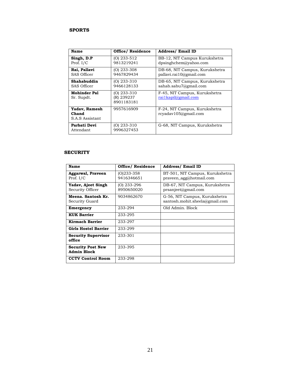#### **SPORTS**

| Name                                      | <b>Office/ Residence</b>                  | <b>Address/ Email ID</b>                                  |
|-------------------------------------------|-------------------------------------------|-----------------------------------------------------------|
| Singh, D.P<br>Prof. $I/C$                 | $(O)$ 233-512<br>9813219241               | BB-12, NIT Campus Kurukshetra<br>$d$ psinghchem@yahoo.com |
| Rai, Pallavi<br>SAS Officer               | $(O)$ 233-308<br>9467829434               | DB-68, NIT Campus, Kurukshetra<br>pallavi.rai10@gmail.com |
| Shahabuddin<br>SAS Officer                | $(O)$ 233-310<br>9466128133               | DB-65, NIT Campus, Kurukshetra<br>sahab.sabu7@gmail.com   |
| <b>Mohinder Pal</b><br>Sr. Supdt.         | $(O)$ 233-310<br>(R) 239237<br>8901183181 | F-45, NIT Campus, Kurukshetra<br>rai1kapil@gmail.com      |
| Yadav, Ramesh<br>Chand<br>S.A.S Assistant | 9957616909                                | F-24, NIT Campus, Kurukshetra<br>rcyadav105@gmail.com     |
| Parbati Devi<br>Attendant                 | $(O)$ 233-310<br>9996327453               | G-68, NIT Campus, Kurukshetra                             |

#### **SECURITY**

| Name                                           | <b>Office/ Residence</b>    | <b>Address/ Email ID</b>                                        |
|------------------------------------------------|-----------------------------|-----------------------------------------------------------------|
| <b>Aggarwal, Praveen</b><br>Prof. $I/C$        | $(0)$ 233-358<br>9416346651 | BT-501, NIT Campus, Kurukshetra<br>$praveen_{agg@hotmail.com}$  |
| Yadav, Ajeet Singh<br>Security Officer         | (O) 233-296<br>8950650020   | DB-67, NIT Campus, Kurukshetra<br>prsanjeet@gmail.com           |
| Meena. Santosh Kr.<br>Security Guard           | 9034862670                  | G-56, NIT Campus, Kurukshetra<br>santosh.mohit.sheela@gmail.com |
| Emergency                                      | 233-294                     | Old Admin, Block                                                |
| <b>KUK Barrier</b>                             | 233-295                     |                                                                 |
| <b>Kirmach Barrier</b>                         | 233-297                     |                                                                 |
| <b>Girls Hostel Barrier</b>                    | 233-299                     |                                                                 |
| <b>Security Supervisor</b><br>office           | 233-301                     |                                                                 |
| <b>Security Post New</b><br><b>Admin Block</b> | 233-395                     |                                                                 |
| <b>CCTV Control Room</b>                       | 233-298                     |                                                                 |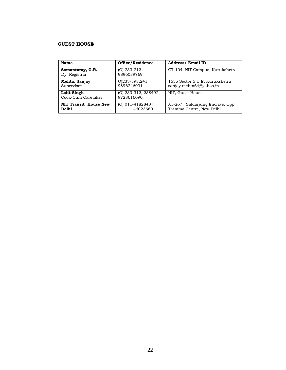#### **GUEST HOUSE**

| Name                                  | Office/Residence                  | <b>Address/ Email ID</b>                                    |
|---------------------------------------|-----------------------------------|-------------------------------------------------------------|
| Samantaray, G.R.<br>Dy. Registrar     | (O) 233-212<br>9896039769         | CT-104, NIT Campus, Kurukshetra                             |
| Mehta, Sanjay<br>Supervisor           | 0)233-398,241<br>9896246031       | 1655 Sector 5 U E, Kurukshetra<br>sanjay.mehta64@yahoo.in   |
| Lalit Singh<br>Cook-Cum Caretaker     | (O) 233-312, 238492<br>9728616090 | NIT, Guest House                                            |
| <b>NIT Transit House New</b><br>Delhi | (O) 011-41828487,<br>46023660     | A1-267, Safdarjung Enclave, Opp<br>Tramma Centre, New Delhi |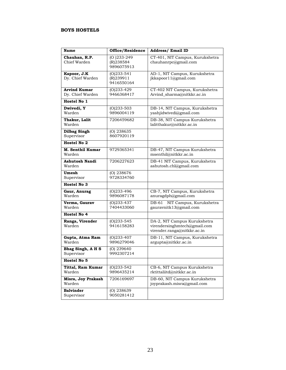#### **BOYS HOSTELS**

| <b>Name</b>                             | Office/Residence                         | <b>Address/ Email ID</b>                                                                    |
|-----------------------------------------|------------------------------------------|---------------------------------------------------------------------------------------------|
| Chauhan, R.P.<br>Chief Warden           | $(O)$ 233-249<br>(R)238584<br>9896075913 | CT-401, NIT Campus, Kurukshetra<br>chauhanrpc@gmail.com                                     |
| Kapoor, J.K<br>Dy. Chief Warden         | $(O)$ 233-541<br>(R)239911<br>9416550164 | AD-1, NIT Campus, Kurukshetra<br>jkkapoor11@gmail.com                                       |
| <b>Arvind Kumar</b><br>Dy. Chief Warden | $(0)$ 233-429<br>9466368417              | CT-402 NIT Campus, Kurukshetra<br>Arvind_sharma@nitkkr.ac.in                                |
| Hostel No 1                             |                                          |                                                                                             |
| Dwivedi, Y<br>Warden                    | $(O)$ 233-503<br>9896004119              | DB-14, NIT Campus, Kurukshetra<br>yashjidwivedi@gmail.com                                   |
| Thakur, Lalit<br>Warden                 | 7206459682                               | DB-38, NIT Campus Kurukshetra<br>lalitthakur@nitkkr.ac.in                                   |
| <b>Dilbag Singh</b><br>Supervisor       | $(O)$ 238635<br>8607920119               |                                                                                             |
| Hostel No 2                             |                                          |                                                                                             |
| M. Senthil Kumar<br>Warden              | 9729365341                               | DB-47, NIT Campus Kurukshetra<br>msenthil@nitkkr.ac.in                                      |
| Ashutosh Nandi<br>Warden                | 7206227623                               | DB-41 NIT Campus, Kurukshetra<br>ashutosh.chl@gmail.com                                     |
| Umesh<br>Supervisor                     | $(O)$ 238676<br>9728334760               |                                                                                             |
| Hostel No 3                             |                                          |                                                                                             |
| Gaur, Anurag<br>Warden                  | $(O)$ 233-496<br>9896087178              | CB-7, NIT Campus, Kurukshetra<br>anuragdph@gmail.com                                        |
| Verma, Gaurav<br>Warden                 | $(O)$ 233-437<br>7404433060              | NIT Campus, Kurukshetra<br>DB-61<br>gauravnitk13@gmail.com                                  |
| Hostel No 4                             |                                          |                                                                                             |
| Ranga, Virender<br>Warden               | $(0)$ 233-545<br>9416158283              | DA-2, NIT Campus Kurukshetra<br>virendersinghmtech@gmail.com<br>virender.ranga@nitkkr.ac.in |
| Gupta, Atma Ram<br>Warden               | $(O)$ 233-407<br>9896279046              | DB-11, NIT Campus, Kurukshetra<br>argupta@nitkkr.ac.in                                      |
| Bhag Singh, A H S<br>Supervisor         | $(O)$ 239640<br>9992307214               |                                                                                             |
| Hostel No 5                             |                                          |                                                                                             |
| <b>Tittal, Ram Kumar</b><br>Warden      | $(0)$ 233-542<br>9896435214              | CB-6, NIT Campus Kurukshetra<br>rktittaliitd@nitkkr.ac.in                                   |
| Misra, Joy Prakash<br>Warden            | 7206169697                               | DB-60, NIT Campus Kurukshetra<br>joyprakash.misra@gmail.com                                 |
| <b>Balvinder</b><br>Supervisor          | $(O)$ 238639<br>9050281412               |                                                                                             |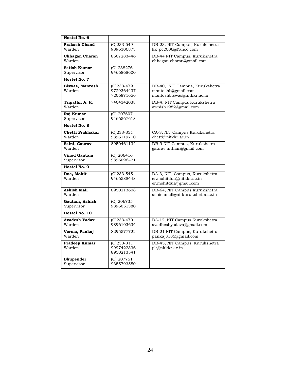| Hostel No. 6                      |                                           |                                                                                     |
|-----------------------------------|-------------------------------------------|-------------------------------------------------------------------------------------|
| <b>Prakash Chand</b><br>Warden    | $(0)$ 233-549<br>9896306873               | DB-23, NIT Campus, Kurukshetra<br>kk pc2006@Yahoo.com                               |
| <b>Chhagan Charan</b><br>Warden   | 8607283446                                | DB-44 NIT Campus, Kurukshetra<br>chhagan.charan@gmail.com                           |
| <b>Satish Kumar</b><br>Supervisor | (O) 238276<br>9466868600                  |                                                                                     |
| Hostel No. 7                      |                                           |                                                                                     |
| Biswas, Mantosh<br>Warden         | $(0)$ 233-479<br>9729364437<br>7206871656 | DB-40, NIT Campus, Kurukshetra<br>mantoshb@gmail.com<br>mantoshbiswas@nitkkr.ac.in  |
| Tripathi, A. K.<br>Warden         | 7404342038                                | DB-4, NIT Campus Kurukshetra<br>awnish1982@gmail.com                                |
| Raj Kumar<br>Supervisor           | (O) 207607<br>9466567618                  |                                                                                     |
| Hostel No. 8                      |                                           |                                                                                     |
| Chetti Prabhakar<br>Warden        | $(O)233-331$<br>9896119710                | CA-3, NIT Campus Kurukshetra<br>chetti@nitkkr.ac.in                                 |
| Saini, Gaurav<br>Warden           | 8950461132                                | DB-9 NIT Campus, Kurukshetra<br>gauray.nitham@gmail.com                             |
| <b>Vinod Gautam</b><br>Supervisor | $(O)$ 206416<br>9896096421                |                                                                                     |
| Hostel No. 9                      |                                           |                                                                                     |
| Dua, Mohit<br>Warden              | $(O)$ 233-545<br>9466588448               | DA-3, NIT, Campus, Kurukshetra<br>er.mohitdua@nitkkr.ac.in<br>er.mohitdua@gmail.com |
| Ashish Mall<br>Warden             | 8950213608                                | DB-64, NIT Campus Kurukshetra<br>ashishmall@nitkurukshetra.ac.in                    |
| Gautam, Ashish<br>Supervisor      | $(O)$ 206735<br>9896051380                |                                                                                     |
| Hostel No. 10                     |                                           |                                                                                     |
| <b>Avadesh Yadav</b><br>Warden    | $(0)$ 233-470<br>9896103634               | DA-12, NIT Campus Kurukshetra<br>avadheshyadava@gmail.com                           |
| Verma, Pankaj<br>Warden           | 8295577722                                | DB-21 NIT Campus, Kurukshetra<br>pankaj8185@gmail.com                               |
| Pradeep Kumar<br>Warden           | $(O)$ 233-311<br>9997422336<br>8950213541 | DB-45, NIT Campus, Kurukshetra<br>pk@nitkkr.ac.in                                   |
| <b>Bhupender</b><br>Supervisor    | (O) 207751<br>9355793550                  |                                                                                     |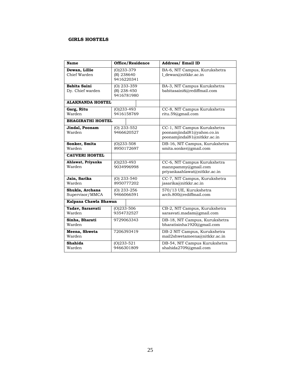#### **GIRLS HOSTELS**

| <b>Name</b>                             | Office/Residence                         | <b>Address/ Email ID</b>                                                                  |
|-----------------------------------------|------------------------------------------|-------------------------------------------------------------------------------------------|
| Dewan, Lillie<br>Chief Warden           | $(O)233-379$<br>(R) 238640<br>9416220341 | BA-6, NIT Campus, Kurukshetra<br>1_dewan@nitkkr.ac.in                                     |
| <b>Babita Saini</b><br>Dy. Chief warden | (O) 233-359<br>(R) 238-450<br>9416781980 | BA-3, NIT Campus Kurukshetra<br>babitasaini6@rediffmail.com                               |
| <b>ALAKNANDA HOSTEL</b>                 |                                          |                                                                                           |
| Garg, Ritu<br>Warden                    | $(O)233-493$<br>9416158769               | CC-8, NIT Campus Kurukshetra<br>ritu.59@gmail.com                                         |
| <b>BHAGIRATHI HOSTEL</b>                |                                          |                                                                                           |
| Jindal, Poonam<br>Warden                | $(O)$ 233-552<br>9466620527              | CC-1, NIT Campus Kurukshetra<br>poonamjindal81@yahoo.co.in<br>poonamjindal81@nitkkr.ac.in |
| Sonker, Smita<br>Warden                 | $(O)$ 233-508<br>8950172697              | DB-16, NIT Campus, Kurukshetra<br>smita.sonker@gmail.com                                  |
| <b>CAUVERI HOSTEL</b>                   |                                          |                                                                                           |
| Ahlawat, Priyanka<br>Warden             | $(O)$ 233-493<br>9034996998              | CC-6, NIT Campus Kurukshetra<br>mannpammy@gmail.com<br>priyankaahlawat@nitkkr.ac.in       |
| Jain, Sarika<br>Warden                  | $(O)$ 233-540<br>8950777202              | CC-7, NIT Campus, Kurukshetra<br>jasarika@nitkkr.ac.in                                    |
| Shukla, Archana<br>Supervisor/MMCA      | $(O)$ 233-256<br>9466066591              | 570/13 UE, Kurukshetra<br>arch.800@rediffmail.com                                         |
| Kalpana Chawla Bhawan                   |                                          |                                                                                           |
| Yadav, Sarasvati<br>Warden              | $(O)233 - 506$<br>9354732527             | CB-2, NIT Campus, Kurukshetra<br>sarasvati.madam@gmail.com                                |
| Sinha, Bharati<br>Warden                | 9729063343                               | DB-18, NIT Campus, Kurukshetra<br>bharatisinha1920@gmail.com                              |
| Meena, Shweta<br>Warden                 | 7206393419                               | DB-2 NIT Campus, Kurukshetra<br>mail2shwetameena@nitkkr.ac.in                             |
| Shahida<br>Warden                       | $(O)$ 233-521<br>9466301809              | DB-54, NIT Campus Kurukshetra<br>shahida2709@gmail.com                                    |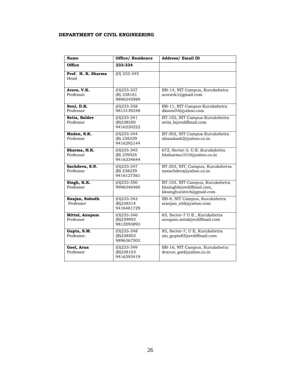#### **DEPARTMENT OF CIVIL ENGINEERING**

| <b>Name</b>                 | <b>Office/ Residence</b>                   | <b>Address/Email ID</b>                                                                 |
|-----------------------------|--------------------------------------------|-----------------------------------------------------------------------------------------|
| <b>Office</b>               | 233-334                                    |                                                                                         |
| Prof. H. K. Sharma<br>Head  | (O) 233-345                                |                                                                                         |
| Arora, V.K.<br>Professor    | $(O)$ 233-337<br>(R) 238161<br>9896245989  | BB-14, NIT Campus, Kurukshetra<br>aroravk1@gmail.com                                    |
| Soni, D.K.<br>Professor     | $(O)$ 233-338<br>9813139248                | BB-11, NIT Campus Kurukshetra<br>dksoni54@yahoo.com                                     |
| Setia, Baldev<br>Professor  | $(O)$ 233-341<br>(R)238350<br>9416220222   | BT-102, NIT Campus Kurukshetra<br>setia b@rediffmail.com                                |
| Madan, S.K.<br>Professor    | $(O)$ 233-344<br>(R) 238329<br>9416292144  | BT-302, NIT Campus Kurukshetra<br>skmadan62@yahoo.co.in                                 |
| Sharma, H.K.<br>Professor   | $(O)$ 233-345<br>(R) 239524<br>9416334644  | 672, Sector-3, U.E. Kurukshetra<br>hksharma1010@yahoo.co.in                             |
| Sachdeva, S.N.<br>Professor | $(O)233 - 347$<br>(R) 238239<br>9416127561 | BT-203, NIT, Campus, Kurukshetra<br>snsachdeva@yahoo.co.in                              |
| Singh, K.K.<br>Professor    | $(O)233 - 350$<br>9996346460               | BT-103, NIT Campus, Kurukshetra<br>kksingh6@rediffmail.com,<br>kksinghunitech@gmail.com |
| Ranjan, Subodh<br>Professor | $(O)$ 233-343<br>(R)238314<br>9416481729   | BB-8, NIT Campus, Kurukshetra<br>sranjan_nitk@yahoo.com                                 |
| Mittal, Anupam<br>Professor | $(O)$ 233-346<br>(R)239993<br>9812093893   | 65, Sector-7 U E, Kurukshetra<br>anupam.mital@rediffmail.com                            |
| Gupta, S.M.<br>Professor.   | $(O)$ 233-348<br>(R)238503<br>9896367503   | 85, Sector-7, U E, Kurukshetra<br>sm_gupta85@rediffmail.com                             |
| Goel, Arun<br>Professor     | $(O)$ 233-349<br>(R)238103<br>9416393419   | BB-16, NIT Campus, Kurukshetra<br>drarun_goel@yahoo.co.in                               |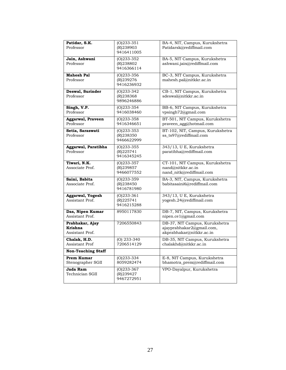|                           | $(O)$ 233-351           | BA-4, NIT, Campus, Kurukshetra   |
|---------------------------|-------------------------|----------------------------------|
| Patidar, S.K.             |                         |                                  |
| Professor                 | (R)238903               | Patidarsk@rediffmail.com         |
|                           | 9416411005              |                                  |
| Jain, Ashwani             | $(O)$ 233-352           | BA-5, NIT Campus, Kurukshetra    |
| Professor                 | (R)238802               | ashwani.jain@rediffmail.com      |
|                           |                         |                                  |
|                           | 9416366114              |                                  |
| <b>Mahesh Pal</b>         | $(0)233 - 356$          | BC-3, NIT Campus, Kurukshetra    |
| Professor                 | (R)239276               | mahesh.pal@nitkkr.ac.in          |
|                           |                         |                                  |
|                           | 9416236932              |                                  |
| Deswal, Surinder          | $(O)233 - 342$          | CB-1, NIT Campus, Kurukshetra    |
| Professor                 | (R)238368               | sdeswal@nitkkr.ac.in             |
|                           | 9896246886              |                                  |
|                           |                         |                                  |
| Singh, V.P.               | $(0)233 - 354$          | BB-6, NIT Campus, Kurukshetra    |
| Professor                 | 9416038460              | vpsingh72@gmail.com              |
| <b>Aggarwal</b> , Praveen | $(O)$ 233-358           | BT-501, NIT Campus, Kurukshetra  |
| Professor                 | 9416346651              | praveen_agg@hotmail.com          |
|                           |                         |                                  |
| Setia, Saraswati          | $(O)$ 233-353           | BT-102, NIT, Campus, Kurukshetra |
| Professor                 | (R)238350               | ss_ts97@rediffmail.com           |
|                           | 9466622999              |                                  |
|                           |                         |                                  |
| Aggarwal, Paratibha       | $(O)$ 233-355           | 343/13, U E, Kurukshetra         |
| Professor                 | (R) 225741              | paratibha@rediffmail.com         |
|                           | 9416345245              |                                  |
|                           |                         |                                  |
|                           |                         |                                  |
| Tiwari, N.K.              | $(O)$ 233-357           | CT-101, NIT Campus, Kurukshetra  |
| Associate Prof.           | (R)239857               | nand@nitkkr.ac.in                |
|                           | 9466077552              | nand_nitk@rediffmail.com         |
|                           |                         |                                  |
| Saini, Babita             | $(O)233 - 359$          | BA-3, NIT, Campus, Kurukshetra   |
| Associate Prof.           | (R)238450               | babitasaini6@rediffmail.com      |
|                           | 9416781980              |                                  |
| Aggarwal, Yogesh          | $(0)$ 233-361           | 343/13, U E, Kurukshetra         |
| Assistant Prof.           | (R) 225741              | yogesh.24@rediffmail.com         |
|                           | 9416215288              |                                  |
|                           |                         |                                  |
| Das, Nipen Kumar          | 8950117830              | DB-7, NIT, Campus, Kurukshetra   |
| Assistant Prof.           |                         | nipen.ce1@gmail.com              |
| Prabhakar, Ajay           | 7206550843              | DB-37, NIT Campus, Kurukshetra   |
| Krishna                   |                         |                                  |
| Assistant Prof.           |                         | ajayprabhakar2@gmail.com,        |
|                           |                         | akprabhakar@nitkkr.ac.in         |
| Chalak, H.D.              | $(O)$ 233-340           | DB-35, NIT Campus, Kurukshetra   |
| Assistant Prof            | 7206514129              | chalakhd@nitkkr.ac.in            |
| <b>Non-Teaching Staff</b> |                         |                                  |
| Prem Kumar                | $(O)233-334$            | E-8, NIT Campus, Kurukshetra     |
|                           |                         |                                  |
| Stenographer SGII         | 8059282474              | bhamotra_prem@rediffmail.com     |
| Jada Ram                  | $(O)233 - 367$          | VPO-Dayalpur, Kurukshetra        |
| Technician SGII           | (R)239427<br>9467272951 |                                  |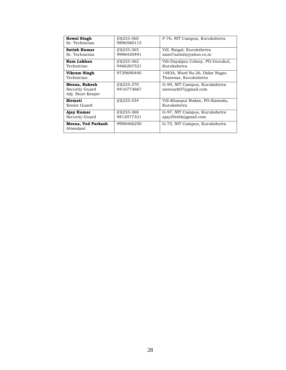| <b>Kewal Singh</b><br>Sr. Technician                 | $(0)233 - 560$<br>9896580115 | F-76, NIT Campus, Kurukshetra                            |
|------------------------------------------------------|------------------------------|----------------------------------------------------------|
| <b>Satish Kumar</b><br>Sr. Technician                | $(O)233 - 365$<br>9996420491 | Vill. Ratgal, Kurukshetra<br>saini7satish@yahoo.co.in    |
| Ram Lakhan<br>Technician                             | $(0)$ 233-362<br>9466267521  | Vill-Dayalpur Colony, PO-Gurukul,<br>Kurukshetra         |
| Vikram Singh<br>Technician                           | 9729690440                   | 1483A, Ward No.26, Didar Nagar,<br>Thanesar, Kurukshetra |
| Meena, Rakesh<br>Security Guard<br>Adj. Store Keeper | $(O)233 - 370$<br>9416773667 | G-99, NIT Campus, Kurukshetra<br>meenark07@gmail.com     |
| <b>Birmati</b><br>Senior Guard                       | $(O)233 - 334$               | Vill-Khanpur Rodan, PO-Kamoda,<br>Kurukshetra            |
| Ajay Kumar<br>Security Guard                         | $(O)233 - 368$<br>9812077321 | G-97, NIT Campus, Kurukshetra<br>ajay20nitk@gmail.com    |
| Meena, Ved Parkash<br>Attendant                      | 9996466250                   | G-75, NIT Campus, Kurukshetra                            |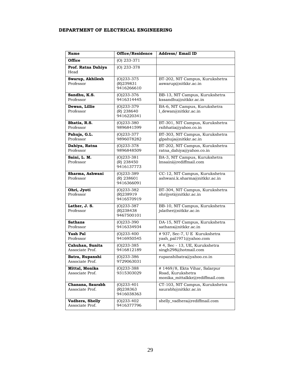#### **DEPARTMENT OF ELECTRICAL ENGINEERING**

| <b>Name</b>                         | Office/Residence                          | <b>Address/Email ID</b>                                                               |
|-------------------------------------|-------------------------------------------|---------------------------------------------------------------------------------------|
| Office                              | $(O)$ 233-371                             |                                                                                       |
| Prof. Ratna Dahiya<br>Head          | $(O)$ 233-378                             |                                                                                       |
| Swarup, Akhilesh<br>Professor       | $(O)$ 233-375<br>(R)239831<br>9416266610  | BT-202, NIT Campus, Kurukshetra<br>aswarup@nitkkr.ac.in                               |
| Sandhu, K.S.<br>Professor           | $(O)$ 233-376<br>9416314445               | BB-13, NIT Campus, Kurukshetra<br>kssandhu@nitkkr.ac.in                               |
| Dewan, Lillie<br>Professor          | $(0)$ 233-379<br>(R) 238640<br>9416220341 | BA-6, NIT Campus, Kurukshetra<br>1_dewan@nitkkr.ac.in                                 |
| Bhatia, R.S.<br>Professor           | $(O)$ 233-380<br>9896841599               | BT-301, NIT Campus, Kurukshetra<br>rsibhatia@yahoo.co.in                              |
| Pahuja, G.L.<br>Professor           | $(O)$ 233-377<br>9896078282               | BT-303, NIT Campus, Kurukshetra<br>glpahuja@nitkkr.ac.in                              |
| Dahiya, Ratna<br>Professor          | $(0)$ 233-378<br>9896848509               | BT-202, NIT Campus, Kurukshetra<br>ratna_dahiya@yahoo.co.in                           |
| Saini, L. M.<br>Professor           | $(O)$ 233-381<br>(R) 238450<br>9416137773 | BA-3, NIT Campus, Kurukshetra<br>lmsaini@rediffmail.com                               |
| Sharma, Ashwani<br>Professor        | $(O)$ 233-389<br>(R) 238601<br>9416366091 | CC-12, NIT Campus, Kurukshetra<br>ashwani.k.sharma@nitkkr.ac.in                       |
| Ohri, Jyoti<br>Professor            | $(O)$ 233-382<br>(R)238919<br>9416570919  | BT-304, NIT Campus, Kurukshetra<br>ohrijyoti@nitkkr.ac.in                             |
| Lather, J. S.<br>Professor          | $(O)$ 233-387<br>(R)238438<br>9467500101  | BB-10, NIT Campus, Kurukshetra<br>jslather@nitkkr.ac.in                               |
| <b>Sathans</b><br>Professor         | $(O)$ 233-390<br>9416334934               | DA-15, NIT Campus, Kurukshetra<br>sathans@nitkkr.ac.in                                |
| Yash Pal<br>Professor               | $(O)$ 233-400<br>9416950545               | # 937, Sec-7, U E Kurukshetra<br>yash_pal1971@yahoo.com                               |
| Cahuhan, Sunita<br>Associate Prof.  | $(O)$ 233-385<br>9416812189               | # 4, Sec - 13, UE, Kurukshetra<br>singh298@hotmail.com                                |
| Batra, Rupanshi<br>Associate Prof.  | $(O)$ 233-386<br>9729063031               | rupanshibatra@yahoo.co.in                                                             |
| Mittal, Monika<br>Associate Prof.   | $(O)$ 233-388<br>9315303029               | #1469/8, Ekta Vihar, Salarpur<br>Road, Kurukshetra<br>monika_mittalkkr@rediffmail.com |
| Chanana, Saurabh<br>Associate Prof. | $(0)$ 233-401<br>(R)238363<br>9416038363  | CT-103, NIT Campus, Kurukshetra<br>saurabh@nitkkr.ac.in                               |
| Vadhera, Shelly<br>Associate Prof.  | (O)233-402<br>9416377796                  | shelly_vadhera@rediffmail.com                                                         |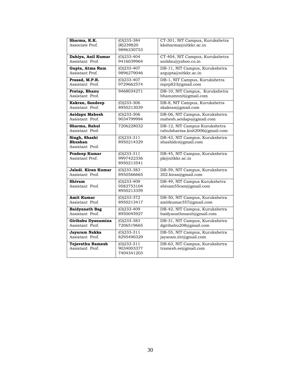| Sharma, K.K.          | $(O)$ 233-384  | CT-301, NIT Campus, Kurukshetra |
|-----------------------|----------------|---------------------------------|
| Associate Prof.       | (R)239820      | kksharma@nitkkr.ac.in           |
|                       | 9896330753     |                                 |
|                       |                |                                 |
| Dahiya, Anil Kumar    | $(O)$ 233-404  | CT-404, NIT Campus, Kurukshetra |
| Assistant Prof.       | 9416039964     | anildau@yahoo.co.in             |
| Gupta, Atma Ram       | $(O)$ 233-407  | DB-11, NIT Campus, Kurukshetra  |
|                       |                |                                 |
| Assistant Prof.       | 9896279046     | argupta@nitkkr.ac.in            |
| Prasad, M.P.R.        | $(O)$ 233-407  | DB-1, NIT Campus, Kurukshetra   |
| Assistant Prof.       | 9729662574     | mprp823@gmail.com               |
|                       |                |                                 |
| Pratap, Bhanu         | 9468034271     | DB-10, NIT Campus, Kurukshetra  |
| Assistant Prof.       |                | bhanumnnit@gmail.com            |
|                       |                |                                 |
| Kakran, Sandeep       | $(O)$ 233-306  | DB-8, NIT Campus, Kurukshetra   |
| Assistant Prof.       | 8950213039     | skakran@gmail.com               |
|                       |                |                                 |
| <b>Aeidapu Mahesh</b> | $(O)$ 233-306  | DB-06, NIT Campus, Kurukshetra  |
| Assistant Prof.       | 9034799994     | mahesh.aeidapu@gmail.com        |
|                       | 7206228032     | DB-12, NIT Campus Kurukshetra   |
| Sharma, Rahul         |                |                                 |
| Assistant Prof.       |                | rahulsharma.knit2006@gmail.com  |
| Singh, Shashi         | $(O)$ 233-311  | DB-43, NIT Campus, Kurukshetra  |
| Bhushan               | 8950214329     | shashidce@gmail.com             |
|                       |                |                                 |
| Assistant Prof.       |                |                                 |
| <b>Pradeep Kumar</b>  | $(O)$ 233-311  | DB-45, NIT Campus, Kurukshetra  |
| Assistant Prof.       | 9997422336     | pk@nitkkr.ac.in                 |
|                       |                |                                 |
|                       | 8950213541     |                                 |
| Jaladi, Kiran Kumar   | $(O)233 - 383$ | DB-59, NIT Campus, Kurukshetra  |
| Assistant Prof.       | 8950566665     | 202.kiran@gmail.com             |
|                       |                |                                 |
| Shivam                | (0)233-409     | DB-49, NIT Campus Kurukshetra   |
| Assistant Prof.       | 9582753104     | shivam55ram@gmail.com           |
|                       | 8950213359     |                                 |
|                       |                |                                 |
| <b>Amit Kumar</b>     | $(O)$ 233-372  | DB-50, NIT Campus, Kurukshetra  |
| Assistant Prof.       | 8950213417     | amitkumar357@gmail.com          |
| <b>Baidyanath Bag</b> | $(O)$ 233-409  | DB-42, NIT Campus, Kurukshetra  |
|                       |                |                                 |
| Assistant Prof.       | 8950045927     | baidyanathmanit@gmail.com       |
| Giribabu Dyanamina    | $(O)$ 233-383  | DB-31, NIT Campus, Kurukshetra  |
| Assistant Prof.       | 7206519665     | dgiribabu208@gmail.com          |
|                       |                |                                 |
| Jayaram Nakka         | $(O)$ 233-311  | DB-55, NIT Campus, Kurukshetra  |
| Assistant Prof.       | 8295490329     | jayaram.iitr@gmail.com          |
|                       |                |                                 |
| Tejavathu Ramesh      | $(0)$ 233-311  | DB-63, NIT Campus, Kurukshetra  |
| Assistant Prof.       | 9034003377     | tramesh.ee@gmail.com            |
|                       | 7404341203     |                                 |
|                       |                |                                 |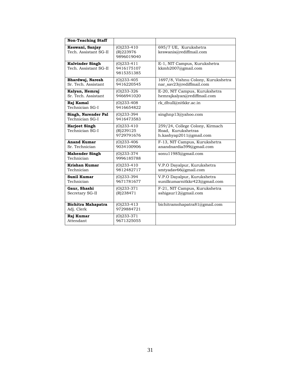| <b>Non-Teaching Staff</b>                       |                                           |                                                                                  |
|-------------------------------------------------|-------------------------------------------|----------------------------------------------------------------------------------|
| Keswani, Sanjay<br>Tech, Assistant SG-II        | $(O)$ 233-410<br>(R)223976<br>9896019040  | 695/7 UE, Kurukshetra<br>keswanis@rediffmail.com                                 |
| <b>Kulvinder Singh</b><br>Tech. Assistant SG-II | $(0)$ 233-411<br>9416175107<br>9815351385 | E-1, NIT Campus, Kurukshetra<br>kkmb2007@gmail.com                               |
| Bhardwaj, Naresh<br>Sr. Tech. Assistant         | $(O)233-405$<br>9416220545                | 1697/8, Vishnu Colony, Kurukshetra<br>nar sav23@rediffmail.com                   |
| Kalyan, Hemraj<br>Sr. Tech. Assistant           | $(O)$ 233-326<br>9466941020               | E-20, NIT Campus, Kurukshetra<br>hemrajkalyan@rediffmail.com                     |
| Raj Kamal<br>Technician SG-I                    | $(O)$ 233-408<br>9416654822               | rk_dhull@nitkkr.ac.in                                                            |
| Singh, Narender Pal<br>Technician SG-I          | $(0)$ 233-394<br>9416473583               | singhnp13@yahoo.com                                                              |
| <b>Harjeet Singh</b><br>Technician SG-I         | $(O)233-410$<br>(R)239125<br>9729791676   | 259/24, College Colony, Kirmach<br>Road, Kurukshetras<br>h.kashyap2011@gmail.com |
| <b>Anand Kumar</b><br>Sr. Technician            | $(0)$ 233-406<br>9034100906               | F-13, NIT Campus, Kurukshetra<br>anandnardia599@gmail.com                        |
| <b>Mahender Singh</b><br>Technician             | $(0)$ 233-374<br>9996185788               | sonu11985@gmail.com                                                              |
| Krishan Kumar<br>Technician                     | $(O)233-410$<br>9812482717                | V.P.O Dayalpur, Kurukshetra<br>smtyadav66@gmail.com                              |
| <b>Sunil Kumar</b><br>Technician                | $(O)233-394$<br>9671781677                | V.P.O Dayalpur, Kurukshetra<br>sunilkumarnitkkr423@gmail.com                     |
| Gaur, Shashi<br>Secretary SG-II                 | $(O)$ 233-371<br>(R)238471                | F-21, NIT Campus, Kurukshetra<br>sshigaur12@gmail.com                            |
| <b>Bichitra Mahapatra</b><br>Adj. Clerk         | $(O)$ 233-413<br>9729884721               | bichitramohapatra81@gmail.com                                                    |
| Raj Kumar<br>Attendant                          | $(O)233-371$<br>9671325055                |                                                                                  |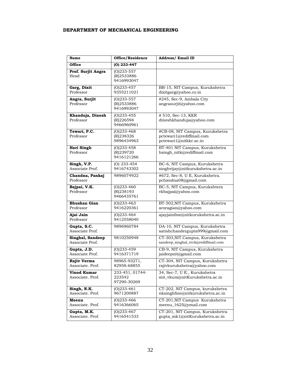#### **DEPARTMENT OF MECHANICAL ENGINEERING**

| <b>Name</b>                            | Office/Residence                           | <b>Address/ Email ID</b>                                                              |
|----------------------------------------|--------------------------------------------|---------------------------------------------------------------------------------------|
| Office                                 | $(O)$ 233-447                              |                                                                                       |
| Prof. Surjit Angra<br>Head             | $(O)233 - 557$<br>(R)2533886<br>9416993047 |                                                                                       |
| Garg, Dixit<br>Professor               | $(O)$ 233-457<br>9355211021                | BB-15, NIT Campus, Kurukshetra<br>dixitgarg@yahoo.co.in                               |
| Angra, Surjit<br>Professor             | $(O)$ 233-557<br>(R)2533886<br>9416993047  | #245, Sec-9, Ambala City<br>angrasurjit@yahoo.com                                     |
| Khanduja, Dinesh<br>Professor          | $(O)$ 233-455<br>(R)226594<br>9466960961   | $# 510$ , Sec-13, KKR<br>dineshkhanduja@yahoo.com                                     |
| Tewari, P.C.<br>Professor              | $(O)$ 233-468<br>(R)238326<br>9896434963   | #CB-08, NIT Campus, Kurukshetra<br>pctewari1@rediffmail.com<br>pctewari1@nitkkr.ac.in |
| Hari Singh<br>Professor                | $(O)$ 233-458<br>(R)239720<br>9416121266   | BT-401 NIT Campus, Kurukshetra<br>hsingh_nitk@rediffmail.com                          |
| Singh, V.P.<br>Associate Prof.         | $(O)$ 233-454<br>9416743302                | BC-6, NIT Campus, Kurukshetra<br>singhvijay@nitkurukshetra.ac.in                      |
| Chandna, Pankaj<br>Professor           | 9896074922                                 | #672, Sec-8, U E, Kurukshetra.<br>pchandna08@gmail.com                                |
| Bajpai, V.K.<br>Professor              | $(O)$ 233-460<br>(R)238193<br>9466435761   | BC-5, NIT Campus, Kurukshtera<br>vkbajpai@yahoo.com                                   |
| Bhushan Gian<br>Professor              | $(O)$ 233-463<br>9416220361                | BT-502, NIT Campus, Kurukshetra<br>aroragian@yahoo.com                                |
| Ajai Jain<br>Professor                 | $(O)$ 233-464<br>9412558040                | ajayjainfme@nitkurukshetra.ac.in                                                      |
| Gupta, S.C.<br>Associate Prof.         | 9896960784                                 | DA-10, NIT Campus, Kurukshetra<br>satishchandergupta999@gmail.com                     |
| Singhal, Sandeep<br>Associate Prof.    | 9810250948                                 | CT-303, NIT Campus, Kurukshetra<br>sandeep_singhal_reck@rediffmail.com                |
| Gupta, J.D.<br>Associate Prof.         | $(O)$ 233-459<br>9416371719                | CB-9, NIT Campus, Kurukshetra<br>jaideepnit@gmail.com                                 |
| Rajiv Verma<br>Associate. Prof.        | 98965-93271,<br>82958-68855                | CT-304, NIT Campus, Kurukshetra<br>rajivkurukshetra@yahoo.com                         |
| <b>Vinod Kumar</b><br>Associate. Prof. | 233-451, 01744-<br>223542<br>97290-30269   | 34, Sec-7, U E., Kurukshetra<br>mit_vkum@nitKurukshetra.ac.in                         |
| Singh, N.K.<br>Associate. Prof.        | $(0)$ 233-461<br>9671200887                | CT-202, NIT Campus, kurukshetra<br>nksinghfme@nitkurukshetra.ac.in                    |
| Meenu<br>Associate. Prof.              | $(O)$ 233-466<br>9416366065                | CT-201, NIT Campus Kurukshetra<br>meenu_1625@ymail.com                                |
| Gupta, M.K.<br>Associate. Prof.        | $(O)$ 233-467<br>9416541533                | CT-201, NIT Campus, Kurukshetra<br>gupta_mk1@nitKurukshetra.ac.in                     |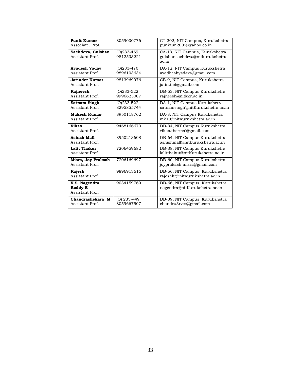| <b>Punit Kumar</b>                                 | 8059000776                   | CT-302, NIT Campus, Kurukshetra                                   |
|----------------------------------------------------|------------------------------|-------------------------------------------------------------------|
| Associate, Prof.                                   |                              | punkum2002@yahoo.co.in                                            |
| Sachdeva, Gulshan                                  | $(O)$ 233-469                | CA-13, NIT Campus, Kurukshetra                                    |
| Assistant Prof.                                    | 9812533221                   | gulshansachdeva@nitkurukshetra.<br>ac.in                          |
| <b>Avadesh Yadav</b>                               | $(O)233-470$                 | DA-12, NIT Campus Kurukshetra                                     |
| Assistant Prof.                                    | 9896103634                   | avadheshyadava@gmail.com                                          |
| Jatinder Kumar<br>Assistant Prof.                  | 9813969976                   | CB-9, NIT Campus, Kurukshetra<br>jatin.tiet@gmail.com             |
| Rajneesh<br>Assistant Prof.                        | $(O)$ 233-522<br>9996625007  | DB-53, NIT Campus Kurukshetra<br>rajneesh@nitkkr.ac.in            |
| <b>Satnam Singh</b><br>Assistant Prof.             | $(O)233 - 522$<br>8295855744 | DA-1, NIT Campus Kurukshetra<br>satnamsingh@nitKurukshetra.ac.in  |
| <b>Mukesh Kumar</b><br>Assistant Prof.             | 8950118762                   | DA-8, NIT Campus Kurukshetra<br>mk10@nitKurukshetra.ac.in         |
| Vikas<br>Assistant Prof.                           | 9468166670                   | DB-34, NIT Campus Kurukshetra<br>vikas.thermal@gmail.com          |
| <b>Ashish Mall</b><br>Assistant Prof.              | 8950213608                   | DB-64, NIT Campus Kurukshetra<br>ashishmall@nitkurukshetra.ac.in  |
| <b>Lalit Thakur</b><br>Assistant Prof.             | 7206459682                   | DB-38, NIT Campus Kurukshetra<br>lalitthakut@nitKurukshetra.ac.in |
| Misra, Joy Prakash<br>Assistant Prof.              | 7206169697                   | DB-60, NIT Campus Kurukshetra<br>joyprakash.misra@gmail.com       |
| Rajesh<br>Assistant Prof.                          | 9896913616                   | DB-56, NIT Campus, Kurukshetra<br>rajeshkr@nitKurukshetra.ac.in   |
| V.S. Nagendra<br><b>Reddy B</b><br>Assistant Prof. | 9034159769                   | DB-66, NIT Campus, Kurukshetra<br>nagendra@nitKurukshetra.ac.in   |
| Chandrashekara .M<br>Assistant Prof.               | (O) 233-449<br>8059667507    | DB-39, NIT Campus, Kurukshetra<br>chandru3rvce@gmail.com          |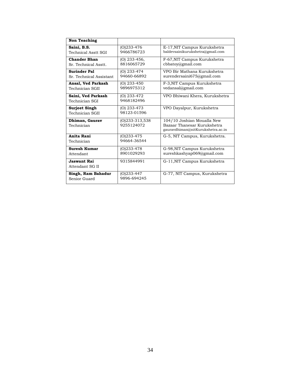| <b>Non Teaching</b>                            |                                 |                                                                                                |
|------------------------------------------------|---------------------------------|------------------------------------------------------------------------------------------------|
| Saini, B.S.<br>Technical Asstt SGI             | $(O)$ 233-476<br>9466786723     | E-17, NIT Campus Kurukshetra<br>baldevsainikurukshetra@gmail.com                               |
| <b>Chander Bhan</b><br>Sr. Technical Asstt.    | $(O)$ 233-456,<br>8816065729    | F-67, NIT Campus Kurukshetra<br>cbbatoy@gmail.com                                              |
| <b>Surinder Pal</b><br>Sr. Technical Assistant | $(O)$ 233-474<br>94660-66892    | VPO Bir Mathana Kurukshetra<br>surendersaini675@gmail.com                                      |
| Ansal, Ved Parkash<br>Technician SGII          | $(O)$ 233-450<br>9896975312     | F-3, NIT Campus Kurukshetra<br>vedansal@gmail.com                                              |
| Saini, Ved Parkash<br>Technician SGI           | $(O)$ 233-472<br>9468182496     | VPO Bhiwani Khera, Kurukshetra                                                                 |
| Surjeet Singh<br>Technician SGII               | $(O)$ 233-473<br>98123-01596    | VPO Dayalpur, Kurukshetra                                                                      |
| Dhiman, Gaurav<br>Technician                   | $(0)$ 233-313,538<br>9255124072 | 104/10 Joshian Moualla New<br>Bazaar Thanesar Kurukshetra<br>gauravdhiman@nitKurukshetra.ac.in |
| Anita Rani<br>Technician                       | $(O)$ 233-475<br>94664-36544    | G-5, NIT Campus, Kurukshetra.                                                                  |
| <b>Suresh Kumar</b><br>Attendant               | $(O)$ 233-478<br>8901029293     | G-98, NIT Campus Kurukshetra<br>sureshkashyap069@gmail.com                                     |
| Jaswant Rai<br>Attendant SG II                 | 9315844991                      | G-11, NIT Campus Kurukshetra                                                                   |
| Singh, Ram Bahadur<br>Senior Guard             | $(O)$ 233-447<br>9896-694245    | G-77, NIT Campus, Kurukshetra                                                                  |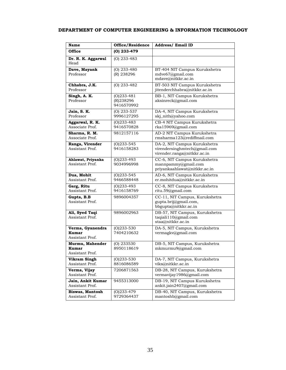#### **DEPARTMENT OF COMPUTER ENGINEERING & INFORMATION TECHNOLOGY**

| <b>Name</b>                                  | Office/Residence                         | <b>Address/ Email ID</b>                                                                    |
|----------------------------------------------|------------------------------------------|---------------------------------------------------------------------------------------------|
| <b>Office</b>                                | (0) 233-479                              |                                                                                             |
| Dr. R. K. Aggarwal<br>Head                   | $(O)$ 233-483                            |                                                                                             |
| Dave, Mayank<br>Professor                    | $(O)$ 233-480<br>(R) 238296              | BT-404 NIT Campus Kurukshetra<br>mdve67@gmail.com<br>mdave@nitkkr.ac.in                     |
| Chhabra, J.K.<br>Professor                   | (O) 233-482                              | BT-503 NIT Campus Kurukshetra<br>jitenderchhabra@nitkkr.ac.in                               |
| Singh, A. K.<br>Professor                    | $(O)$ 233-481<br>(R)238296<br>9416570992 | BB-1, NIT Campus Kurukshetra<br>aksinreck@gmail.com                                         |
| Jain, S. K.<br>Professor                     | $(O)$ 233-537<br>9996127295              | DA-4, NIT Campus Kurukshetra<br>skj_nith@yahoo.com                                          |
| Aggarwal, R. K.<br>Associate Prof.           | $(O)$ 233-483<br>9416570828              | CB-4 NIT Campus Kurukshetra<br>rka15969@gmail.com                                           |
| Sharma, R. M.<br>Associate Prof.             | 9812157116                               | AD-2 NIT Campus Kurukshetra<br>rmsharma123@rediffmail.com                                   |
| Ranga, Virender<br>Assistant Prof.           | $(O)$ 233-545<br>9416158283              | DA-2, NIT Campus Kurukshetra<br>virendersinghmtech@gmail.com<br>virender.ranga@nitkkr.ac.in |
| Ahlawat, Priyanka<br>Assistant Prof.         | $(O)$ 233-493<br>9034996998              | CC-6, NIT Campus Kurukshetra<br>mannpammy@gmail.com<br>priyankaahlawat@nitkkr.ac.in         |
| Dua, Mohit<br>Assistant Prof.                | $(O)233 - 545$<br>9466588448             | AD-6, NIT Campus Kurukshetra<br>er.mohitdua@nitkkr.ac.in                                    |
| Garg, Ritu<br>Assistant Prof.                | $(O)233 - 493$<br>9416158769             | CC-8, NIT Campus Kurukshetra<br>ritu.59@gmail.com                                           |
| Gupta, B.B<br>Assistant Prof.                | 9896004357                               | CC-11, NIT Campus, Kurukshetra<br>gupta.brij@gmail.com,<br>bbgupta@nitkkr.ac.in             |
| Ali, Syed Taqi<br>Assistant Prof.            | 9896002963                               | DB-57, NIT Campus, Kurukshetra<br>taqiali110@gmail.com<br>staa@nitkkr.ac.in                 |
| Verma, Gyanendra<br>Kumar<br>Assistant Prof. | $(O)$ 233-530<br>7404210632              | DA-5, NIT Campus, Kurukshetra<br>vermagkv@gmail.com                                         |
| Murmu, Mahender<br>Kumar<br>Assistant Prof.  | $(O)$ 233530<br>8950118619               | DB-5, NIT Campus, Kurukshetra<br>mkmurmu9@gmail.com                                         |
| <b>Vikram Singh</b><br>Assistant Prof.       | $(O)233 - 530$<br>8816086589             | DA-7, NIT Campus, Kurukshetra<br>viks@nitkkr.ac.in                                          |
| Verma, Vijay<br>Assistant Prof.              | 7206871563                               | DB-28, NIT Campus, Kurukshetra<br>vermavijay1986@gmail.com                                  |
| Jain, Ankit Kumar<br>Assistant Prof.         | 9455313000                               | DB-19, NIT Campus Kurukshetra<br>ankit.jain2407@gmail.com                                   |
| <b>Biswas, Mantosh</b><br>Assistant Prof.    | $(O)$ 233-479<br>9729364437              | DB-40, NIT Campus, Kurukshetra<br>mantoshb@gmail.com                                        |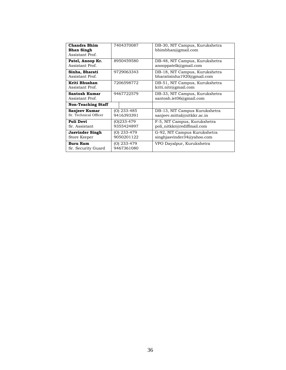| <b>Chandra Bhim</b><br><b>Bhan Singh</b><br>Assistant Prof. | 7404370087                  | DB-30, NIT Campus, Kurukshetra<br>bhimbhan@gmail.com          |
|-------------------------------------------------------------|-----------------------------|---------------------------------------------------------------|
| Patel, Anoop Kr.<br>Assistant Prof.                         | 8950459580                  | DB-48, NIT Campus, Kurukshetra<br>anooppatelk@gmail.com       |
| Sinha, Bharati<br>Assistant Prof.                           | 9729063343                  | DB-18, NIT Campus, Kurukshetra<br>bharatisinha 1920@gmail.com |
| Kriti Bhushan<br>Assistant Prof.                            | 7206598772                  | DB-51, NIT Campus, Kurukshetra<br>kriti.nitr@gmail.com        |
| <b>Santosh Kumar</b><br>Assistant Prof.                     | 9467722579                  | DB-33, NIT Campus, Kurukshetra<br>santosh.iet06@gmail.com     |
| <b>Non-Teaching Staff</b>                                   |                             |                                                               |
| Sanjeev Kumar<br>Sr. Technical Officer                      | $(O)$ 233-485<br>9416393391 | DB-13, NIT Campus Kurukshetra<br>sanjeev.mittal@nitkkr.ac.in  |
| Poli Devi<br>Sr. Assistant                                  | (0)233-479<br>9355424897    | F-5, NIT Campus, Kurukshetra<br>poli_nitkkr@rediffmail.com    |
| <b>Jasvinder Singh</b><br>Store Keeper                      | (O) 233-479<br>9050201122   | G-92, NIT Campus Kurukshetra<br>singhjasvinder34@yahoo.com    |
| <b>Buru Ram</b><br>Sr. Security Guard                       | $(O)$ 233-479<br>9467361080 | VPO Dayalpur, Kurukshetra                                     |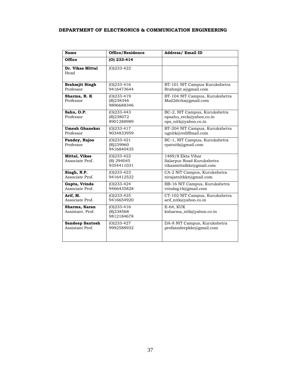#### **DEPARTMENT OF ELECTRONICS & COMMUNICATION ENGINEERING**

| <b>Name</b>                               | Office/Residence                          | <b>Address/ Email ID</b>                                                         |
|-------------------------------------------|-------------------------------------------|----------------------------------------------------------------------------------|
| <b>Office</b>                             | $(0)$ 233-414                             |                                                                                  |
| Dr. Vikas Mittal<br>Head                  | $(O)$ 233-422                             |                                                                                  |
| <b>Brahmjit Singh</b><br>Professor        | $(O)$ 233-416<br>9416473644               | BT-101 NIT Campus Kurukshetra<br>Brahmjit.s@gmail.com                            |
| Sharma, R. K<br>Professor                 | $(0)$ 233-419<br>(R)238346<br>9896688346  | BT-104 NIT Campus, Kurukshetra<br>Mail2drrks@gmail.com                           |
| Sahu, O.P.<br>Professor                   | $(O)$ 233-443<br>(R)238072<br>8901288989  | BC-2, NIT Campus, Kurukshetra<br>opsahu reck@yahoo.co.in<br>ops_nitk@yahoo.co.in |
| <b>Umesh Ghanekar</b><br>Professor        | $(0)233-417$<br>9034833959                | BT-204 NIT Campus, Kurukshetra<br>ugnitk@rediffmail.com                          |
| Pandey, Rajoo<br>Professor                | $(0)$ 233-421<br>(R)239960<br>9416840435  | BC-1, NIT Campus, Kurukshetra<br>$r$ patnitk@gmail.com                           |
| <b>Mittal, Vikas</b><br>Associate Prof.   | $(O)$ 233-422<br>(R) 294045<br>9354411031 | 1469/8 Ekta Vihar<br>Salarpur Road Kurukshetra<br>vikasmittalkkr@gmail.com       |
| Singh, N.P.<br>Associate Prof.            | $(O)$ 233-423<br>9416412522               | CA-2 NIT Campus, Kurukshetra<br>nirajatnitkkr@gmail.com                          |
| Gupta, Vrinda<br>Associate Prof.          | $(0)$ 233-424<br>9466435828               | BB-16 NIT Campus, Kurukshetra<br>vrindag16@gmail.com                             |
| Arif. M.<br>Associate Prof.               | $(0)233-425$<br>9416654920                | CT-102 NIT Campus, Kurukshetra<br>arif_nitk@yahoo.co.in                          |
| Sharma, Karan<br>Assistant, Prof.         | $(0)$ 233-416<br>(R)238568<br>9812184678  | E-64, KUK<br>ksharma_nitk@yahoo.co.in                                            |
| <b>Sandeep Santosh</b><br>Assistant Prof. | $(O)$ 233-427<br>9992588932               | DA-8 NIT Campus, Kurukshetra<br>profsandeepkkr@gmail.com                         |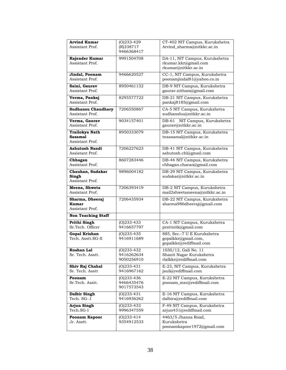| <b>Arvind Kumar</b>              | $(0)$ 233-429               | CT-402 NIT Campus, Kurukshetra            |
|----------------------------------|-----------------------------|-------------------------------------------|
| Assistant Prof.                  | (R)238717                   | Arvind_sharma@nitkkr.ac.in                |
|                                  | 9466368417                  |                                           |
|                                  |                             |                                           |
| Rajender Kumar                   | 9991504708                  | DA-11, NIT Campus, Kurukshetra            |
| Assistant Prof.                  |                             | rkumar.kkr@gmail.com                      |
|                                  |                             | rkumar@nitkkr.ac.in                       |
| Jindal, Poonam                   | 9466620527                  | CC-1, NIT Campus, Kurukshetra             |
| Assistant Prof.                  |                             | poonamjindal81@yahoo.co.in                |
|                                  | 8950461132                  |                                           |
| Saini, Gaurav<br>Assistant Prof. |                             | DB-9 NIT Campus, Kurukshetra              |
|                                  |                             | gaurav.nitham@gmail.com                   |
| Verma, Pankaj                    | 8295577722                  | DB-21 NIT Campus, Kurukshetra             |
| Assistant Prof.                  |                             | pankaj8185@gmail.com                      |
| <b>Sudhansu Chaudhary</b>        | 7206550867                  | CA-5 NIT Campus, Kurukshetra              |
| Assistant Prof.                  |                             | sudhanshu@nitkkr.ac.in                    |
|                                  |                             |                                           |
| Verma, Gaurav                    | 9034157401                  | DB-61<br>NIT Campus, Kurukshetra          |
| Assistant Prof.                  |                             | gaurav@nitkkr.ac.in                       |
| <b>Trailokya Nath</b>            | 8950333079                  | DB-15 NIT Campus, Kurukshetra             |
| <b>Sasamal</b>                   |                             | tnsasamal@nitkkr.ac.in                    |
| Assistant Prof.                  |                             |                                           |
| Ashutosh Nandi                   | 7206227623                  | DB-41 NIT Campus, Kurukshetra             |
| Assistant Prof.                  |                             | ashutosh.chl@gmail.com                    |
|                                  |                             |                                           |
| Chhagan                          | 8607283446                  | DB-44 NIT Campus, Kurukshetra             |
| Assistant Prof.                  |                             | chhagan.charan@gmail.com                  |
| Chauhan, Sudakar                 | 9896004182                  | DB-29 NIT Campus, Kurukshetra             |
| Singh                            |                             | sudakar@nitkkr.ac.in                      |
| Assistant Prof.                  |                             |                                           |
|                                  |                             |                                           |
|                                  |                             |                                           |
| Meena, Shweta                    | 7206393419                  | DB-2 NIT Campus, Kurukshetra              |
| Assistant Prof.                  |                             | mail2shwetameena@nitkkr.ac.in             |
| Sharma, Dheeraj                  | 7206435934                  | DB-22 NIT Campus, Kurukshetra             |
| Kumar                            |                             | sharma986dheeraj@gmail.com                |
| Assistant Prof.                  |                             |                                           |
| <b>Non Teaching Staff</b>        |                             |                                           |
|                                  |                             |                                           |
| Prithi Singh<br>Sr.Tech. Officer | $(O)$ 233-433<br>9416657797 | CA-1 NIT Campus, Kurukshetra              |
|                                  |                             | prattnitk@gmail.com                       |
| <b>Gopal Krishan</b>             | $(O)$ 233-435               | 885, Sec.-7 U E Kurukshetra               |
| Tech. Asstt.SG-II                | 9416911689                  | gopalkkr@gmail.com,                       |
|                                  |                             | gopalkkr@rediffmail.com                   |
| Roshan Lal                       | $(O)$ 233-432               | 1030/12, Gali No. 11                      |
| Sr. Tech. Asstt.                 | 9416262634                  | Shanti Nagar Kurukshetra                  |
|                                  | 9050256910                  | rlalkkr@rediffmail.com                    |
|                                  |                             |                                           |
| Shiv Raj Chahal                  | $(O)$ 233-431               | E-23, NIT Campus, Kurukshetra             |
| Sr. Tech. Asstt                  | 9416967162                  | jauli@rediffmail.com                      |
| Poonam                           | $(O)$ 233-436               | E-22 NIT Campus, Kurukshetra              |
| Sr.Tech. Asstt.                  | 9466435476                  | poonam_msc@rediffmail.com                 |
|                                  | 9017573543                  |                                           |
| Dalbir Singh                     | $(O)$ 233-431               | E-16 NIT Campus, Kurukshetra              |
| Tech. SG-.I                      | 9416936262                  | dalbirs@rediffmail.com                    |
|                                  |                             |                                           |
| Arjun Singh                      | $(O)$ 233-433               | F-49 NIT Campus, Kurukshetra              |
| Tech.SG-I                        | 9996347559                  | arjun431@rediffmail.com                   |
| Poonam Kapoor                    | $(O)$ 233-414               | 4463/5 Jhansa Road,                       |
| Jr. Asstt.                       | 9354912533                  | Kurukshetra<br>poonamkapoor1972@gmail.com |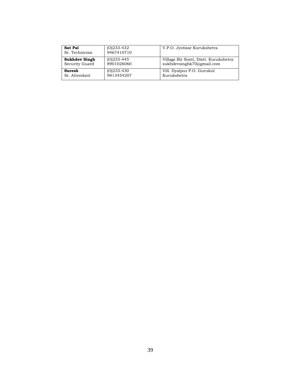| Sat Pal<br>Sr. Technician | $(0)$ 233-432<br>9467410710 | V.P.O. Jyotisar Kurukshetra           |
|---------------------------|-----------------------------|---------------------------------------|
| Sukhdev Singh             | $(O)233-445$                | Village Bir Sonti, Distt. Kurukshetra |
| Security Guard            | 8901026060                  | sukhdevsinghk70@gmail.com             |
| Suresh                    | $(O)$ 233-430               | Vill. Dyalpur P.O. Gurukul            |
| Sr. Attendant             | 9813454207                  | Kurukshetra                           |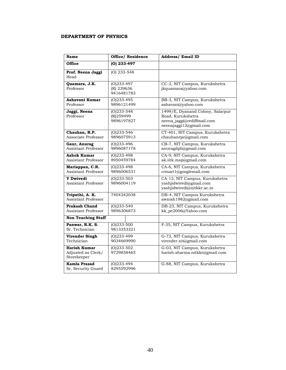#### **DEPARTMENT OF PHYSICS**

| <b>Name</b>                                              | <b>Office/ Residence</b>                  | <b>Address/Email ID</b>                                                                                       |
|----------------------------------------------------------|-------------------------------------------|---------------------------------------------------------------------------------------------------------------|
| Office                                                   | (0) 233-497                               |                                                                                                               |
| Prof. Neena Jaggi<br>Head                                | $(O)$ 233-548                             |                                                                                                               |
| Quamara, J.K.<br>Professor                               | $(O)$ 233-497<br>(R) 239636<br>9416481783 | CC-2, NIT Campus, Kurukshetra<br>jkquamara@yahoo.com                                                          |
| Ashavani Kumar<br>Professor                              | $(0)$ 233-495<br>9896121499               | BB-3, NIT Campus, Kurukshetra<br>ashavani@yahoo.com                                                           |
| Jaggi, Neena<br>Professor                                | $(O)$ 233-548<br>(R)259499<br>9896197827  | 1499/E, Dyanand Colony, Salarpur<br>Road, Kurukshetra<br>neena_jaggi@rediffmail.com<br>neenajaggi12@gmail.com |
| Chauhan, R.P.<br>Associate Professor                     | $(O)$ 233-546<br>9896075913               | CT-401, NIT Campus, Kurukshetra<br>chauhanrpc@gmail.com                                                       |
| Gaur, Anurag<br>Assistant Professor                      | $(0)$ 233-496<br>9896087178               | CB-7, NIT Campus, Kurukshetra<br>anuragdph@gmail.com                                                          |
| <b>Ashok Kumar</b><br>Assistant Professor                | $(O)233-498$<br>8950459784                | CA-9, NIT Campus, Kurukshetra<br>ak.iitk.msp@gmail.com                                                        |
| Mariappan, C.R.<br>Assistant Professor                   | $(O)233-498$<br>9896006531                | CA-6, NIT Campus, Kurukshetra<br>crmari1@googlemail.com                                                       |
| <b>Y</b> Dwivedi<br>Assistant Professor                  | $(O)233 - 503$<br>9896004119              | CA-12, NIT Campus, Kurukshetra<br>yashjidwivedi@gmail.com<br>yashjidwivedi@nitkkr.ac.in                       |
| Tripathi, A. K.<br>Assistant Professor                   | 7404342038                                | DB-4, NIT Campus Kurukshetra<br>awnish1982@gmail.com                                                          |
| <b>Prakash Chand</b><br>Assistant Professor              | $(0)$ 233-549<br>9896306873               | DB-23, NIT Campus, Kurukshetra<br>kk_pc2006@Yahoo.com                                                         |
| <b>Non Teaching Staff</b>                                |                                           |                                                                                                               |
| Panwar, R.K. S.<br>Sr. Technician                        | $(0)$ 233-500<br>9813353321               | F-35, NIT Campus, Kurukshetra                                                                                 |
| <b>Virender Singh</b><br>Technician                      | $(0)$ 233-499<br>9034669990               | G-73, NIT Campus, Kurukshetra<br>virender.nit@gmail.com                                                       |
| <b>Harish Kumar</b><br>Adjusted as Clerk/<br>Storekeeper | $(O)$ 233-502<br>9729858465               | G-03, NIT Campus, Kurukshetra<br>harish.sharma.nitkkr@gmail.com                                               |
| <b>Kamla Prasad</b><br>Sr. Security Guard                | $(O)$ 233-494<br>8295592996               | G-88, NIT Campus, Kurukshetra                                                                                 |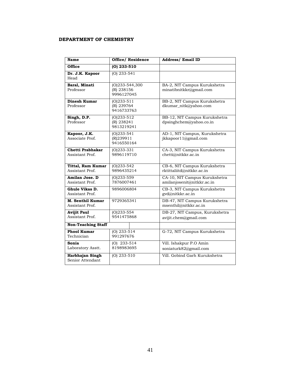#### **DEPARTMENT OF CHEMISTRY**

| <b>Name</b>                           | <b>Office/ Residence</b>                   | <b>Address/ Email ID</b>                                    |
|---------------------------------------|--------------------------------------------|-------------------------------------------------------------|
| <b>Office</b>                         | $(O)$ 233-510                              |                                                             |
| Dr. J.K. Kapoor<br>Head               | $(O)$ 233-541                              |                                                             |
| Baral, Minati<br>Professor            | (O)233-544,300<br>(R) 238156<br>9996127045 | BA-2, NIT Campus Kurukshetra<br>minatibnitkkr@gmail.com     |
| Dinesh Kumar<br>Professor             | $(0)233 - 511$<br>(R) 239764<br>9416733763 | BB-2, NIT Campus Kurukshetra<br>dkumar_nitk@yahoo.com       |
| Singh, D.P.<br>Professor              | $(O)$ 233-512<br>(R) 238241<br>9813219241  | BB-12, NIT Campus Kurukshetra<br>dpsinghchem@yahoo.co.in    |
| Kapoor, J.K.<br>Associate Prof.       | $(O)$ 233-541<br>(R)239911<br>9416550164   | AD-1, NIT Campus, Kurukshetra<br>jkkapoor11@gmail.com       |
| Chetti Prabhakar<br>Assistant Prof.   | $(O)$ 233-331<br>9896119710                | CA-3, NIT Campus Kurukshetra<br>chetti@nitkkr.ac.in         |
| Tittal, Ram Kumar<br>Assistant Prof.  | $(O)233 - 542$<br>9896435214               | CB-6, NIT Campus Kurukshetra<br>rktittaliitd@nitkkr.ac.in   |
| Amilan Jose. D<br>Assistant Prof.     | $(O)233 - 559$<br>7876007461               | CA-10, NIT Campus Kurukshetra<br>amilanjosenit@nitkkr.ac.in |
| Ghule Vikas D.<br>Assistant Prof.     | 9896006804                                 | CB-3, NIT Campus Kurukshetra<br>gyd@nitkkr.ac.in            |
| M. Senthil Kumar<br>Assistant Prof.   | 9729365341                                 | DB-47, NIT Campus Kurukshetra<br>msenthil@nitkkr.ac.in      |
| <b>Avijit Paul</b><br>Assistant Prof. | $(O)$ 233-554<br>9541475868                | DB-27, NIT Campus, Kurukshetra<br>avijit.chem@gmail.com     |
| <b>Non-Teaching Staff</b>             |                                            |                                                             |
| <b>Phool Kumar</b><br>Technician      | $(O)$ 233-514<br>991297676                 | G-72, NIT Campus Kurukshetra                                |
| Sonia<br>Laboratory Asstt.            | $(O)$ 233-514<br>8198983695                | Vill. Ishakpur P.O Amin<br>soniaturk82@gmail.com            |
| Harbhajan Singh<br>Senior Attendant   | $(O)$ 233-510                              | Vill. Gobind Garh Kurukshetra                               |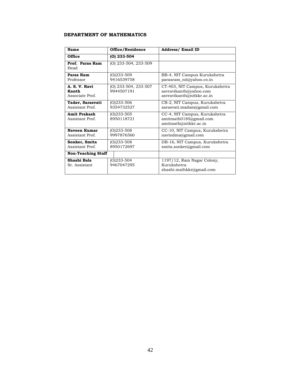#### **DEPARTMENT OF MATHEMATICS**

| Name                                      | Office/Residence                   | <b>Address/ Email ID</b>                                                               |
|-------------------------------------------|------------------------------------|----------------------------------------------------------------------------------------|
| Office                                    | $(0)$ 233-504                      |                                                                                        |
| Prof. Paras Ram<br>Head                   | (O) 233-504, 233-509               |                                                                                        |
| Paras Ram<br>Professor                    | $(0)$ 233-509<br>9416539758        | BB-4, NIT Campus Kurukshetra<br>parasram_nit@yahoo.co.in                               |
| A. S. V. Ravi<br>Kanth<br>Associate Prof. | (O) 233-504, 233-507<br>9944507191 | CT-403, NIT Campus, Kurukshetra<br>asvravikanth@yahoo.com<br>asvravikanth@nitkkr.ac.in |
| Yadav, Sarasvati<br>Assistant Prof.       | $(0)$ 233-506<br>9354732527        | CB-2, NIT Campus, Kurukshetra<br>sarasvati.madam@gmail.com                             |
| <b>Amit Prakash</b><br>Assistant Prof.    | $(O)$ 233-505<br>8950118721        | CC-4, NIT Campus, Kurukshetra<br>amitmath0185@gmail.com<br>amitmath@nitkkr.ac.in       |
| Naveen Kumar<br>Assistant Prof.           | $(0)$ 233-508<br>9997876560        | CC-10, NIT Campus, Kurukshetra<br>navindma@gmail.com                                   |
| Sonker, Smita<br>Assistant Prof.          | (O)233-508<br>8950172697           | DB-16, NIT Campus, Kurukshetra<br>smita.sonker@gmail.com                               |
| <b>Non-Teaching Staff</b>                 |                                    |                                                                                        |
| Shashi Bala<br>Sr. Assistant              | $(O)233 - 504$<br>9467047295       | 1197/12, Ram Nagar Colony,<br>Kurukshetra<br>shashi.mathkkr@gmail.com                  |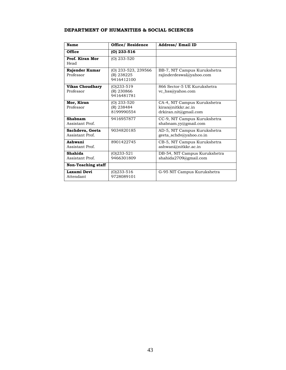#### **DEPARTMENT OF HUMANITIES & SOCIAL SCIENCES**

| Name                                | <b>Office/ Residence</b>                        | <b>Address/ Email ID</b>                                                    |
|-------------------------------------|-------------------------------------------------|-----------------------------------------------------------------------------|
| <b>Office</b>                       | $(0)$ 233-516                                   |                                                                             |
| Prof. Kiran Mor<br>Head             | $(O)$ 233-520                                   |                                                                             |
| Rajender Kumar<br>Professor         | (O) 233-523, 239566<br>(R) 238225<br>9416412100 | BB-7, NIT Campus Kurukshetra<br>rajinderdeswal@yahoo.com                    |
| <b>Vikas Choudhary</b><br>Professor | $(0)$ 233-519<br>(R) 230866<br>9416481781       | 866 Sector-5 UE Kurukshetra<br>vc_hss@yahoo.com                             |
| Mor, Kiran<br>Professor             | $(O)$ 233-520<br>(R) 238484<br>8199990554       | CA-4, NIT Campus Kurukshetra<br>kiran@nitkkr.ac.in<br>drkiran.nit@gmail.com |
| Shabnam<br>Assistant Prof.          | 9416957877                                      | CC-9, NIT Campus Kurukshetra<br>shabnam.yy@gmail.com                        |
| Sachdeva, Geeta<br>Assistant Prof.  | 9034820185                                      | AD-5, NIT Campus Kurukshetra<br>geeta_schdv@yahoo.co.in                     |
| Ashwani<br>Assistant Prof.          | 8901422745                                      | CB-5, NIT Campus Kurukshetra<br>ashwani@nitkkr.ac.in                        |
| Shahida<br>Assistant Prof.          | $(0)233 - 521$<br>9466301809                    | DB-54, NIT Campus Kurukshetra<br>shahida2709@gmail.com                      |
| <b>Non-Teaching staff</b>           |                                                 |                                                                             |
| Laxami Devi<br>Attendant            | $(0)$ 233-516<br>9728089101                     | G-95 NIT Campus Kurukshetra                                                 |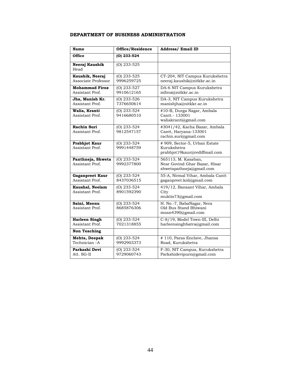## **DEPARTMENT OF BUSINESS ADMINISTRATION**

| Name                                     | Office/Residence            | <b>Address/Email ID</b>                                                          |
|------------------------------------------|-----------------------------|----------------------------------------------------------------------------------|
| Office                                   | (0) 233-524                 |                                                                                  |
| Neeraj Kaushik<br>Head                   | $(O)$ 233-525               |                                                                                  |
| Kaushik, Neeraj<br>Associate Professor   | $(O)$ 233-525<br>9996259725 | CT-204, NIT Campus Kurukshetra<br>neeraj.kaushik@nitkkr.ac.in                    |
| <b>Mohammad Firoz</b><br>Assistant Prof. | (O) 233-527<br>9910612165   | DA-6 NIT Campus Kurukshetra<br>mfiroz@nitkkr.ac.in                               |
| Jha, Manish Kr.<br>Assistant Prof.       | $(O)$ 233-526<br>7376650614 | DA-3, NIT Campus Kurukshetra<br>manishjha@nitkkr.ac.in                           |
| Walia, Kranti<br>Assistant Prof.         | $(O)$ 233-524<br>9416680510 | #10-B, Durga Nagar, Ambala<br>Cantt.- 133001<br>waliakranti@gmail.com            |
| <b>Rachin Suri</b><br>Assistant Prof.    | (O) 233-524<br>9812547157   | #3041/42, Kacha Bazar, Ambala<br>Cantt, Haryana-133001<br>rachin.suri@gmail.com  |
| <b>Prabhjot Kaur</b><br>Assistant Prof.  | $(O)$ 233-524<br>9991448759 | # 909, Sector-5, Urban Estate<br>Kurukshetra<br>prabhjot19kaur@rediffmail.com    |
| Panthneja, Shweta<br>Assistant Prof.     | $(O)$ 233-524<br>9992377800 | 565113, M. Kasaban,<br>Near Govind Ghar Bazar, Hisar<br>shwetapathneja@gmail.com |
| Gaganpreet Kaur<br>Assistant Prof.       | $(O)$ 233-524<br>8437036515 | 55-A, Nirmal Vihar, Ambala Cantt<br>gaganpreet.knl@gmail.com                     |
| Kaushal, Neelam<br>Assistant Prof.       | (O) 233-524<br>8901592390   | 419/12, Bansant Vihar, Ambala<br>City<br>muktis73@gmail.com                      |
| Saini, Meenu<br>Assistant Prof.          | $(O)$ 233-524<br>8685876306 | H. No.-7, BabaNagar, Nera<br>Old Bus Stand Bhiwani<br>mnsn4390@gmail.com         |
| <b>Harleen Singh</b><br>Assistant Prof.  | $(O)$ 233-524<br>7021318855 | C-8/19, Model Town-III, Delhi<br>harleensinghbatra@gmail.com                     |
| <b>Non Teaching</b>                      |                             |                                                                                  |
| Mehta, Deepak<br>Technician -A           | $(O)$ 233-524<br>9992903373 | # 110, Paras Enclave, Jhansa<br>Road, Kurukshetra                                |
| Parkashi Devi<br>Att. SG-II              | (O) 233-524<br>9729060743   | F-30, NIT Campus, Kurukshetra<br>Parkshidevipurn@gmail.com                       |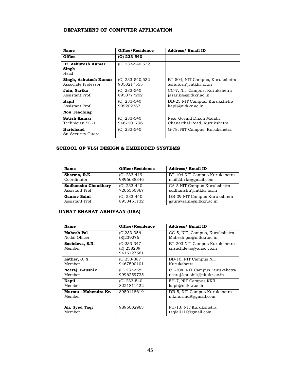#### **DEPARTMENT OF COMPUTER APPLICATION**

| Name                                         | Office/Residence              | <b>Address/ Email ID</b>                                 |
|----------------------------------------------|-------------------------------|----------------------------------------------------------|
| <b>Office</b>                                | $(0)$ 233-540                 |                                                          |
| Dr. Ashutosh Kumar<br>Singh<br>Head          | $(O)$ 233-540,532             |                                                          |
| Singh, Ashutosh Kumar<br>Associate Professor | (O) 233-540,532<br>9050217555 | BT-504, NIT Campus, Kurukshetra<br>ashutosh@nitkkr.ac.in |
| Jain, Sarika<br>Assistant Prof.              | $(O)$ 233-540<br>8950777202   | CC-7, NIT Campus, Kurukshetra<br>jasarika@nitkkr.ac.in   |
| Kapil<br>Assistant Prof.                     | $(O)$ 233-540<br>999202387    | DB-25 NIT Campus, Kurukshetra<br>kapil@nitkkr.ac.in      |
| <b>Non Teaching</b>                          |                               |                                                          |
| Satish Kumar<br>Technician SG-1              | $(O)$ 233-540<br>9467201796   | Near Govind Dham Mandir,<br>Chanarthal Road, Kurukshetra |
| Harichand<br>Sr. Security Guard              | $(O)$ 233-540                 | G-78, NIT Campus, Kurukshetra                            |

#### **SCHOOL OF VLSI DESIGN & EMBEDDED SYSTEMS**

| Name                       | Office/Residence | <b>Address/Email ID</b>       |  |  |
|----------------------------|------------------|-------------------------------|--|--|
| Sharma, R.K.               | $(O)$ 233-419    | BT-104 NIT Campus Kurukshetra |  |  |
| Coordinator                | 9896688346       | mail2drrks@gmail.com          |  |  |
| <b>Sudhanshu Choudhary</b> | $(O)$ 233-440    | CA-5 NIT Campus Kurukshetra   |  |  |
| Assistant Prof.            | 7206550867       | sudhanshu@nitkkr.ac.in        |  |  |
| Gauray Saini               | $(O)$ 233-440    | DB-09 NIT Campus Kurukshtera  |  |  |
| Assistant Prof.            | 8950461132       | gauravsaini@nitkkr.ac.in      |  |  |

#### **UNNAT BHARAT ABHIYAAN (UBA)**

| Name                          | Office/Residence                       | <b>Address/ Email ID</b>                                |  |
|-------------------------------|----------------------------------------|---------------------------------------------------------|--|
| <b>Mahesh Pal</b>             | (0)233-356                             | CC-5, NIT, Campus, Kurukshetra                          |  |
| Nodal Officer                 | (R)239276                              | Mahesh.pal@nitkkr.ac.in                                 |  |
| Sachdeva, S.N.<br>Member      | (0)233-347<br>(R) 238239<br>9416127561 | BT-203 NIT Campus Kurukshetra<br>snsachdeva@yahoo.co.in |  |
| Lather, J. S.                 | $(O)$ 233-387                          | BB-10, NIT Campus NIT                                   |  |
| Member                        | 9467500101                             | Kurukshetra                                             |  |
| Neeraj Kaushik                | (O) 233-525                            | CT-204, NIT Campus Kurukshetra                          |  |
| Member                        | 9996259725                             | neeraj.kaushik@nitkkr.ac.in                             |  |
| Kapil                         | $(O)$ 233-540                          | FH-7, NIT Campus KKR                                    |  |
| Member                        | 8221811422                             | kapil@nitkkr.ac.in                                      |  |
| Murmu, Mahendra Kr.<br>Member | 8950118619                             | DB-5, NIT Campus Kurukshetra<br>mkmurmu9@gmail.com      |  |
| Ali, Syed Taqi<br>Member      | 9896002963                             | FH-13, NIT Kurukshetra<br>taqiali110@gmail.com          |  |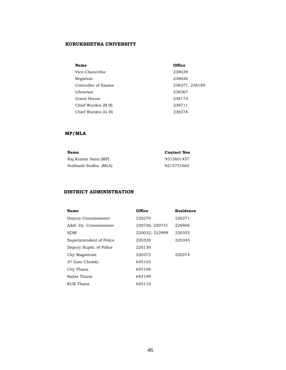#### **KURUKSHETRA UNIVERSITY**

| Name                | Office         |
|---------------------|----------------|
| Vice-Chancellor     | 238039         |
| Registrar           | 238026         |
| Controller of Exams | 238377, 238189 |
| Librarian           | 238367         |
| Guest House         | 238173         |
| Chief Warden (B H)  | 238711         |
| Chief Warden (G H)  | 238278         |

#### **MP/MLA**

| Name                 | <b>Contact Nos</b> |
|----------------------|--------------------|
| Raj Kumar Saini (MP) | 9315601457         |
| Subhash Sudha (MLA)  | 9215751665         |

#### **DISTRICT ADMINISTRATION**

| Name                     | Office         | Residence |
|--------------------------|----------------|-----------|
| Deputy Commissioner      | 220270         | 220271    |
| Addl. Dy. Commissioner   | 220756, 220731 | 226956    |
| SDM                      | 220032, 222999 | 220352    |
| Superintendent of Police | 220320         | 220345    |
| Deputy Supdt. of Police  | 220130         |           |
| City Magistrate          | 220273         | 220274    |
| 3rd Gate Chowki          | 645103         |           |
| City Thana               | 645108         |           |
| Sadar Thana              | 645109         |           |
| KUK Thana                | 645110         |           |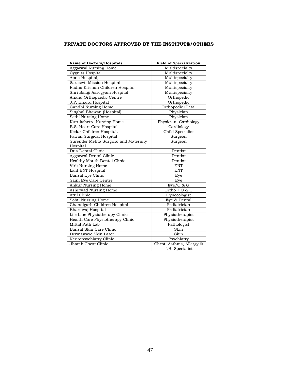#### **PRIVATE DOCTORS APPROVED BY THE INSTITUTE/OTHERS**

| <b>Name of Doctors/Hospitals</b>      | <b>Field of Specialization</b> |  |  |
|---------------------------------------|--------------------------------|--|--|
| Aggarwal Nursing Home                 | Multispecialty                 |  |  |
| Cygnus Hospital                       | Multispecialty                 |  |  |
| Apna Hospital,                        | Multispecialty                 |  |  |
| Saraswti Mission Hospital             | Multispecialty                 |  |  |
| Radha Krishan Children Hospital       | Multispecialty                 |  |  |
| Shri Balaji Aarogyam Hospital         | Multispecialty                 |  |  |
| Anand Orthopaedic Centre              | Orthopedic                     |  |  |
| J.P. Bharal Hospital                  | Orthopedic                     |  |  |
| Gandhi Nursing Home                   | Orthopedic+Detal               |  |  |
| Singhal Bhawan (Hospital)             | Physician                      |  |  |
| Sethi Nursing Home                    | Physician                      |  |  |
| Kurukshetra Nursing Home              | Physician, Cardiology          |  |  |
| B.S. Heart Care Hospital              | Cardiology                     |  |  |
| Kedar Children Hospital.              | Child Specialist               |  |  |
| Pawan Surgical Hospital               | Surgeon                        |  |  |
| Surender Mehta Surgical and Maternity | Surgeon                        |  |  |
| Hospital                              |                                |  |  |
| Dua Dental Clinic                     | Dentist                        |  |  |
| Aggarwal Dental Clinic                | Dentist                        |  |  |
| Healthy Mouth Dental Clinic           | Dentist                        |  |  |
| Virk Nursing Home                     | <b>ENT</b>                     |  |  |
| Lalit ENT Hospital                    | <b>ENT</b>                     |  |  |
| Bansal Eye Clinic                     | Eye                            |  |  |
| Saini Eye Care Centre                 | Eve                            |  |  |
| Ankur Nursing Home                    | $Eye/O$ & G                    |  |  |
| Ashirwad Nursing Home                 | Ortho + $O$ & G                |  |  |
| Atul Clinic                           | Gynecologist                   |  |  |
| Sobti Nursing Home                    | Eye & Dental                   |  |  |
| Chandigarh Children Hospital          | Pediatrician                   |  |  |
| Bhardwaj Hospital                     | Pediatrician                   |  |  |
| Life Line Physiotherapy Clinic        | Physiotherapist                |  |  |
| Health Care Physiotherapy Clinic      | Physiotherapist                |  |  |
| Mittal Path Lab                       | Pathologist                    |  |  |
| Bansal Skin Care Clinic               | Skin                           |  |  |
| Dermawaye Skin Lazer                  | Skin                           |  |  |
| Neuropsychiatry Clinic                | Psychiatry                     |  |  |
| Jhamb Chest Clinic                    | Chest, Asthma, Allergy &       |  |  |
|                                       | T.B. Specialist                |  |  |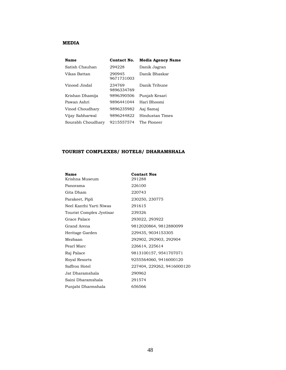#### **MEDIA**

| Name              | Contact No.          | <b>Media Agency Name</b> |
|-------------------|----------------------|--------------------------|
| Satish Chauhan    | 294228               | Danik Jagran             |
| Vikas Battan      | 290945<br>9671731003 | Danik Bhaskar            |
| Vinood Jindal     | 234769<br>9896334769 | Danik Tribune            |
| Krishan Dhamija   | 9896390506           | Punjab Kesari            |
| Pawan Ashri       | 9896441044           | Hari Bhoomi              |
| Vinod Choudhary   | 9896235982           | Aai Samai                |
| Vijay Sabharwal   | 9896244822           | Hindustan Times          |
| Sourabh Choudhary | 9215557574           | The Pioneer              |

#### **TOURIST COMPLEXES/ HOTELS/ DHARAMSHALA**

| Name                     | <b>Contact Nos</b>         |
|--------------------------|----------------------------|
| Krishna Museum           | 291288                     |
| Panorama                 | 226100                     |
| Gita Dham                | 220743                     |
| Parakeet, Pipli          | 230250, 230775             |
| Neel Kanthi Yarti Niwas  | 291615                     |
| Tourist Complex Jyotisar | 239326                     |
| Grace Palace             | 293022, 293922             |
| Grand Arena              | 9812020864, 9812880099     |
| Heritage Garden          | 229435, 9034153305         |
| Mezbaan                  | 292902, 292903, 292904     |
| Pearl Marc               | 226614, 225614             |
| Raj Palace               | 9813100157, 9541707071     |
| Royal Resorts            | 9255564060, 9416000120     |
| Saffron Hotel            | 227404, 229262, 9416000120 |
| Jat Dharamshala          | 290962                     |
| Saini Dharamshala        | 291574                     |
| Punjabi Dharmshala       | 656566                     |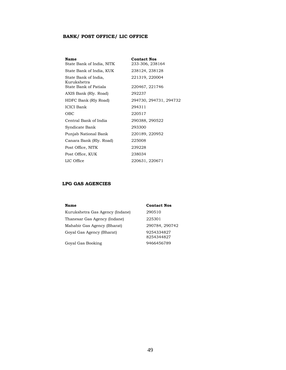#### **BANK/ POST OFFICE/ LIC OFFICE**

| Name                                | <b>Contact Nos</b>     |
|-------------------------------------|------------------------|
| State Bank of India, NITK           | 233-306, 238164        |
| State Bank of India, KUK            | 238124, 238128         |
| State Bank of India,<br>Kurukshetra | 221319, 220004         |
| State Bank of Patiala               | 220467, 221746         |
| AXIS Bank (Rly. Road)               | 292237                 |
| HDFC Bank (Rly Road)                | 294730, 294731, 294732 |
| <b>ICICI Bank</b>                   | 294311                 |
| OBC                                 | 220517                 |
| Central Bank of India               | 290388, 290522         |
| Syndicate Bank                      | 293300                 |
| Punjab National Bank                | 220189, 220952         |
| Canara Bank (Rly. Road)             | 225008                 |
| Post Office, NITK                   | 239228                 |
| Post Office, KUK                    | 238034                 |
| LIC Office                          | 220631, 220671         |

#### **LPG GAS AGENCIES**

| Name                            | <b>Contact Nos</b>       |
|---------------------------------|--------------------------|
| Kurukshetra Gas Agency (Indane) | 290510                   |
| Thanesar Gas Agency (Indane)    | 225301                   |
| Mahabir Gas Agency (Bharat)     | 290784, 290742           |
| Goval Gas Agency (Bharat)       | 9254334827<br>8254344827 |
| Goyal Gas Booking               | 9466456789               |
|                                 |                          |

49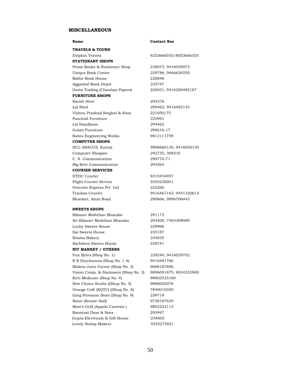#### **MISCELLANEOUS**

**TRAVELS & TOURS**  Dolphin Travels 9253666555/8053666555 **STATIONARY SHOPS**  Prism Books & Stationary Shop 238073, 9416039073 Unique Book Centre 239786, 9466620550 Balbir Book House 220848 Aggarwal Book Depot 235747 Geeta Trading (Chauhan Papers) 226931, 9416200485/87 **FURNITURE SHOPS**  Rachit Steel 293376 Lal Steel 290462, 9416482143 Vishnu Prashad Singhal & Sons 221050/75 Panchall Furniture 222991 Lal Handloom 294462 Gulati Furniture 290616-17 Babra Engineering Works 9812111759 **COMPUTER SHOPS**  HCL ABACUS, Karnal 9896660136, 9416030134 Computer Shoppee 292735, 309335 C. S. Communication 290770-71 Big Byte Communication 293564 **COURIER SERVICES**  DTDC Courier 9315454957 Flight Courier Service 9355230001 Overnite Express Pvt. Ltd 222260 Trackon Courier 9416467163, 9541320613 Bluedart, Amin Road 290666, 9896706443 **SWEETS SHOPS** 

Bikaner Mishthan Bhandar 291173 Sri Bikaner Mishthan Bhandar 293400, 7404308989 Lucky Sweets House 229996 Sai Sweets House 235187 Khalsa Bakery 234035 Sachdeva Sweets House 238741 **NIT MARKET / OTHERS** 

Fun Bytes (Shop No. 1) 239240, 9416029702 R K Drycleaners (Shop No. 1 A) 9416481766 Mishra Juice Corner (Shop No. 2) 9068187696 Vision Comp. & Stationers (Shop No. 3) 9896091875, 9034255900 Kirti Medicose (Shop No. 4) 98902525100 New Choice Studio ((Shop No. 5) 9896029378 Orange Café (KQTC) ((Shop No. 8) 7840010350 Garg Provision Store (Shop No. 9) 239719 Rasoi (Senate Hall) 9728187629 Moxi's Grill (Appolo Canteen ) 9802222113 Banarasi Dass & Sons 293947 Gupta Electricals & Gift House 234005 Lovely Stamp Makers 9355275821

#### **Name Contact Nos**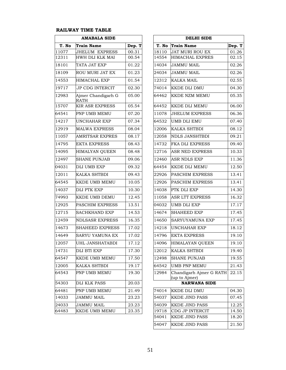#### **RAILWAY TIME TABLE**

| <b>AMABALA SIDE</b> |                                   | <b>DELHI SIDE</b> |       |                                          |
|---------------------|-----------------------------------|-------------------|-------|------------------------------------------|
| T. No               | <b>Train Name</b>                 | Dep. T            | T. No | <b>Train Name</b>                        |
| 11077               | JHELUM EXPRESS                    | 00.31             | 18110 | JAT MURI ROU EX                          |
| 12311               | HWH DLI KLK MAI                   | 00.54             | 14554 | <b>HIMACHAL EXPRES</b>                   |
| 18101               | TATA JAT EXP                      | 01.22             | 14034 | <b>JAMMU MAIL</b>                        |
| 18109               | ROU MURI JAT EX                   | 01.23             | 24034 | <b>JAMMU MAIL</b>                        |
| 14553               | <b>HIMACHAL EXP</b>               | 01.54             | 12312 | KALKA MAIL                               |
| 19717               | <b>JP CDG INTERCIT</b>            | 02.30             | 74014 | <b>KKDE DLI DMU</b>                      |
| 12983               | Ajmer Chandigarh G<br><b>RATH</b> | 05.00             | 64462 | KKDE NZM MEMU                            |
| 15707               | <b>KIR ASR EXPRESS</b>            | 05.54             | 64452 | KKDE DLI MEMU                            |
| 64541               | PNP UMB MEMU                      | 07.20             | 11078 | <b>JHELUM EXPRESS</b>                    |
| 14217               | UNCHAHAR EXP                      | 07.34             | 64532 | <b>UMB DLI EMU</b>                       |
| 12919               | <b>MALWA EXPRESS</b>              | 08.04             | 12006 | KALKA SHTBDI                             |
| 11057               | AMRITSAR EXPRES                   | 08.17             | 12058 | <b>NDLS JANSHTBDI</b>                    |
| 14795               | <b>EKTA EXPRESS</b>               | 08.43             | 14732 | FKA DLI EXPRESS                          |
| 14095               | HIMALYAN QUEEN                    | 08.48             | 12716 | <b>ASR NED EXPRESS</b>                   |
| 12497               | SHANE PUNJAB                      | 09.06             | 12460 | <b>ASR NDLS EXP</b>                      |
| 04031               | DLI UMB EXP                       | 09.32             | 64454 | <b>KKDE DLI MEMU</b>                     |
| 12011               | KALKA SHTBDI                      | 09.43             | 22926 | PASCHIM EXPRESS                          |
| 64545               | KKDE UMB MEMU                     | 10.05             | 12926 | PASCHIM EXPRESS                          |
| 14037               | DLI PTK EXP                       | 10.30             | 14038 | PTK DLI EXP                              |
| 74993               | KKDE UMB DEMU                     | 12.45             | 11058 | <b>ASR LTT EXPRESS</b>                   |
| 12925               | PASCHIM EXPRESS                   | 13.51             | 04032 | UMB DLI EXP                              |
| 12715               | SACHKHAND EXP                     | 14.53             | 14674 | SHAHEED EXP                              |
| 12459               | NDLSASR EXPRESS                   | 16.35             | 14650 | SARYUYAMUNA EXP                          |
| 14673               | <b>SHAHEED EXPRESS</b>            | 17.02             | 14218 | UNCHAHAR EXP                             |
| 14649               | SARYU YAMUNA EX                   | 17.02             | 14796 | <b>EKTA EXPRESS</b>                      |
| 12057               | UHL JANSHATABDI                   | 17.12             | 14096 | HIMALAYAN QUEEN                          |
| 14731               | DLI BTI EXP                       | 17.30             | 12012 | <b>KALKA SHTBDI</b>                      |
| 64547               | KKDE UMB MEMU                     | 17.50             | 12498 | <b>SHANE PUNJAB</b>                      |
| 12005               | KALKA SHTBDI                      | 19.17             | 64542 | <b>UMB PNP MEMU</b>                      |
| 64543               | PNP UMB MEMU                      | 19.30             | 12984 | Chandigarh Ajmer G RATH<br>(up to Ajmer) |
| 54303               | DLI KLK PASS                      | 20.03             |       | <b>NARWANA SIDE</b>                      |
| 64481               | PNP UMB MEMU                      | 21.49             | 74014 | KKDE DLI DMU                             |
| 14033               | <b>JAMMU MAIL</b>                 | 23.23             | 54037 | <b>KKDE JIND PASS</b>                    |
| 24033               | <b>JAMMU MAIL</b>                 | 23.23             | 54039 | <b>KKDE JIND PASS</b>                    |
| 64483               | KKDE UMB MEMU                     | 23.35             | 19718 | CDG JP INTERCIT                          |

| <b>AMABALA SIDE</b> |                                   |        | <b>DELHI SIDE</b> |                                          |        |  |
|---------------------|-----------------------------------|--------|-------------------|------------------------------------------|--------|--|
| T. No               | <b>Train Name</b>                 | Dep. T | T. No             | <b>Train Name</b>                        | Dep. T |  |
| 11077               | <b>JHELUM EXPRESS</b>             | 00.31  | 18110             | <b>JAT MURI ROU EX</b>                   | 01.26  |  |
| 12311               | HWH DLI KLK MAI                   | 00.54  | 14554             | <b>HIMACHAL EXPRES</b>                   | 02.15  |  |
| 18101               | TATA JAT EXP                      | 01.22  | 14034             | <b>JAMMU MAIL</b>                        | 02.26  |  |
| 18109               | ROU MURI JAT EX                   | 01.23  | 24034             | <b>JAMMU MAIL</b>                        | 02.26  |  |
| 14553               | <b>HIMACHAL EXP</b>               | 01.54  | 12312             | <b>KALKA MAIL</b>                        | 02.55  |  |
| 19717               | <b>JP CDG INTERCIT</b>            | 02.30  | 74014             | <b>KKDE DLI DMU</b>                      | 04.30  |  |
| 12983               | Ajmer Chandigarh G<br><b>RATH</b> | 05.00  | 64462             | <b>KKDE NZM MEMU</b>                     | 05.35  |  |
| 15707               | <b>KIR ASR EXPRESS</b>            | 05.54  | 64452             | KKDE DLI MEMU                            | 06.00  |  |
| 64541               | PNP UMB MEMU                      | 07.20  | 11078             | <b>JHELUM EXPRESS</b>                    | 06.36  |  |
| 14217               | UNCHAHAR EXP                      | 07.34  | 64532             | <b>UMB DLI EMU</b>                       | 07.40  |  |
| 12919               | <b>MALWA EXPRESS</b>              | 08.04  | 12006             | KALKA SHTBDI                             | 08.12  |  |
| 11057               | <b>AMRITSAR EXPRES</b>            | 08.17  | 12058             | <b>NDLS JANSHTBDI</b>                    | 09.21  |  |
| 14795               | <b>EKTA EXPRESS</b>               | 08.43  | 14732             | <b>FKA DLI EXPRESS</b>                   | 09.40  |  |
| 14095               | <b>HIMALYAN QUEEN</b>             | 08.48  | 12716             | <b>ASR NED EXPRESS</b>                   | 10.33  |  |
| 12497               | <b>SHANE PUNJAB</b>               | 09.06  | 12460             | <b>ASR NDLS EXP</b>                      | 11.36  |  |
| 04031               | DLI UMB EXP                       | 09.32  | 64454             | <b>KKDE DLI MEMU</b>                     | 12.50  |  |
| 12011               | <b>KALKA SHTBDI</b>               | 09.43  | 22926             | <b>PASCHIM EXPRESS</b>                   | 13.41  |  |
| 64545               | KKDE UMB MEMU                     | 10.05  | 12926             | <b>PASCHIM EXPRESS</b>                   | 13.41  |  |
| 14037               | <b>DLI PTK EXP</b>                | 10.30  | 14038             | PTK DLI EXP                              | 14.30  |  |
| 74993               | KKDE UMB DEMU                     | 12.45  | 11058             | ASR LTT EXPRESS                          | 16.32  |  |
| 12925               | PASCHIM EXPRESS                   | 13.51  | 04032             | <b>UMB DLI EXP</b>                       | 17.17  |  |
| 12715               | <b>SACHKHAND EXP</b>              | 14.53  | 14674             | <b>SHAHEED EXP</b>                       | 17.45  |  |
| 12459               | <b>NDLSASR EXPRESS</b>            | 16.35  | 14650             | SARYUYAMUNA EXP                          | 17.45  |  |
| 14673               | <b>SHAHEED EXPRESS</b>            | 17.02  | 14218             | UNCHAHAR EXP                             | 18.12  |  |
| 14649               | <b>SARYU YAMUNA EX</b>            | 17.02  | 14796             | <b>EKTA EXPRESS</b>                      | 19.10  |  |
| 12057               | UHL JANSHATABDI                   | 17.12  |                   | 14096 HIMALAYAN QUEEN                    | 19.10  |  |
| 14731               | DLI BTI EXP                       | 17.30  | 12012             | <b>KALKA SHTBDI</b>                      | 19.40  |  |
| 64547               | <b>KKDE UMB MEMU</b>              | 17.50  | 12498             | <b>SHANE PUNJAB</b>                      | 19.55  |  |
| 12005               | KALKA SHTBDI                      | 19.17  | 64542             | <b>UMB PNP MEMU</b>                      | 21.43  |  |
| 64543               | PNP UMB MEMU                      | 19.30  | 12984             | Chandigarh Ajmer G RATH<br>(up to Ajmer) | 22.15  |  |
| 54303               | <b>DLI KLK PASS</b>               | 20.03  |                   | <b>NARWANA SIDE</b>                      |        |  |

| 64481 | <b>PNP UMB MEMU</b> | 21.49 | 74014 | KKDE DLI DMU           | 04.30 |
|-------|---------------------|-------|-------|------------------------|-------|
| 14033 | JAMMU MAIL          | 23.23 | 54037 | <b>KKDE JIND PASS</b>  | 07.45 |
| 24033 | JAMMU MAIL          | 23.23 | 54039 | <b>KKDE JIND PASS</b>  | 12.25 |
| 64483 | KKDE UMB MEMU       | 23.35 | 19718 | <b>CDG JP INTERCIT</b> | 14.50 |
|       |                     |       | 54041 | <b>KKDE JIND PASS</b>  | 18.20 |
|       |                     |       | 54047 | <b>KKDE JIND PASS</b>  | 21.50 |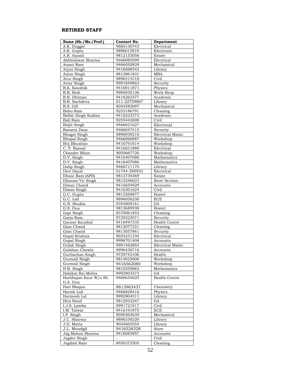#### **RETIRED STAFF**

| Name (Sh./Ms./Prof.)   | Contact No.  | Department        |
|------------------------|--------------|-------------------|
| A.K. Duggal            | 9860130743   | Electrical        |
| A.K. Gupta             | 9896015919   | Electronic        |
| A.R. Anand             | 9812133056   | Estate            |
| Akhleshwar Sharma      | 9466085099   | Electrical        |
| Anant Ram              | 9466050828   | Mechanical        |
| Arjun Singh            | 9416888542   | Library           |
| Arjun Singh            | 8813861831   | MBA               |
| Arur Singh             | 9896314318   | Civil             |
| Avtar Singh            | 9991849863   | Security          |
| B.K. Kaushik           | 9416911871   | Physics           |
| B.R. Bedi              | 9996930136   | Work Shop         |
| B.R. Dhiman            | 9416263377   | Academic          |
| <b>B.R.</b> Sachdeva   | 011-22759867 | Library           |
| B.S. Gill              | 8054583097   | Mechanical        |
| Babu Ram               | 9253186791   | Cleaning          |
| Balbir Singh Kadian    | 9416222372   | Academic          |
| Bali Ram               | 9255442008   | Civil             |
| Baljit Singh           | 9466621627   | Electrical        |
| <b>Banarsi Dass</b>    | 9466047415   | Security          |
|                        |              |                   |
| <b>Bhagat Singh</b>    | 9896938216   | Electrical Maint. |
| <b>Bhopal Singh</b>    | 9466066887   | Workshop          |
| Brij Bhushan           | 9416791614   | Workshop          |
| C. P. Bansal           | 9416031888   | Electrical        |
| Chander Bhan           | 9050667720   | Workshop          |
| D.V. Singh             | 9416407086   | Mathematics       |
| D.V. Singh             | 9416407086   | Mathematics       |
| Dalip Singh            | 9466711170   | Library           |
| Devi Daval             | 01744-290953 | Electrical        |
| Dhani Ram (APD)        | 9812734369   | Estate            |
| Dharam Vir Singh       | 9813246623   | Store Section     |
| Diwan Chand            | 9416654929   | Accounts          |
| Diwan Singh            | 9416301624   | Civil             |
| G.C. Gupta             | 9812369877   | Hostel            |
| G.C. Lall              | 9896056230   | <b>ECE</b>        |
| G.N. Shukla            | 9354809161   | GA                |
| G.S. Dua               | 9813689938   | Hostel            |
| Gaje Singh             | 8570061853   | Cleaning          |
| Garja Ram              | 9729223071   | Security          |
| Gaurav Kaushal         | 9416497335   | Health Centre     |
| Gian Chand             | 9812077321   | Cleaning          |
| Gian Chand             | 9813057861   | Security          |
| Gopal Krishna          | 9654231334   | Electrical        |
| Gopal Singh            | 9996701408   | Accounts          |
| Gulab Singh            | 9991462864   | Electrical Maint. |
| Gulshan Chawla         | 9996436716   | Accounts          |
| Gurbachan Singh        | 9729742106   | Health            |
| Gurmail Singh          | 9814025608   | Workshop          |
| Gurmail Singh          | 9416562080   | Workshop          |
| H.B. Singh             | 9810559883   | Mathematics       |
| Hakikat Rai Mehta      | 9992903373   | GA                |
| Harbhajan Kaur W/o Sh. | 9466654625   | Health Centre     |
| G.S. Dua               |              |                   |
| Hari Bhajan            | 9813963437   | Chemistry         |
| Harish Lall            | 9466828416   | Physics           |
| Harmesh Lal            | 9992904511   | Library           |
|                        |              |                   |
| Hira Nand              | 9812933347   | GA                |
| I.J.S. Lamba           | 9991721917   | Civil             |
| I.M. Talwar            | 9416191875   | ECE               |
| I.P. Singh             | 9050363639   | Mechanical        |
| J.C. Sharma            | 9896338220   | Library           |
| J.D. Matta             | 9034665554   | Library           |
| J.L. Moudgil           | 9416528328   | Store             |
| Jag Mohan Sharma       | 9416083957   | Accounts          |
| Jagdev Singh           |              | Civil             |
| Jagdish Ram            | 8950373505   | Cleaning          |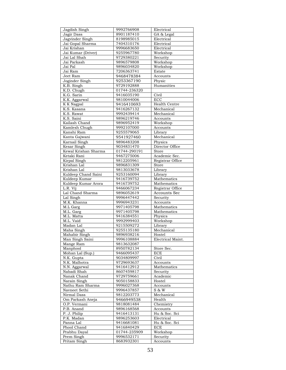| Jagdish Singh              | 9992766908               | Electrical                 |
|----------------------------|--------------------------|----------------------------|
| Jagir Dass                 | 8901187410               | GA & Legal                 |
| Jagvinder Singh            | 8198985015               | Electrical                 |
| Jai Gopal Sharma           | 7404310176               | Electrical                 |
| Jai Krishan                | 9996683650               | Electrical                 |
| Jai Kumar (Driver)         | 9255967780               | Workshop                   |
| Jai Lal Shah               | 9729380221               | Security                   |
| Jai Parkash                | 9896579808               | Workshop                   |
| Jai Pal                    | 9896034820               | Workshop                   |
| Jai Ram                    | 7206363741               | Estate                     |
| Jeet Ram                   | 9468478384               | Accounts                   |
| Joginder Singh             | 9253367190               | Physic                     |
| K.B. Singh                 | 9729192888               | Humanities                 |
| K.D. Chugh                 | 01744-236320             |                            |
| K.G. Sarin                 | 9416035190               | Civil                      |
| K.K. Aggarwal              | 9810044006               | ECC                        |
| K K Nagpal                 | 9416410693               | <b>Health Centre</b>       |
| K.S. Kasana                | 9416267132               | Mechanical                 |
| K.S. Rawat                 | 9992439414               | Mechanical                 |
| K.S. Saini                 | 9896219746               | Accounts                   |
| Kailash Chand              | 9896952419               | Workshop                   |
| Kamlesh Chugh              | 9992107000               | Accounts                   |
| Kanshi Ram                 | 9255579065               | Library                    |
| Kanta Gajwani              | 9541927460               | Mechanical                 |
|                            | 9896483208               |                            |
| Karnail Singh              | 9034831470               | Physics<br>Director Office |
| Kesar Singh                |                          |                            |
| Kewal Krishan Sharma       | 01744-290191             | Store                      |
| Ketaki Rani                | 9467275006               | Academic Sec.              |
| Kirpal Singh               | 9812205961               | Registrar Office           |
| Krishan Lal                | 9896831309               | Store                      |
| Krishan Lal                | 9813033678               | Library                    |
| Kuldeep Chand Saini        | 9253160094               | Library                    |
| Kuldeep Kumar              | 9416739752               | Mathematics                |
| Kuldeep Kumar Arora        | 9416739752               | Mathematics                |
|                            |                          |                            |
| L.R. Vij                   | 9466067234               | Registrar Office           |
| Lal Chand Sharma           | 9896052619               | Accounts Sec               |
| Lal Singh                  | 9996447442               | Security                   |
| M.K. Khanna                | 9996943231               | Accounts                   |
| M.L Garg                   | 9971405798               | Mathematics                |
| M.L. Garg                  | 9971405798               | Mathematics                |
| M.L. Matta                 | 9416384551               | Physics                    |
| M.L. Vaid                  | 9992999403               | Workshop                   |
| Madan Lal                  | 9215509272               | Library                    |
| Maha Singh                 | 9255135180               | Mechanical                 |
| Mahabir Singh              | 9896938216               | Hostel                     |
| Man Singh Saini            | 9996108884               | Electrical Maint.          |
| Mange Ram                  | 9813632087               |                            |
| Manphool                   | 8950782134               | Store Sec.                 |
| Mohan Lal (Sup.)           | 9466095437               | ECE                        |
| N.K. Gupta                 | 9034809997               | Civil                      |
| N.K. Malhotra              | 9729693637               | Accounts                   |
| N.N. Aggarwal              | 9416412912               | Mathematics                |
| Nabadi Shah                | 8607459817               | Security                   |
| Nanak Chand                | 9729759661               | Academic                   |
| Narain Singh               | 9050158833               | Hostel                     |
| Nathu Ram Sharma           | 9996027368               | Accounts                   |
| Navneet Sethi              | 9996437857               | S & W                      |
| Nirmal Dass                | 9812203773               | Mechanical                 |
| Om Parkash Aneja           | 9466949538               | Health                     |
| O.P. Vermani               | 9818081484               | Chemistry                  |
| P.B. Anand                 | 9896168568               | Accounts                   |
| P. J. Philip               | 9416413131               | Hu & Soc. Sci              |
| P.K. Madan                 | 9896253603               | Electrical                 |
| Panna Lal                  | 9416681081               | Hu & Soc. Sci              |
| Phool Chand                | 9416840429               | ECE                        |
| Prabhu Dayal               | 01744-235909             | Workshop                   |
| Prem Singh<br>Pritam Singh | 9996532171<br>8683932301 | Security<br>Accounts       |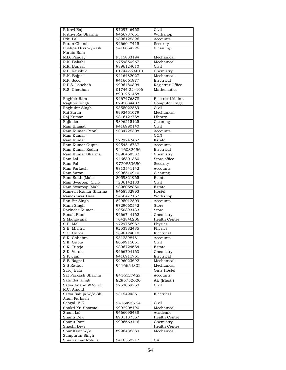| Prithvi Raj                 | 9729746468               | Civil                |
|-----------------------------|--------------------------|----------------------|
| Prithvi Raj Sharma          | 9466737651               | Workshop             |
| Priti Pal                   | 9896125396               | Accounts             |
| Puran Chand                 | 9466047415               | Security             |
| Pushpa Devi W/o Sh.         | 9416654726               | Cleaning             |
| Narata Ram                  |                          |                      |
| R.D. Pandev                 | 9315883194               | Mechanical           |
| R.K. Bakshi                 | 9759850267               | Mechanical           |
| R.K. Bansal                 | 9896124010               | Civil                |
| R.L. Kaushik                | 01744-224010             | Chemistry            |
| R.N. Bajpai                 | 9416482027               | Mechanical           |
| R.P. Sood                   | 9416661977               | Electrical           |
| R.P.S. Lohchab              | 9996480804               | Registrar Office     |
| R.S. Chauhan                | 01744-224106             | Mathematics          |
|                             | 8901251458               |                      |
| Raghbir Ram                 | 9467476878               | Electrical Maint.    |
| Raghbir Singh               | 8295834407               | Computer Engg.       |
| Raghubir Singh              | 9355022589               | Civil                |
| Rai Saran                   | 9992451079               | Mechanical           |
| Raj Kumar                   | 9816122788               | Library              |
| Rajinder                    | 9896215125               | $C$ leaning          |
| Ram Bhagat                  | 9416990140               | Civil                |
| Ram Kumar (Peon)            | 9034725308               | Accounts             |
| Ram Kumar                   |                          | <b>CCN</b>           |
| Ram Kumar                   | 9729747457               | Estate               |
| Ram Kumar Gupta             | 9254546737               | Accounts             |
| Ram Kumar Kodan             | 9416082456               | Electrical           |
| Ram Kumar Sharma            | 9896468332               | Chemistry            |
| Ram Lal                     | 9466801380               | Store office         |
| Ram Pal                     | 9729853650               | Security             |
| Ram Parkash                 | 9813541142               | Accounts             |
| Ram Saran                   | 9996510910               | Cleaning             |
| Ram Sukh (Mali)             | 8059821965               | Estate               |
| Ram Swaroop (Civil)         | 7206142183               | Civil                |
| Ram Swaroop (Mali)          | 9896058850               | Estate               |
| Ramesh Kumar Sharma         | 9468332993               | Hostel               |
| Rameshwar Dass              |                          | Workshop             |
|                             | 9466477152               |                      |
| Ran Bir Singh<br>Rann Singh | 8295012509               | Accounts             |
| Ravinder Kumar              | 9729660542<br>9050893133 | Store                |
|                             |                          | Store                |
| Ronak Ram                   | 9466744162               | Chemistry            |
| S Mangwana                  | 7042846206               | <b>Health Centre</b> |
| S.B. Mal                    | 9729756982               | Physics              |
| S.B. Mishra                 | 9253382485               | Physics              |
| S.C. Gupta                  | 9896124010               | Electrical           |
| S.K. Chhabra                | 9812398481               | Accounts             |
| S.K. Gupta                  | 8059915051               | Civil                |
| S.K. Tuteja                 | 9896724684               | Estate               |
| S.K. Verma                  | 9466704163               | Chemistry            |
| S.P. Jain                   | 9416911761               | Electrical           |
| S.P. Nagpal                 | 9996023692               | Mechanical           |
| S.S Rattan                  | 9416654802               | Mechanical           |
| Saroj Bala                  |                          | Girls Hostel         |
| Sat Parkash Sharma          | 9416127453               | Accounts             |
| Satinder Singh              | 8295750600               | AE (Elect.)          |
| Satya Anand W/o Sh.         | 9253869750               | Civil                |
| R.C. Anand                  |                          |                      |
| Satya Saluja W/o Sh.        | 9315494351               | Electrical           |
| Atam Parkash                |                          |                      |
| Sehgal, V.K.                | 9416496764               | Civil                |
| Shakti Kr. Sharma           | 9992208490               | Mechanical           |
| Sham Lal                    | 9466095438               | Academic             |
| Shanti Devi                 | 8901187557               | Health Centre        |
| Shanu Ram                   | 9996663446               | Chemistry            |
| Shashi Devi                 |                          | Health Centre        |
| Shar Kaur W/o               | 8996436380               | Mechanical           |
| Sampuran Singh              |                          |                      |
| Shiv Kumar Rohilla          | 9416550717               | GA                   |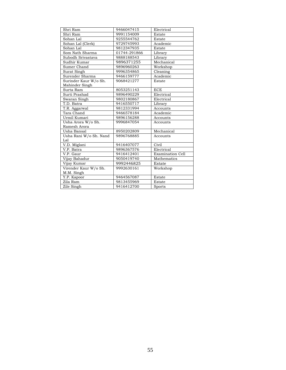| Shri Ram               | 9466047415   | Electrical              |
|------------------------|--------------|-------------------------|
| Shri Ram               | 9991154009   | Estate                  |
| Sohan Lal              | 9255544762   | Estate                  |
| Sohan Lal (Clerk)      | 9729745993   | Academic                |
| Sohan Lal              | 9812347935   | Estate                  |
| Som Nath Sharma        | 01744-291866 | Library                 |
| Subodh Srivastava      | 9888188543   | Library                 |
| Sudhir Kumar           | 9896371255   | Mechanical              |
| Sumer Chand            | 9896960263   | Workshop                |
| Surat Singh            | 9996354865   | Cleaning                |
| Surender Sharma        | 9466159777   | Academic                |
| Surinder Kaur W/o Sh.  | 9068421277   | Estate                  |
| Mahinder Singh         |              |                         |
| Surta Ram              | 8053251143   | <b>ECE</b>              |
| Surti Prashad          | 9896490229   | Electrical              |
| Swaran Singh           | 9802180867   | Electrical              |
| T.D. Batra             | 9416550717   | Library                 |
| T.R. Aggarwal          | 9812331994   | Accounts                |
| Tara Chand             | 9466578184   | Academic                |
| Urmil Kumari           | 9896156288   | Accounts                |
| Usha Arora W/o Sh.     | 9996847054   | Accounts                |
| Ramesh Arora           |              |                         |
| Usha Bansal            | 8950202809   | Mechanical              |
| Usha Rani W/o Sh. Nand | 9896768885   | Accounts                |
| Lal                    |              |                         |
| V.D. Miglani           | 9416407077   | Civil                   |
| V.P. Batra             | 9896367576   | Electrical              |
| V.P. Gaur              | 9416412401   | <b>Examination Cell</b> |
| Vijay Bahadur          | 9050419740   | Mathematics             |
| Vijay Kumar            | 9992446825   | Estate                  |
| Virender Kaur W/o Sh.  | 9992630161   | Workshop                |
| M.M. Singh             |              |                         |
| Y.P. Kapoor            | 9464567087   | Estate                  |
| Zila Ram               | 9813455969   | Estate                  |
| Zile Singh             | 9416412700   | Sports                  |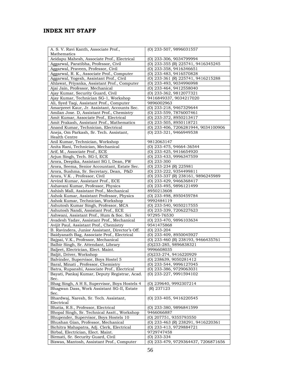#### **INDEX NIT STAFF**

| A. S. V. Ravi Kanth, Associate Prof.,              | (O) 233-507, 9896031557             |
|----------------------------------------------------|-------------------------------------|
| Mathematics                                        |                                     |
| Aeidapu Mahesh, Associate Prof., Electrical        | (O) 233-306, 9034799994             |
| Aggarwal, Paratibha, Professor, Civil              | (O) 233-355 (R) 225741, 9416345245  |
| Aggarwal, Praveen, Professor, Civil                | (O) 233-358, 9416346651             |
| Aggarwal, R. K., Associate Prof., Computer         | (O) 233-483, 9416570828             |
| Aggarwal, Yogesh, Assistant Prof., Civil           | (O) 233-361 (R) 225741, 9416215288  |
| Ahlawat, Priyanka, Assistant Prof., Computer       | (O) 233-493, 9034996998             |
| Ajai Jain, Professor, Mechanical                   | (O) 233-464, 9412558040             |
| Ajay Kumar, Security Guard, Civil                  | (O) 233-362, 9812077321             |
| Ajay Kumar, Technician SG-1, Workshop              | 9416849337, 9034217020              |
| Ali, Syed Taqi, Assistant Prof., Computer          | 9896002963                          |
| Amarpreet Kaur, Jr. Assistant, Accounts Sec.       | (O) 233-218, 9467329644             |
| Amilan Jose. D, Assistant Prof., Chemistry         | (O) 233-559, 7876007461             |
| Amit Kumar, Associate Prof., Electrical            | (O) 233-372, 8950213417             |
| Amit Prakash, Assistant Prof., Mathematics         | (O) 233-505, 8950118721             |
| Anand Kumar, Technician, Electrical                | (O) 233-406, 7206281944, 9034100906 |
| Aneja, Om Parkash, Sr. Tech. Assistant,            | (O) 233-321, 9466949538             |
|                                                    |                                     |
| Health Centre                                      |                                     |
| Anil Kumar, Technician, Workshop                   | 9812063147                          |
| Anita Rani, Technician, Mechanical                 | $(0)$ 233-475, 94664-36544          |
| Arif, M., Associate Prof., ECE                     | (O) 233-425, 9416654920             |
| Arjun Singh, Tech. SG-I, ECE                       | (O) 233-433, 9996347559             |
| Arora, Deepika, Assistant SG I, Dean, FW           | $(O)$ 233-300                       |
| Arora, Seema, Senior Accountant, Estate Sec.       | (O) 233-234 (R) 225981              |
| Arora, Sushma, Sr. Secretary, Dean, P&D            | (O) 233-222, 9354499811             |
| Arora, V.K., Professor, Civil                      | (O) 233-337 (R) 238161, 9896245989  |
| Arvind Kumar, Assistant Prof., ECE                 | (O) 233-429, 9466368417             |
| Ashavani Kumar, Professor, Physics                 | (O) 233-495, 9896121499             |
| Ashish Mall, Assistant Prof., Mechanical           | 8950213608                          |
| Ashok Kumar, Assistant Professor, Physics          | (O) 233-498, 8950459784             |
| Ashok Kumar, Technician, Workshop                  | 9992484119                          |
| Ashutosh Kumar Singh, Professor, MCA               | (O) 233-540, 9050217555             |
| Ashutosh Nandi, Assistant Prof., ECE               | (O) 233-339, 7206227623             |
| Ashwani, Assistant Prof., Hum & Soc. Sci           | 97295-76530                         |
| Avadesh Yadav, Assistant Prof., Mechanical         | (O) 233-470, 9896103634             |
| Avijit Paul, Assistant Prof., Chemistry            | 9541475868                          |
| B. Ravindera, Junior Assistant, Director's Off.    | (O) 233-204                         |
| Baidyanath Bag, Associate Prof., Electrical        | (O) 233-409, 8950045927             |
| Bajpai, V.K., Professor, Mechanical                | (O) 233-460 (R) 238193, 9466435761  |
| Balbir Singh, Sr. Attendant, Library               | (O)233-285, 9896838321              |
| Baljeet, Electrician, Elect. Maint.                | 9996608035                          |
| Baljit, Driver, Workshop                           | (O)233-274, 9416220929              |
| Balvinder, Supervisor, Boys Hostel 5               | (O) 238639, 9050281412              |
| Baral, Minati, Professor, Chemistry                | (O) 233-544, 9996127045             |
| Batra, Rupanshi, Associate Prof., Electrical       | $(O)$ 233-386, 9729063031           |
| Bayati, Pankaj Kumar, Deputy Registrar, Acad.      | (O) 233-227, 9991594102             |
| Sec.                                               |                                     |
|                                                    |                                     |
| Bhag Singh, A H S, Supervisor, Boys Hostels 4      | (O) 239640, 9992307214              |
| Bhagwan Dass, Work Assistant SG-II, Estate<br>Sec. | (R) 237123                          |
|                                                    | (O) 233-405, 9416220545             |
| Bhardwaj, Naresh, Sr. Tech. Assistant,             |                                     |
| Electrical                                         |                                     |
| Bhatia, R.S., Professor, Electrical                | (O) 233-380, 9896841599             |
| Bhopal Singh, Sr. Technical Asstt., Workshop       | 9466066887                          |
| Bhupender, Supervisor, Boys Hostels 10             | (O) 207751, 9355793550              |
| Bhushan Gian, Professor, Mechanical                | (O) 233-463 (R) 238291, 9416220361  |
| Bichitra Mahapatra, Adj. Clerk, Electrical         | (O) 233-413, 9729884721             |
| Birbal, Electrician, Elect. Maint.                 | 9729747458                          |
| Birmati, Sr. Security Guard, Civil                 | $(O)$ 233-334                       |
| Biswas, Mantosh, Assistant Prof., Computer         | (O) 233-479, 9729364437, 7206871656 |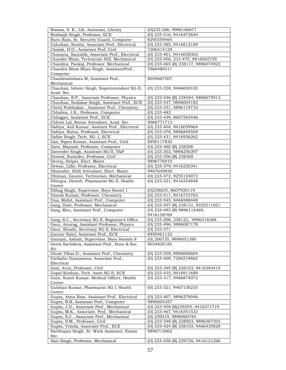| Biswas, S. K., Lib. Assistant, Library                                              | (O)233-286, 9996166671                             |
|-------------------------------------------------------------------------------------|----------------------------------------------------|
| Brahmjit Singh, Professor, ECE                                                      | (O) 233-416, 9416473644                            |
| Buru Ram, Sr. Security Guard, Computer                                              | 8295559464                                         |
| Cahuhan, Sunita, Associate Prof., Electrical                                        | (O) 233-385, 9416812189                            |
| Chalak, H.D., Assistant Prof, Civil                                                 | 7206514129                                         |
| Chanana, Saurabh, Associate Prof., Electrical                                       | (O) 233-401, 9416038363                            |
| Chander Bhan, Technician SGI, Mechanical                                            | (O) 233-456, 233-475, 8816065729                   |
| Chandna, Pankaj, Professor, Mechanical                                              | (O) 233-465 (R) 238117, 9896074922                 |
| Chandra Bhim Bhan Singh, AssistantProf.,                                            | 7668480311                                         |
| Computer                                                                            |                                                    |
| Chandrashekara M, Assistant Prof.,                                                  | 8059667507                                         |
| Mechanical                                                                          |                                                    |
| Chauhan, Ishwer Singh, Superintendent SG-II,                                        | (O) 233-228, 9466650105                            |
| Acad. Sec.                                                                          |                                                    |
| Chauhan, R.P., Associate Professor, Physics                                         | (O) 233-546 (R) 238584, 9896075913                 |
| Chauhan, Sudakar Singh, Assistant Prof., ECE                                        | (O) 233-437, 9896004182                            |
| Chetti Prabhakar, Assistant Prof., Chemistry                                        | (O) 233-331, 9896119710                            |
| Chhabra, J.K., Professor, Computer                                                  | $(O)$ 233-482                                      |
| Chhagan, Assistant Prof., ECE                                                       | (O) 233-439, 8607283446                            |
| Chhote Lal, Senior Attendant, Acad. Sec.                                            | 9068771713                                         |
| Dahiya, Anil Kumar, Assitant Prof., Electrical                                      | (0) 233-404, 9416039964                            |
| Dahiya, Ratna, Professor, Electrical                                                | (O) 233-378, 9896848509                            |
| Dalbir Singh, Tech. SG-.I, ECE                                                      | (O) 233-431, 9416936262                            |
| Das, Nipen Kumar, Assistant Prof., Civil                                            | 8950117830                                         |
| Dave, Mayank, Professor, Computer                                                   | (O) 233-480 (R) 238296                             |
| Davender Singh, Assistant SG-II, T&P                                                | (O) 233-302, 9896256397                            |
| Deswal, Surinder, Professor, Civil                                                  | (O) 233-356 (R) 238368                             |
| Devraj, Helper, Elect. Maint.                                                       | 9896776910                                         |
| Dewan, Lillie, Professor, Electrical                                                | (O) 233-379, 9416220341                            |
| Dharmbir, Shift Attendant, Elect. Maint.                                            | 9467649936                                         |
| Dhiman, Gaurav, Technician, Mechanical                                              | (O) 233-472, 9255124072                            |
| Dhingra, Dinesh, Pharmacist SG-II, Health                                           | (O) 233-321, 9416334848                            |
| Centre                                                                              |                                                    |
| Dilbag Singh, Supervisor, Boys Hostel 1                                             | (O)238635, 8607920119                              |
| Dinesh Kumar, Professor, Chemistry                                                  | (O) 233-511, 9416733763                            |
| Dua, Mohit, Assistant Prof., Computer                                               | (O) 233-545, 9466588448                            |
| Garg, Dixit, Professor, Mechanical                                                  | (O) 233-457 (R) 238131, 9355211021                 |
| Garg, Ritu, Assistant Prof., Computer                                               | (O) 233-493 (R) 9896114469,                        |
|                                                                                     | 9416158769                                         |
| Garg, S.C., Secretary SG-II, Registrar's Office                                     | (0) 233-208, 238122, 9896318368                    |
| Gaur, Anurag, Assistant Professor, Physics                                          | (O) 233-496, 9896087178                            |
| Gaur, Shashi, Secretary SG-II, Electrical                                           | $(O)$ 233-371                                      |
| Gaurav Saini, Assistant Prof., ECE                                                  | 8950461132                                         |
| Gautam, Ashish, Supervisor, Boys Hostels 9                                          | (O) 206735, 9896051380                             |
| Geeta Sachdeva, Assistant Prof., Hum & Soc.                                         | 9034820185                                         |
| Sci                                                                                 |                                                    |
| Ghule Vikas D., Assistant Prof., Chemistry                                          | (O) 233-559, 9896006804                            |
| Giribabu Dyanamina, Associate Prof.,<br>Electrical                                  | (O) 233-409, 7206519665                            |
| Goel, Arun, Professor, Civil                                                        |                                                    |
|                                                                                     | (O) 233-349 (R) 238103, 9416393419                 |
| Gopal Krishan, Tech. Asstt.SG-II, ECE<br>Guin, Sumit Kumar, Medical Officer, Health | (O) 233-435, 9416911689<br>(O) 233-317, 9466874072 |
| Centre                                                                              |                                                    |
| Gulshan Kumar, Pharmacist SG I, Health                                              | (O) 233-321, 9467130235                            |
| Centre                                                                              |                                                    |
| Gupta, Atma Ram, Assistant Prof., Electrical                                        | (O) 233-407, 9896279046                            |
| Gupta, B.B, Assistant Prof., Computer                                               | 9896004357                                         |
| Gupta, J.D., Associate Prof., Mechanical                                            | (O) 233-459 (R) 239295, 9416371719                 |
| Gupta, M.K., Associate. Prof., Mechanical                                           | (O) 233-467, 9416541533                            |
| Gupta, S.C., Associate Prof., Mechanical                                            | (O) 239219, 9896960784                             |
| Gupta, S.M., Professor, Civil                                                       | (O) 233-348 (R) 228503, 9896367503                 |
| Gupta, Vrinda, Associate Prof., ECE                                                 | (O) 233-424 (R) 238103, 9466435828                 |
| Harbhajan Singh, Sr. Work Assistant, Estate                                         | 9896713062                                         |
| Sec.                                                                                |                                                    |
| Hari Singh, Professor, Mechanical                                                   | (O) 233-458 (R) 239720, 9416121266                 |
|                                                                                     |                                                    |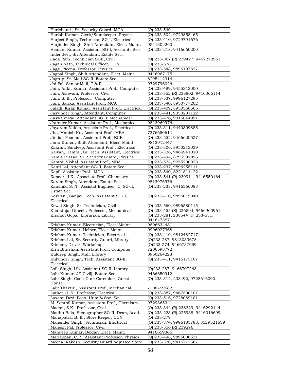| Harichand, Sr. Security Guard, MCA               | $(O)$ 233-540                       |
|--------------------------------------------------|-------------------------------------|
| Harish Kumar, Clerk/Storekeeper, Physics         | (O) 233-502, 9729858465             |
| Harjeet Singh, Technician SG-I, Electrical       | (O) 233-410, 9729791676             |
| Harjinder Singh, Shift Attendant, Elect. Maint.  | 9541302260                          |
| Hemant Kumar, Assistant SG-I, Accounts Sec.      | (O) 233-218, 9416660200             |
| Inder Jeet, Sr. Attendant, Estate Sec.           |                                     |
| Jada Ram, Technician SGII, Civil                 | (O) 233-367 (R) 239427, 9467272951  |
| Jagan Nath, Technical Officer, CCN               | $(O)$ 233-528                       |
| Jaggi, Neena, Professor, Physics                 | (O) 233-548, 9896197827             |
| Jagpal Singh, Shift Attendant, Elect. Maint.     | 9416967175                          |
| Jagrup, Sr. Mali SG-II, Estate Sec.              | 8295412316                          |
| Jai Pal, Senior Mali, T & P                      | 9729796026                          |
| Jain, Ankit Kumar, Assistant Prof., Computer     | (O) 233-489, 9455313000             |
| Jain, Ashwani, Professor, Civil                  | (O) 233-352 (R) 238802, 9416366114  |
| Jain, S. K., Professor, Computer                 | (O) 233-537, 9996127295             |
| Jain, Sarika, Assistant Prof., MCA               | (O) 233-540, 8950777202             |
| Jaladi, Kiran Kumar, Assistant Prof., Electrical | (O) 233-409, 8950566665             |
| Jasvinder Singh, Attendant, Computer             | (O) 233-491, 9050201122             |
| Jaswant Rai, Attendant SG II, Mechanical         | (O) 233-476, 9315844991             |
| Jatinder Kumar, Assistant Prof., Mechanical      | 9813969976                          |
| Jayaram Nakka, Associate Prof., Electrical       | (O) 233-311, 9440309885             |
| Jha, Manish Kr., Assistant Prof., MBA            | 7376650614                          |
| Jindal, Poonam, Assistant Prof., ECE             | (O) 233-552, 9466620527             |
| Jonu Kumar, Shift Attendant, Elect. Maint.       | 9813912447                          |
| Kakran, Sandeep, Assistant Prof., Electrical     | (O) 233-306, 8950213039             |
| Kalyan, Hemraj, Sr. Tech. Assistant, Electrical  | (O) 233-326, 9466941020             |
| Kamla Prasad, Sr. Security Guard, Physics        | (O) 233-494, 8295592996             |
| Kamra, Vishal, Assistant Prof., MBA              | (O) 233-524, 9255200923             |
| Kanti Lal, Attendant SG-II, Estate Sec.          | (O) 233-237, 9896255111             |
| Kapil, Assistant Prof., MCA                      | $(0)$ 233-540, 8221811422           |
| Kapoor, J.K., Associate Prof., Chemistry         | (O) 233-541 (R) 239911, 9416550164  |
| Karam Singh, Attendant, Estate Sec.              | 9813976976                          |
| Kaushik, S. N., Assistat Engineer (C) SG-II,     | (O) 233-233, 9416366083             |
| Estate Sec.                                      |                                     |
| Keswani, Sanjay, Tech. Assistant SG-II,          | (O) 233-410, 9896019040             |
| Electrical                                       |                                     |
| Kewal Singh, Sr. Technician, Civil               | (O) 233-560, 9896580115             |
| Khanduja, Dinesh, Professor, Mechanical          | (O) 233-455 (R) 226594, 9466960961  |
| Krishan Gopal, Librarian, Library                | (O) 233-281, 238544 (R) 233-531,    |
|                                                  | 9416473571                          |
| Krishan Kumar, Electrician, Elect. Maint.        | 9896634481                          |
| Krishan Kumar, Helper, Elect. Maint.             | 9996027368                          |
| Krishan Kumar, Technician, Electrical            | (O) 233-410, 9812482717             |
| Krishan Lal, Sr. Security Guard, Library         | (O)233-287, 9813033678              |
| Krishan, Driver, Workshop                        | (O)233-274, 9466737659              |
| Kriti Bhushan, Assistant Prof., Computer         | 7206598772                          |
| Kuldeep Singh, Mali, Library                     | 8950264228                          |
| Kulvinder Singh, Tech. Assistant SG-II,          | (O) 233-411, 9416175107             |
| Electrical                                       |                                     |
| Laik Singh, Lib. Assistant SG II, Library        | (O)233-287, 9466707263              |
| Lalit Kumar, JE(Civil), Estate Sec.              | 9466650912                          |
| Lalit Singh, Cook-Cum Caretaker, Guest           | (O) 233-312, 238492, 9728616090     |
| House                                            |                                     |
| Lalit Thakur, Assistant Prof., Mechanical        | 7206459682                          |
| Lather, J. S., Professor, Electrical             | (O) 233-387, 9467500101             |
| Laxami Devi, Peon, Hum & Soc. Sci                | (O) 233-516, 9728089101             |
| M. Senthil Kumar, Assistant Prof., Chemistry     | 9729365341                          |
| Madan, S.K., Professor, Civil                    | (O) 233-344 (R) 238329, 9416292144  |
| Madhu Bala, Stenographer SG-II, Dean, Acad.      | (O) 233-223 (R) 225938, 9416316699  |
| Mahapatra, B. K., Store Keeper, CCN              | $(O)$ 233-279                       |
| Mahender Singh, Technician, Electrical           | (0) 233-374, 9996185788, 8529521639 |
| Mahesh Pal, Professor, Civil                     | (O) 233-356 (R) 239276              |
| Mandeep Kumar, Beldar, Elect. Maint.             | 9416659366                          |
| Mariappan, C.R., Assistant Professor, Physics    | (O) 233-498, 9896006531             |
| Meena, Rakesh, Security Guard Adjusted Store     | (O) 233-370, 9416773667             |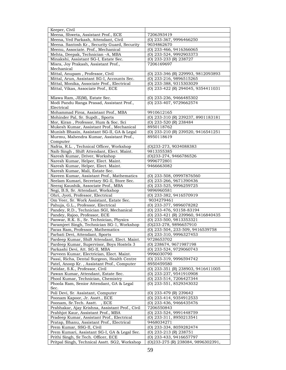| Keeper, Civil                                                             |                                                               |
|---------------------------------------------------------------------------|---------------------------------------------------------------|
| Meena, Shweta, Assistant Prof., ECE                                       | 7206393419                                                    |
| Meena, Ved Parkash, Attendant, Civil                                      | (O) 233-367, 9996466250                                       |
| Meena. Santosh Kr., Security Guard, Security                              | 9034862670                                                    |
| Meenu, Associate. Prof., Mechanical                                       | (O) 233-466, 9416366065                                       |
| Mehta, Deepak, Technician -A, MBA                                         | (O) 233-524, 9992903373                                       |
| Minakshi, Assistant SG-I, Estate Sec.                                     | (O) 233-233 (R) 238727                                        |
| Misra, Joy Prakash, Assistant Prof.,                                      | 7206169697                                                    |
| Mechanical                                                                |                                                               |
| Mittal, Anupam, Professor, Civil                                          | (O) 233-346 (R) 229993, 9812093893                            |
| Mittal, Arun, Assistant SG-I, Accounts Sec.                               | (O) 233-216, 9896515265                                       |
| Mittal, Monika, Associate Prof., Electrical                               | (O) 233-388, 9315303029                                       |
| Mittal, Vikas, Associate Prof., ECE                                       | (O) 233-422 (R) 294045, 9354411031                            |
|                                                                           |                                                               |
| Mlawa Ram, JE(M), Estate Sec.                                             | (O) 233-236, 9466485302                                       |
| Modi Pandu Ranga Prasad, Assistant Prof.,                                 | (O) 233-407, 9729662574                                       |
| Electrical                                                                |                                                               |
| Mohammad Firoz, Assistant Prof., MBA                                      | 9910612165                                                    |
| Mohinder Pal, Sr. Supdt., Sports                                          | (O) 233-310 (R) 239237, 8901183181                            |
| Mor, Kiran, Professor, Hum & Soc. Sci                                     | (O) 233-520 (R) 238484                                        |
| Mukesh Kumar, Assistant Prof., Mechanical                                 | 8950118762                                                    |
| Munish Bhasin, Assistant SG-II, GA & Legal                                | (O) 233-210 (R) 239520, 9416541251                            |
| Murmu, Mahendra Kumar, Assistant Prof.,                                   | 8950118619                                                    |
| Computer                                                                  |                                                               |
| Nafria, R.L., Technical Officer, Workshop                                 | (0)233-273, 9034088383                                        |
| Naib Singh, Shift Attendant, Elect. Maint.                                | 9813355385                                                    |
| Naresh Kumar, Driver, Workshop                                            | (O)233-274, 9466786526                                        |
| Naresh Kumar, Helper, Elect. Maint.                                       | 9996772801                                                    |
| Naresh Kumar, Helper, Elect. Maint.                                       | 9466663082                                                    |
| Naresh Kumar, Mali, Estate Sec.                                           |                                                               |
| Naveen Kumar, Assistant Prof., Mathematics                                | (O) 233-508, 09997876560                                      |
| Neelam Kumari, Secretary SG-11, Store Sec.                                | (O) 233-266, 9671390436                                       |
| Neeraj Kaushik, Associate Prof., MBA                                      | (O) 233-525, 9996259725                                       |
| Negi, B.S, Sr. Attendant, Workshop                                        | 9896960581                                                    |
| Ohri, Jyoti, Professor, Electrical                                        | (O) 233-382, 9416570919                                       |
| Om Veer, Sr. Work Assistant, Estate Sec.                                  | 9034279461                                                    |
| Pahuja, G.L., Professor, Electrical                                       | (O) 233-377, 9896078282                                       |
| Pandey, R.D., Technician SGI, Mechanical                                  | (O) 233-476, 93158-83194                                      |
| Pandey, Rajoo, Professor, ECE                                             | (O) 233-421 (R) 239960, 9416840435                            |
| Panwar, R.K. S., Sr. Technician, Physics                                  | (O) 233-500, 9813353321                                       |
| Paramjeet Singh, Technician SG-1, Workshop                                | (O)233-278, 9896657910                                        |
| Paras Ram, Professor, Mathematics                                         | (O) 233-504, 233-509, 9416539758                              |
| Parbati Devi, Attendant, Sports                                           | (O) 233-310, 9996327453                                       |
| Pardeep Kumar, Shift Attendant, Elect. Maint.                             | 9728653702                                                    |
| Pardeep Kumar, Supervisor, Boys Hostels 3                                 | (O) 238674, 9671987198                                        |
| Parkashi Devi, Att. SG-II, MBA                                            | (0) 233-524, 9729060743                                       |
| Parveen Kumar, Electrician, Elect. Maint.                                 | 9996030790                                                    |
| Passi, Richa, Dental Surgeon, Health Centre                               | (O) 233-319, 9996594742                                       |
| Patel, Anoop Kr., Assistant Prof., Computer                               | 8950459580                                                    |
| Patidar, S.K., Professor, Civil                                           | (O) 233-351 (R) 238903, 9416411005<br>(O) 233-237, 9541910908 |
| Pawan Kumar, Attendant, Estate Sec.<br>Phool Kumar, Technician, Chemistry | (O) 233-514, 7206427344                                       |
| Phoola Ram, Senior Attendant, GA & Legal                                  | (O) 233-551, 8529343032                                       |
| Sec.                                                                      |                                                               |
| Poli Devi, Sr. Assistant, Computer                                        | (O) 233-479 (R) 239642                                        |
| Poonam Kapoor, Jr. Asstt., ECE                                            | (O) 233-414, 9354912533                                       |
| Poonam, Sr.Tech. Asstt., ECE                                              | (O) 233-436, 9466435476                                       |
| Prabhakar, Ajay Krishna, Assistant Prof., Civil                           | 7206550843                                                    |
| Prabhjot Kaur, Assistant Prof., MBA                                       | (O) 233-524, 9991448759                                       |
| Pradeep Kumar, Assistant Prof., Electrical                                | (O) 233-311, 8950213541                                       |
| Pratap, Bhanu, Assistant Prof., Electrical                                | 9468034271                                                    |
| Prem Kumar, SSG-II, Civil                                                 | (O) 233-334, 8059282474                                       |
| Prem Kumari, Assistant SG-I, GA & Legal Sec.                              | (O) 233-213 (R) 238751                                        |
| Prithi Singh, Sr.Tech. Officer, ECE                                       | (O) 233-433, 9416657797                                       |
| Pritpal Singh, Technical Asstt. SG2, Workshop                             | (O)233-275 (R) 238084, 9896302391,                            |
|                                                                           |                                                               |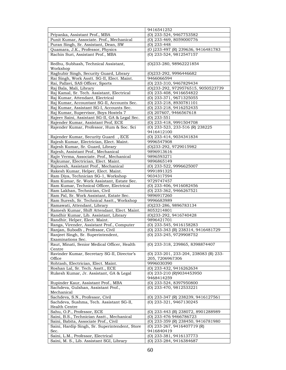|                                                                                        | 9416541252                            |
|----------------------------------------------------------------------------------------|---------------------------------------|
| Priyanka, Assistant Prof., MBA                                                         | $\overline{(0)}$ 233-524, 9467753582  |
| Punit Kumar, Associate. Prof., Mechanical                                              | (O) 233-469, 8059000776               |
| Puran Singh, Sr. Assistant, Dean, SW                                                   | (O) 233-448                           |
| Quamara, J.K., Professor, Physics                                                      | (O) 233-497 (R) 239636, 9416481783    |
| Rachin Suri, Assistant Prof., MBA                                                      | (O) 233-524, 9812547157               |
|                                                                                        |                                       |
| Redhu, Subhash, Technical Assistant,                                                   | (O)233-280, 98962221854               |
| Workshop                                                                               |                                       |
| Raghubir Singh, Security Guard, Library                                                | (O)233-292, 9996446682                |
| Rai Singh, Work Asstt. SG-II, Elect. Maint.                                            | 9466066594                            |
| Rai, Pallavi, SAS Officer, Sports                                                      | (O) 233-310, 9467829434               |
| Raj Bala, Mali, Library                                                                | (0)233-292, 9729576515, 9050523739    |
| Raj Kamal, Sr. Tech. Assistant, Electrical                                             | (O) 233-408, 9416654822               |
| Raj Kumar, Attendant, Electrical                                                       | (O) 233-371, 9671325055               |
| Raj Kumar, Accountant SG-II, Accounts Sec.                                             | (O) 233-218, 8930781101               |
| Raj Kumar, Assistant SG-I, Accounts Sec.                                               | (O) 233-218, 9416252435               |
| Raj Kumar, Supervisor, Boys Hostels 7                                                  | (O) 207607, 9466567618                |
| Rajeev Saini, Assistant SG-II, GA & Legal Sec.                                         | $(O)$ 233-551                         |
| Rajender Kumar, Assistant Prof, ECE                                                    | $\overline{(0)}$ 233-418, 9991504708  |
| Rajender Kumar, Professor, Hum & Soc. Sci                                              | (O) 233-523, 233-516 (R) 238225       |
|                                                                                        | 9416412100                            |
| Rajender Kumar, Security Guard, ECE                                                    | (O) 233-414, 9034341834               |
| Rajesh Kumar, Electrician, Elect. Maint.                                               | 9996547908                            |
| Rajesh Kumar, Sr. Guard, Library                                                       | (0)233-292, 9729015982                |
| Rajesh, Assistant Prof., Mechanical                                                    | 9896913616                            |
| Rajiv Verma, Associate. Prof., Mechanical                                              | 9896593271                            |
| Rajkumar, Electrician, Elect. Maint.                                                   | 9896865149                            |
| Rajneesh, Assistant Prof., Mechanical                                                  | (O) 233-522, 9996625007               |
| Rakesh Kumar, Helper, Elect. Maint.                                                    | 9991891325                            |
| Ram Diya, Technician SG-1, Workshop                                                    | 9034317594                            |
| Ram Kumar, Sr. Work Assistant, Estate Sec.                                             | 9729747457                            |
| Ram Kumar, Technical Officer, Electrical                                               | $(0)$ 233-406, 9416082456             |
| Ram Lakhan, Technician, Civil                                                          | (O) 233-362, 9466267521<br>9896917260 |
| Ram Pal, Sr. Work Assistant, Estate Sec.<br>Ram Suresh, Sr. Technical Asstt., Workshop | 9996683989                            |
| Ramawati, Attendant, Library                                                           | (O)233-286, 9896783134                |
| Ramesh Kumar, Shift Attendant, Elect. Maint.                                           | 8053214801                            |
| Randhir Kumar, Lib. Assistant, Library                                                 | (O)233-292, 9416740428                |
| Randhir, Helper, Elect. Maint.                                                         | 9896421701                            |
| Ranga, Virender, Assistant Prof., Computer                                             | (O) 233-545, 9416158283               |
| Ranjan, Subodh, Professor, Civil                                                       | (O) 233-343 (R) 238314, 9416481729    |
| Ranjeet Singh, Sr. Superintendent,                                                     | (O) 233-245, 9729908752               |
| Examinations Sec.                                                                      |                                       |
| Raut, Minati, Senior Medical Officer, Health                                           | (O) 233-318, 239865, 8398874407       |
| Centre                                                                                 |                                       |
| Ravinder Kumar, Secretary SG-II, Director's                                            | (O) 233-201, 233-204, 238083 (R) 233- |
| Office                                                                                 | 205, 7206967306                       |
| Rohtash, Electrician, Elect. Maint.                                                    | 9996030390                            |
| Roshan Lal, Sr. Tech. Asstt., ECE                                                      | (0) 233-432, 9416262634               |
| Rukesh Kumar, Jr. Assistant, GA & Legal                                                | (O) 233-210 (R)9034453950             |
|                                                                                        | 9468414259                            |
| Rupinder Kaur, Assistant Prof., MBA                                                    | (O) 233-524, 8397950800               |
| Sachdeva, Gulshan, Assistant Prof.,                                                    | (O) 233-470, 9812533221               |
| Mechanical                                                                             |                                       |
| Sachdeva, S.N., Professor, Civil                                                       | (O) 233-347 (R) 238239, 9416127561    |
| Sachdeva, Sushma, Tech. Assistant SG-II,                                               | (O) 233-321, 9467130245               |
| Health Centre                                                                          |                                       |
| Sahu, O.P., Professor, ECE                                                             | (O) 233-443 (R) 238072, 8901288989    |
| Saini, B.S., Technician Asstt., Mechanical                                             | (O) 233-476 9466786723                |
| Saini, Babita, Associate Prof., Civil                                                  | (O) 233-359 (R) 238450, 9416781980    |
| Saini, Hardip Singh, Sr. Superintendent, Store                                         | (O) 233-267, 9416407719 (R)           |
| Sec.                                                                                   | 9416840419                            |
| Saini, L.M., Professor, Electrical                                                     | (O) 233-381, 9416137773               |
| Saini, M. S., Lib. Assistant SGI, Library                                              | (O) 233-284, 9416384687               |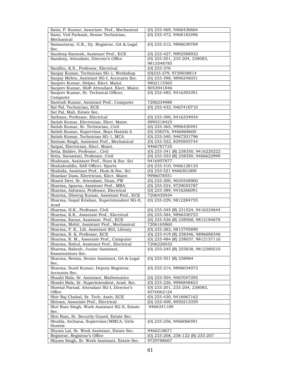| Saini, P. Kumar, Associate. Prof., Mechanical             | (O) 233-469, 9466436664              |
|-----------------------------------------------------------|--------------------------------------|
| Saini, Ved Parkash, Senior Technician,                    | (O) 233-472, 9468182496              |
| Mechanical<br>Samantaray, G.R., Dy. Registrar, GA & Legal |                                      |
| Sec.                                                      | (O) 233-212, 9896039769              |
| Sandeep Santosh, Assistant Prof., ECE                     | (O) 233-427, 9992588932              |
| Sandeep, Attendant, Director's Office                     | (O) 233-201, 233-204, 238083,        |
|                                                           | 9813548785                           |
| Sandhu, K.S., Professor, Electrical                       | $(O)$ 233-376                        |
| Sanjay Kumar, Technician SG-1, Workshop                   | (O)233-279, 9729038814               |
| Sanjay Mehta, Assistant SG-I, Accounts Sec.               | (O) 233-398, 9896246031              |
| Sanjeev Kumar, Helper, Elect. Maint.                      | 9802115565                           |
| Sanjeev Kumar, Shift Attendant, Elect. Maint.             | 8053941846                           |
| Sanjeev Kumar, Sr. Technical Officer,                     | (O) 233-485, 9416393391              |
| Computer                                                  |                                      |
| Santosh Kumar, Assistant Prof., Computer                  | 7206234988                           |
| Sat Pal, Technician, ECE                                  | (O) 233-432, 9467410710              |
| Sat Pal, Mali, Estate Sec.                                |                                      |
| Sathans, Professor, Electrical                            | (O) 233-390, 9416334934              |
| Satish Kumar, Electrician, Elect. Maint.                  | 8995318425                           |
| Satish Kumar, Sr. Technician, Civil                       | (O) 233-365, 9996420491              |
| Satish Kumar, Supervisor, Boys Hostels 6                  | $\overline{O(0)}$ 238276, 9466868600 |
| Satish Kumar, Technician SG-1, MCA                        | (O) 233-540, 9467201796              |
| Satnam Singh, Assistant Prof., Mechanical                 | (O) 233-522, 8295855744              |
| Satpal, Electrician, Elect. Maint.                        | 9466787735                           |
| Setia, Baldev, Professor., Civil                          | (O) 233-341 (R) 238350, 9416220222   |
| Setia, Saraswati, Professor, Civil                        | (O) 233-353 (R) 238350, 9466622999   |
| Shabnam, Assistant Prof., Hum & Soc. Sci                  | 9416957877                           |
| Shahabuddin, SAS Officer, Sports                          | $\overline{(0)}$ 233-310, 9466128133 |
| Shahida, Assistant Prof., Hum & Soc. Sci                  | (O) 233-521 9466301809               |
| Shankar Dass, Electrician, Elect. Maint.                  | 9996078551                           |
| Shanti Devi, Sr. Attendant, Dean, FW                      | (O) 233-300, 9034548900              |
| Sharma, Aparna, Assistant Prof., MBA                      | (O) 233-524, 9729055787              |
| Sharma, Ashwani, Professor, Electrical                    | (O) 233-389, 9416366091              |
| Sharma, Dheeraj Kumar, Assistant Prof., ECE               | 7206435934                           |
| Sharma, Gopal Krishan, Superintendent SG-II,<br>Acad      | (O) 233-229, 9812284755              |
| Sharma, H.K., Professor, Civil                            | (O) 233-345 (R) 231524, 9416334644   |
| Sharma, K.K., Associate Prof., Electrical                 | (O) 233-384, 9896330753              |
| Sharma, Karan, Assistant. Prof., ECE                      | (O) 233-426 (R) 238568, 9812184678   |
| Sharma, Mohit, Assistant Prof., Mechanical                | 7206165860                           |
| Sharma, P. K., Lib. Assistant SGI, Library                | (O) 233-283, 9813795890              |
| Sharma, R. K, Professor, ECE                              | (O) 233-419 (R) 238346, 9896688346   |
| Sharma, R. M., Associate Prof., Computer                  | (O) 233-484 (R) 238037, 9812157116   |
| Sharma, Rahul, Assistant Prof., Electrical                | 7206228032                           |
| Sharma, Rakesh, Junior Assistant,                         | (O) 233-245 (R) 255838, 9812280510   |
| Examinations Sec.                                         |                                      |
| Sharma, Seema, Senior Assistant, GA & Legal               | (O) 233-551 (R) 238964               |
| Sec.                                                      |                                      |
| Sharma, Sunil Kumar, Deputy Registrar,<br>Accounts Sec.   | (O) 233-214, 9896034073              |
| Shashi Bala, Sr. Assistant, Mathematics                   | (O) 233-504, 9467047295              |
| Shashi Bala, Sr. Superintendent, Acad. Sec.               | (O) 233-226, 9996848823              |
| Sheetal Parsad, Attendant SG-I, Director's                | (O) 233-201, 233-204, 238083,        |
| Office                                                    | 8570062124                           |
| Shiv Raj Chahal, Sr. Tech. Asstt, ECE                     | (O) 233-430, 9416967162              |
| Shivam, Associate Prof., Electrical                       | (O) 233-409, 8950213359              |
| Shri Ram Singh, Work Assistant SG-II, Estate              | 9466341189                           |
| Sec.                                                      |                                      |
| Shri Ram, Sr. Security Guard, Estate Sec.                 |                                      |
| Shukla, Archana, Supervisor/MMCA, Girls                   | (O) 233-256, 9466066591              |
| Hostels                                                   |                                      |
| Shyam Lal, Sr. Work Assistant, Estate Sec.                | 9466218671                           |
| Registrar, Registrar's Office                             | (O) 233-208, 238-122 (R) 233-207     |
| Shyam Singh, Sr. Work Assistant, Estate Sec.              | 9729788667                           |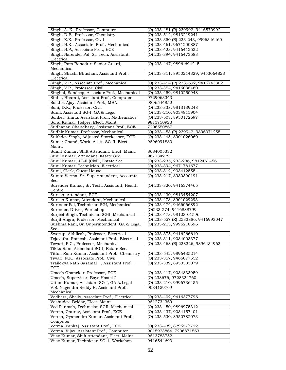| Singh, A. K., Professor, Computer                                                  | (O) 233-481 (R) 239992, 9416570992                              |
|------------------------------------------------------------------------------------|-----------------------------------------------------------------|
| Singh, D.P., Professor, Chemistry                                                  | (O) 233-512, 9813219241                                         |
| Singh, K.K., Professor, Civil                                                      | (O) 233-350 (R) 233-243, 9996346460                             |
| Singh, N.K., Associate. Prof., Mechanical                                          | (O) 233-461, 9671200887                                         |
| Singh, N.P., Associate Prof., ECE                                                  | (O) 233-423, 9416412522                                         |
| Singh, Narender Pal, Sr. Tech. Assistant,                                          | (O) 233-394, 9416473583                                         |
|                                                                                    |                                                                 |
| Electrical                                                                         |                                                                 |
| Singh, Ram Bahadur, Senior Guard,                                                  | (O) 233-447, 9896-694245                                        |
| Mechanical                                                                         |                                                                 |
| Singh, Shashi Bhushan, Assistant Prof.,                                            | (0) 233-311, 8950214329, 9453064823                             |
| Electrical                                                                         |                                                                 |
| Singh, V.P., Associate Prof., Mechanical                                           | (O) 233-454 (R) 2339692, 9416743302                             |
| Singh, V.P., Professor, Civil                                                      | (O) 233-354, 9416038460                                         |
| Singhal, Sandeep, Associate Prof., Mechanical                                      | (O) 233-459, 9810250948                                         |
| Sinha, Bharati, Assistant Prof., Computer                                          | 9729063343                                                      |
| Solkhe, Ajay, Assistant Prof., MBA                                                 | 9896544852                                                      |
| Soni, D.K., Professor, Civil                                                       | (O) 233-338, 9813139248                                         |
| Sunil, Assistant SG-I, GA & Legal                                                  | (O) 233-210, 9034815904                                         |
| Sonker, Smita, Assistant Prof., Mathematics                                        | (O) 233-508, 8950172697                                         |
| Sonu Kumar, Helper, Elect. Maint.                                                  | 9813750923                                                      |
| Sudhansu Chaudhary, Assistant Prof., ECE                                           | 7206550867                                                      |
| Sudhir Kumar, Professor, Mechanical                                                | (O) 233-453 (R) 239942, 9896371255                              |
| Sukhdev Singh, Adjusted Storekeeper, ECE                                           | (O) 233-445, 8901026060                                         |
| Sumer Chand, Work. Asstt. SG-II, Elect.                                            | 9896091880                                                      |
| Maint.                                                                             |                                                                 |
|                                                                                    |                                                                 |
| Sumit Kumar, Shift Attendant, Elect. Maint.                                        | 8684005332                                                      |
| Sunil Kumar, Attendant, Estate Sec.                                                | 9671342791                                                      |
| Sunil Kumar, JE-II (Civil), Estate Sec.                                            | (O) 233-235, 233-236, 9812461456                                |
| Sunil Kumar, Technician, Electrical                                                | (O) 233-394, 9671781677                                         |
| Sunil, Clerk, Guest House                                                          | (O) 233-312, 9034125554                                         |
| Sunita Verma, Sr. Superintendent, Accounts                                         | (O) 233-217, 8930390191                                         |
| Sec.                                                                               |                                                                 |
| Surender Kumar, Sr. Tech. Assistant, Health                                        | (O) 233-320, 9416374465                                         |
| Centre<br>Suresh, Attendant, ECE                                                   | (O) 233-430, 9813454207                                         |
| Suresh Kumar, Attendant, Mechanical                                                | (O) 233-478, 8901029293                                         |
| Surinder Pal, Technician SGI, Mechanical                                           | (O) 233-474, 9466066892                                         |
| Surinder, Driver, Workshop                                                         |                                                                 |
| Surjeet Singh, Technician SGII, Mechanical                                         | (O)233-274, 9416888799                                          |
|                                                                                    | (O) 233-473, 98123-01596<br>(O) 233-557 (R) 2533886, 9416993047 |
| Surjit Angra, Professor, Mechanical<br>Sushma Rani, Sr. Superintendent, GA & Legal |                                                                 |
| Sec.                                                                               | (O) 233-213, 9996218696                                         |
| Swarup, Akhilesh, Professor, Electrical                                            | (O) 233-375, 9416266610                                         |
| Tejavathu Ramesh, Assistant Prof., Electrical                                      | (O) 233-311, 9034003377                                         |
| Tewari, P.C., Professor, Mechanical                                                | (O) 233-468 (R) 238326, 9896434963                              |
| Tikka Ram, Attendant SG-I, Estate Sec.                                             |                                                                 |
| Tittal, Ram Kumar, Assistant Prof., Chemistry                                      | (O) 233-542, 9896435214                                         |
| Tiwari, N.K., Associate Prof., Civil                                               | (O) 233-357, 9466077552                                         |
|                                                                                    | (O) 233-339, 8950333079                                         |
| Trailokya Nath Sasamal, Assistant Prof.,<br><b>ECE</b>                             |                                                                 |
|                                                                                    |                                                                 |
| Umesh Ghanekar, Professor, ECE<br>Umesh, Supervisor, Boys Hostel 2                 | (O) 233-417, 9034833959                                         |
|                                                                                    | (O) 238676, 9728334760                                          |
| Uttam Kumar, Assistant SG-I, GA & Legal                                            | (O) 233-210, 9996736455<br>9034159769                           |
| V.S. Nagendra Reddy B, Assistant Prof.,<br>Mechanical                              |                                                                 |
| Vadhera, Shelly, Associate Prof., Electrical                                       | (O) 233-402, 9416377796                                         |
| Vashudev, Beldar, Elect. Maint.                                                    | 9812734369                                                      |
|                                                                                    |                                                                 |
| Ved Parkash, Technician SGII, Mechanical                                           | (O) 233-450, 9896975312                                         |
| Verma, Gaurav, Assistant Prof., ECE                                                | (O) 233-437, 9034157401                                         |
| Verma, Gyanendra Kumar, Assistant Prof.,                                           | (O) 233-530, 8950782073                                         |
| Computer                                                                           |                                                                 |
| Verma, Pankaj, Assistant Prof., ECE                                                | (O) 233-439, 8295577722                                         |
| Verma, Vijay, Assistant Prof., Computer                                            | 9015923864, 7206871563                                          |
| Vijay Kumar, Shift Attendant, Elect. Maint.                                        | 9813783752                                                      |
| Vijay Kumar, Technician SG-1, Workshop                                             | 9416544693                                                      |